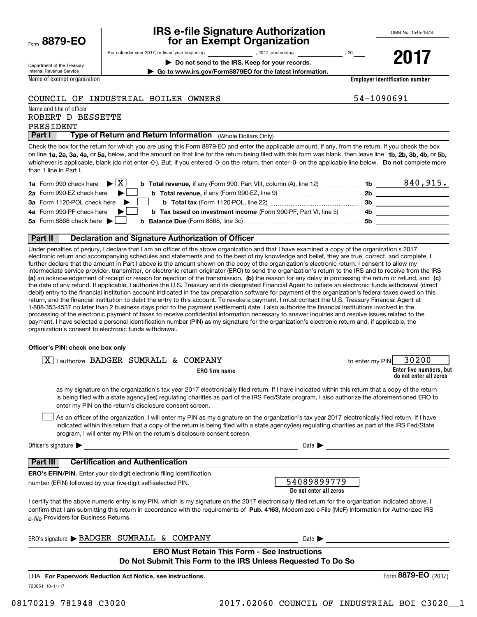| Form 8879-EO |  |  |
|--------------|--|--|
|              |  |  |

# **IRS e-file Signature Authorization for an Exempt Organization**

**| Do not send to the IRS. Keep for your records. | Go to www.irs.gov/Form8879EO for the latest information.**

For calendar year 2017, or fiscal year beginning and the set of the set of 2017, and ending the set of 20 year

Department of the Treasury Internal Revenue Service

**2017**

Name of exempt organization

**Employer identification number**

### COUNCIL OF INDUSTRIAL BOILER OWNERS 54-1090691

Name and title of officer

### ROBERT D BESSETTE

PRESIDENT

**Part I** | Type of Return and Return Information (Whole Dollars Only)

on line **1a, 2a, 3a, 4a,** or **5a,** below, and the amount on that line for the return being filed with this form was blank, then leave line **1b, 2b, 3b, 4b,** or **5b,** whichever is applicable, blank (do not enter -0-). But, if you entered -0- on the return, then enter -0- on the applicable line below. **Do not** complete more Check the box for the return for which you are using this Form 8879-EO and enter the applicable amount, if any, from the return. If you check the box than 1 line in Part I.

| <b>1a</b> Form 990 check here $\triangleright \boxed{X}$<br><b>b Total revenue, if any (Form 990, Part VIII, column (A), line 12)</b> | 1b        | 840,915. |
|---------------------------------------------------------------------------------------------------------------------------------------|-----------|----------|
| 2a Form 990-EZ check here<br><b>b</b> Total revenue, if any (Form 990-EZ, line 9) <i></i>                                             | <b>2b</b> |          |
| 3a Form 1120-POL check here                                                                                                           | -3b       |          |
| 4a Form 990-PF check here<br><b>b</b> Tax based on investment income (Form 990-PF, Part VI, line 5) 4b                                |           |          |
| 5a Form 8868 check here $\blacktriangleright$<br><b>b</b> Balance Due (Form 8868, line 3c)                                            | .5b       |          |
|                                                                                                                                       |           |          |

### **Part II Declaration and Signature Authorization of Officer**

**(a)** an acknowledgement of receipt or reason for rejection of the transmission, (b) the reason for any delay in processing the return or refund, and (c) Under penalties of perjury, I declare that I am an officer of the above organization and that I have examined a copy of the organization's 2017 electronic return and accompanying schedules and statements and to the best of my knowledge and belief, they are true, correct, and complete. I further declare that the amount in Part I above is the amount shown on the copy of the organization's electronic return. I consent to allow my intermediate service provider, transmitter, or electronic return originator (ERO) to send the organization's return to the IRS and to receive from the IRS the date of any refund. If applicable, I authorize the U.S. Treasury and its designated Financial Agent to initiate an electronic funds withdrawal (direct debit) entry to the financial institution account indicated in the tax preparation software for payment of the organization's federal taxes owed on this return, and the financial institution to debit the entry to this account. To revoke a payment, I must contact the U.S. Treasury Financial Agent at 1-888-353-4537 no later than 2 business days prior to the payment (settlement) date. I also authorize the financial institutions involved in the processing of the electronic payment of taxes to receive confidential information necessary to answer inquiries and resolve issues related to the payment. I have selected a personal identification number (PIN) as my signature for the organization's electronic return and, if applicable, the organization's consent to electronic funds withdrawal.

#### **Officer's PIN: check one box only**

| lauthorize BADGER SUMRALL & COMPANY<br>ΧI                                                                                                                                                                                                                                                                                                                                        | 30200<br>to enter my PIN                          |
|----------------------------------------------------------------------------------------------------------------------------------------------------------------------------------------------------------------------------------------------------------------------------------------------------------------------------------------------------------------------------------|---------------------------------------------------|
| ERO firm name                                                                                                                                                                                                                                                                                                                                                                    | Enter five numbers, but<br>do not enter all zeros |
| as my signature on the organization's tax year 2017 electronically filed return. If I have indicated within this return that a copy of the return<br>is being filed with a state agency(ies) regulating charities as part of the IRS Fed/State program, I also authorize the aforementioned ERO to<br>enter my PIN on the return's disclosure consent screen.                    |                                                   |
| As an officer of the organization, I will enter my PIN as my signature on the organization's tax year 2017 electronically filed return. If I have<br>indicated within this return that a copy of the return is being filed with a state agency(ies) regulating charities as part of the IRS Fed/State<br>program, I will enter my PIN on the return's disclosure consent screen. |                                                   |
| Officer's signature $\blacktriangleright$<br>Date $\blacksquare$<br>and the control of the control of the control of the control of the control of the control of the control of the                                                                                                                                                                                             |                                                   |
| <b>Certification and Authentication</b><br><b>Part III</b>                                                                                                                                                                                                                                                                                                                       |                                                   |
| <b>ERO's EFIN/PIN.</b> Enter your six-digit electronic filing identification<br>54089899779<br>number (EFIN) followed by your five-digit self-selected PIN.<br>Do not enter all zeros                                                                                                                                                                                            |                                                   |
| I certify that the above numeric entry is my PIN, which is my signature on the 2017 electronically filed return for the organization indicated above. I<br>confirm that I am submitting this return in accordance with the requirements of Pub. 4163, Modernized e-File (MeF) Information for Authorized IRS<br>e-file Providers for Business Returns.                           |                                                   |
| ERO's signature BADGER SUMRALL & COMPANY<br>Date $\blacktriangleright$                                                                                                                                                                                                                                                                                                           |                                                   |
| <b>ERO Must Retain This Form - See Instructions</b><br>Do Not Submit This Form to the IRS Unless Requested To Do So                                                                                                                                                                                                                                                              |                                                   |
| LHA For Paperwork Reduction Act Notice, see instructions.                                                                                                                                                                                                                                                                                                                        | Form 8879-EO (2017)                               |

723051 10-11-17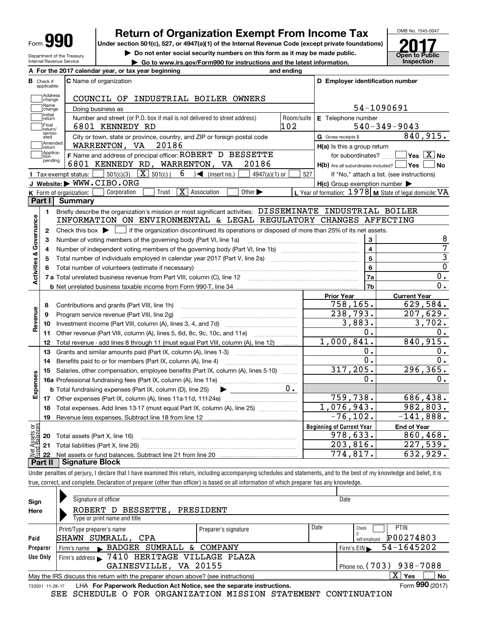| П<br>١<br>Form<br>. . |
|-----------------------|
|-----------------------|

Department of the Treasury Internal Revenue Service

# **Return of Organization Exempt From Income Tax**

**Under section 501(c), 527, or 4947(a)(1) of the Internal Revenue Code (except private foundations)**

**| Do not enter social security numbers on this form as it may be made public.**

▶ Go to www.irs.gov/Form990 for instructions and the latest information. **Inspection** 



|                         |                             | A For the 2017 calendar year, or tax year beginning                                                                                                 | and ending         |                                                                                                  |                                                           |  |  |
|-------------------------|-----------------------------|-----------------------------------------------------------------------------------------------------------------------------------------------------|--------------------|--------------------------------------------------------------------------------------------------|-----------------------------------------------------------|--|--|
| В                       | Check if<br>applicable:     | <b>C</b> Name of organization                                                                                                                       |                    | D Employer identification number                                                                 |                                                           |  |  |
|                         | Address<br>change           | COUNCIL OF INDUSTRIAL BOILER OWNERS                                                                                                                 |                    |                                                                                                  |                                                           |  |  |
|                         | Name<br>change              | Doing business as                                                                                                                                   |                    | 54-1090691                                                                                       |                                                           |  |  |
|                         | Initial<br>return           | Number and street (or P.O. box if mail is not delivered to street address)                                                                          | E Telephone number |                                                                                                  |                                                           |  |  |
|                         | Final<br>return/            | 6801 KENNEDY RD                                                                                                                                     | Room/suite<br>102  |                                                                                                  | $540 - 349 - 9043$                                        |  |  |
|                         | termin-<br>ated             | City or town, state or province, country, and ZIP or foreign postal code                                                                            |                    | G Gross receipts \$                                                                              | 840,915.                                                  |  |  |
|                         | Amended<br> return          | WARRENTON, VA 20186                                                                                                                                 |                    | $H(a)$ is this a group return                                                                    |                                                           |  |  |
|                         | Applica-<br>tion<br>pending | F Name and address of principal officer: ROBERT D BESSETTE<br>6801 KENNEDY RD, WARRENTON, VA<br>20186                                               |                    | for subordinates? $\frac{\Box}{\Box}$<br>$H(b)$ Are all subordinates included? $\Box$ Yes $\Box$ | $\overline{\ }$ Yes $\overline{\rm X}$ No<br>∣No          |  |  |
|                         |                             | $501(c)(3)$ $\overline{X}$ $501(c)$ (<br>$6 \rightarrow$ (insert no.)<br>$4947(a)(1)$ or<br>Tax-exempt status:                                      | 527                |                                                                                                  | If "No," attach a list. (see instructions)                |  |  |
|                         |                             | J Website: WWW.CIBO.ORG                                                                                                                             |                    | $H(c)$ Group exemption number $\blacktriangleright$                                              |                                                           |  |  |
|                         |                             | $\boxed{\mathbf{X}}$ Association<br>Other $\blacktriangleright$<br>Corporation<br>Trust<br>K Form of organization:                                  |                    |                                                                                                  | L Year of formation: $1978$ M State of legal domicile: VA |  |  |
| Part I                  |                             | Summary                                                                                                                                             |                    |                                                                                                  |                                                           |  |  |
|                         | 1.                          | Briefly describe the organization's mission or most significant activities: DISSEMINATE INDUSTRIAL BOILER                                           |                    |                                                                                                  |                                                           |  |  |
| Activities & Governance |                             | INFORMATION ON ENVIRONMENTAL & LEGAL REGULATORY CHANGES AFFECTING                                                                                   |                    |                                                                                                  |                                                           |  |  |
|                         | $\mathbf{2}$                | Check this box $\blacktriangleright$ $\blacksquare$ if the organization discontinued its operations or disposed of more than 25% of its net assets. |                    |                                                                                                  |                                                           |  |  |
|                         | з                           | Number of voting members of the governing body (Part VI, line 1a)                                                                                   |                    | 3                                                                                                | 8                                                         |  |  |
|                         | 4                           | Number of independent voting members of the governing body (Part VI, line 1b) [100] [100] [100] [100] [100] [1                                      |                    | $\overline{\mathbf{4}}$                                                                          | 7                                                         |  |  |
|                         | 5                           | Total number of individuals employed in calendar year 2017 (Part V, line 2a) manufacture continual continuation                                     |                    | $\overline{5}$                                                                                   | $\overline{3}$                                            |  |  |
|                         |                             |                                                                                                                                                     | 6                  | $\overline{0}$                                                                                   |                                                           |  |  |
|                         |                             |                                                                                                                                                     |                    | 7a                                                                                               | 0.                                                        |  |  |
|                         |                             |                                                                                                                                                     |                    | 7b                                                                                               | $\overline{0}$ .                                          |  |  |
|                         |                             |                                                                                                                                                     |                    | <b>Prior Year</b>                                                                                | <b>Current Year</b>                                       |  |  |
|                         | 8                           | Contributions and grants (Part VIII, line 1h)                                                                                                       |                    | 758,165.                                                                                         | 629,584.                                                  |  |  |
| Revenue                 | 9                           | Program service revenue (Part VIII, line 2g)                                                                                                        |                    | $\overline{238}$ , 793.                                                                          | 207,629.                                                  |  |  |
|                         | 10                          |                                                                                                                                                     |                    | 3,883.                                                                                           | 3,702.                                                    |  |  |
|                         | 11                          | Other revenue (Part VIII, column (A), lines 5, 6d, 8c, 9c, 10c, and 11e)                                                                            |                    | Ο.                                                                                               | 0.                                                        |  |  |
|                         | 12                          | Total revenue - add lines 8 through 11 (must equal Part VIII, column (A), line 12)                                                                  |                    | 1,000,841.                                                                                       | 840,915.                                                  |  |  |
|                         | 13                          | Grants and similar amounts paid (Part IX, column (A), lines 1-3)                                                                                    |                    | О.                                                                                               | 0.                                                        |  |  |
|                         | 14                          |                                                                                                                                                     |                    | $\overline{0}$ .                                                                                 | 0.                                                        |  |  |
|                         | 15                          | Salaries, other compensation, employee benefits (Part IX, column (A), lines 5-10)                                                                   |                    | 317,205.                                                                                         | 296, 365.                                                 |  |  |
|                         |                             |                                                                                                                                                     |                    | 0.                                                                                               | 0.                                                        |  |  |
| Expenses                |                             | <b>b</b> Total fundraising expenses (Part IX, column (D), line 25)<br>▶                                                                             | $0 \cdot$          |                                                                                                  |                                                           |  |  |
|                         |                             |                                                                                                                                                     |                    | 759,738.                                                                                         | 686,438.                                                  |  |  |
|                         | 18                          | Total expenses. Add lines 13-17 (must equal Part IX, column (A), line 25) <i>marronomical</i>                                                       |                    | 1,076,943.                                                                                       | 982,803.                                                  |  |  |
|                         | 19                          |                                                                                                                                                     |                    | $-76, 102.$                                                                                      | $-141,888.$                                               |  |  |
| ăğ                      |                             |                                                                                                                                                     |                    | <b>Beginning of Current Year</b>                                                                 | <b>End of Year</b>                                        |  |  |
|                         |                             | <b>20</b> Total assets (Part X, line 16)                                                                                                            |                    | 978,633.                                                                                         | 860, 468.                                                 |  |  |
|                         |                             | 21 Total liabilities (Part X, line 26)                                                                                                              |                    | 203,816.                                                                                         | $\overline{227,539}$ .                                    |  |  |
| ssets<br>Ralanc         | 22                          |                                                                                                                                                     |                    | 774,817.                                                                                         | 632,929.                                                  |  |  |

Under penalties of perjury, I declare that I have examined this return, including accompanying schedules and statements, and to the best of my knowledge and belief, it is true, correct, and complete. Declaration of preparer (other than officer) is based on all information of which preparer has any knowledge.

| Sign     | Signature of officer                                                                                                  |                      | Date                     |                            |  |  |  |  |
|----------|-----------------------------------------------------------------------------------------------------------------------|----------------------|--------------------------|----------------------------|--|--|--|--|
| Here     | BESSETTE, PRESIDENT<br>ROBERT D                                                                                       |                      |                          |                            |  |  |  |  |
|          | Type or print name and title                                                                                          |                      |                          |                            |  |  |  |  |
|          | Print/Type preparer's name                                                                                            | Preparer's signature | Date                     | PTIN<br>Check              |  |  |  |  |
| Paid     | SHAWN SUMRALL, CPA                                                                                                    |                      |                          | P00274803<br>self-employed |  |  |  |  |
| Preparer | Firm's name BADGER SUMRALL & COMPANY                                                                                  |                      |                          | 54-1645202<br>Firm's $EIN$ |  |  |  |  |
| Use Only | Firm's address > 7410 HERITAGE VILLAGE PLAZA                                                                          |                      |                          |                            |  |  |  |  |
|          | GAINESVILLE, VA 20155                                                                                                 |                      | Phone no. (703) 938-7088 |                            |  |  |  |  |
|          | $\mathbf{X}$<br><b>No</b><br>Yes<br>May the IRS discuss this return with the preparer shown above? (see instructions) |                      |                          |                            |  |  |  |  |
|          | Form 990 (2017)<br>LHA For Paperwork Reduction Act Notice, see the separate instructions.<br>732001 11-28-17          |                      |                          |                            |  |  |  |  |

SEE SCHEDULE O FOR ORGANIZATION MISSION STATEMENT CONTINUATION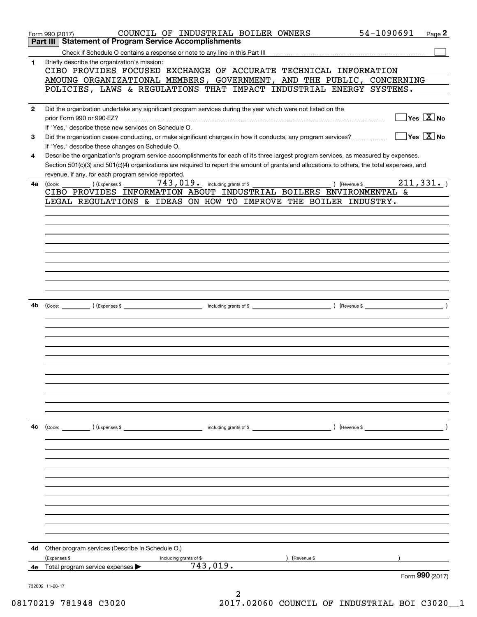|              | COUNCIL OF INDUSTRIAL BOILER OWNERS<br>Form 990 (2017)                                                                                                                                              |               | 54-1090691<br>Page 2               |
|--------------|-----------------------------------------------------------------------------------------------------------------------------------------------------------------------------------------------------|---------------|------------------------------------|
|              | <b>Statement of Program Service Accomplishments</b><br>Part III                                                                                                                                     |               |                                    |
| 1.           | Briefly describe the organization's mission:                                                                                                                                                        |               |                                    |
|              | CIBO PROVIDES FOCUSED EXCHANGE OF ACCURATE TECHNICAL INFORMATION                                                                                                                                    |               |                                    |
|              | AMOUNG ORGANIZATIONAL MEMBERS, GOVERNMENT, AND THE PUBLIC, CONCERNING                                                                                                                               |               |                                    |
|              | POLICIES, LAWS & REGULATIONS THAT IMPACT INDUSTRIAL ENERGY SYSTEMS.                                                                                                                                 |               |                                    |
| $\mathbf{2}$ | Did the organization undertake any significant program services during the year which were not listed on the                                                                                        |               |                                    |
|              | prior Form 990 or 990-EZ?                                                                                                                                                                           |               | $\Box$ Yes $\boxed{\mathrm{X}}$ No |
|              | If "Yes," describe these new services on Schedule O.                                                                                                                                                |               |                                    |
| 3            | Did the organization cease conducting, or make significant changes in how it conducts, any program services?                                                                                        |               | $\Box$ Yes $~\Box$ X $\Box$ No     |
|              | If "Yes," describe these changes on Schedule O.                                                                                                                                                     |               |                                    |
| 4            | Describe the organization's program service accomplishments for each of its three largest program services, as measured by expenses.                                                                |               |                                    |
|              | Section 501(c)(3) and 501(c)(4) organizations are required to report the amount of grants and allocations to others, the total expenses, and<br>revenue, if any, for each program service reported. |               |                                    |
| 4a           | 743, 019. including grants of \$<br>) (Expenses \$<br>(Code:                                                                                                                                        | ) (Revenue \$ | $\overline{211,331}$ .             |
|              | CIBO PROVIDES INFORMATION ABOUT INDUSTRIAL BOILERS ENVIRONMENTAL &                                                                                                                                  |               |                                    |
|              | LEGAL REGULATIONS & IDEAS ON HOW TO IMPROVE THE BOILER INDUSTRY.                                                                                                                                    |               |                                    |
|              |                                                                                                                                                                                                     |               |                                    |
|              |                                                                                                                                                                                                     |               |                                    |
|              |                                                                                                                                                                                                     |               |                                    |
|              |                                                                                                                                                                                                     |               |                                    |
|              |                                                                                                                                                                                                     |               |                                    |
|              |                                                                                                                                                                                                     |               |                                    |
|              |                                                                                                                                                                                                     |               |                                    |
|              |                                                                                                                                                                                                     |               |                                    |
|              |                                                                                                                                                                                                     |               |                                    |
| 4b           |                                                                                                                                                                                                     |               |                                    |
|              |                                                                                                                                                                                                     |               |                                    |
|              |                                                                                                                                                                                                     |               |                                    |
|              |                                                                                                                                                                                                     |               |                                    |
|              |                                                                                                                                                                                                     |               |                                    |
|              |                                                                                                                                                                                                     |               |                                    |
|              |                                                                                                                                                                                                     |               |                                    |
|              |                                                                                                                                                                                                     |               |                                    |
|              |                                                                                                                                                                                                     |               |                                    |
|              |                                                                                                                                                                                                     |               |                                    |
|              |                                                                                                                                                                                                     |               |                                    |
| 4c           | (Code: ) (Expenses \$<br>including grants of \$                                                                                                                                                     |               | $\overline{\phantom{a}}$           |
|              |                                                                                                                                                                                                     |               |                                    |
|              |                                                                                                                                                                                                     |               |                                    |
|              |                                                                                                                                                                                                     |               |                                    |
|              |                                                                                                                                                                                                     |               |                                    |
|              |                                                                                                                                                                                                     |               |                                    |
|              |                                                                                                                                                                                                     |               |                                    |
|              |                                                                                                                                                                                                     |               |                                    |
|              |                                                                                                                                                                                                     |               |                                    |
|              |                                                                                                                                                                                                     |               |                                    |
|              |                                                                                                                                                                                                     |               |                                    |
| 4d           | Other program services (Describe in Schedule O.)                                                                                                                                                    |               |                                    |
|              | (Expenses \$<br>including grants of \$                                                                                                                                                              | (Revenue \$   |                                    |
|              | 743,019.<br><b>4e</b> Total program service expenses $\blacktriangleright$                                                                                                                          |               |                                    |
|              |                                                                                                                                                                                                     |               | Form 990 (2017)                    |
|              | 732002 11-28-17                                                                                                                                                                                     |               |                                    |

08170219 781948 C3020 2017.02060 COUNCIL OF INDUSTRIAL BOI C3020\_\_1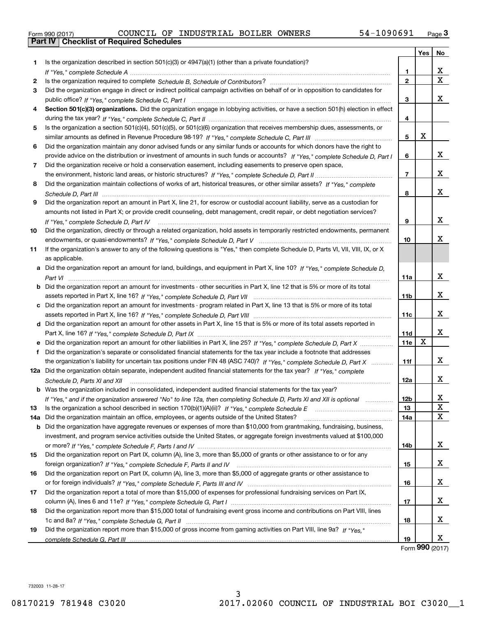| Form 990 (2017) |  |  |
|-----------------|--|--|

| Is the organization described in section $501(c)(3)$ or $4947(a)(1)$ (other than a private foundation)?<br>1<br>X,<br>1.<br>$\overline{\mathtt{x}}$<br>$\mathbf{2}$<br>2<br>Did the organization engage in direct or indirect political campaign activities on behalf of or in opposition to candidates for<br>3<br>X.<br>3<br>Section 501(c)(3) organizations. Did the organization engage in lobbying activities, or have a section 501(h) election in effect<br>4<br>4<br>Is the organization a section 501(c)(4), 501(c)(5), or 501(c)(6) organization that receives membership dues, assessments, or<br>5<br>X<br>5<br>Did the organization maintain any donor advised funds or any similar funds or accounts for which donors have the right to<br>6<br>X<br>provide advice on the distribution or investment of amounts in such funds or accounts? If "Yes," complete Schedule D, Part I<br>6<br>Did the organization receive or hold a conservation easement, including easements to preserve open space,<br>7<br>x<br>$\overline{7}$<br>Did the organization maintain collections of works of art, historical treasures, or other similar assets? If "Yes," complete<br>8<br>x<br>8<br>Did the organization report an amount in Part X, line 21, for escrow or custodial account liability, serve as a custodian for<br>9<br>amounts not listed in Part X; or provide credit counseling, debt management, credit repair, or debt negotiation services?<br>x<br>9<br>If "Yes," complete Schedule D, Part IV<br>Did the organization, directly or through a related organization, hold assets in temporarily restricted endowments, permanent<br>10<br>x<br>10<br>If the organization's answer to any of the following questions is "Yes," then complete Schedule D, Parts VI, VII, VIII, IX, or X<br>11<br>as applicable.<br>a Did the organization report an amount for land, buildings, and equipment in Part X, line 10? If "Yes," complete Schedule D,<br>x<br>11a<br><b>b</b> Did the organization report an amount for investments - other securities in Part X, line 12 that is 5% or more of its total<br>x<br>11b<br>c Did the organization report an amount for investments - program related in Part X, line 13 that is 5% or more of its total<br>X<br>11c<br>d Did the organization report an amount for other assets in Part X, line 15 that is 5% or more of its total assets reported in<br>x<br>11d<br>X<br>11e<br>Did the organization's separate or consolidated financial statements for the tax year include a footnote that addresses<br>f<br>x<br>the organization's liability for uncertain tax positions under FIN 48 (ASC 740)? If "Yes," complete Schedule D, Part X<br>11f<br>12a Did the organization obtain separate, independent audited financial statements for the tax year? If "Yes," complete<br>x<br>12a<br>Schedule D, Parts XI and XII<br><b>b</b> Was the organization included in consolidated, independent audited financial statements for the tax year?<br>x<br>12 <sub>b</sub><br>If "Yes," and if the organization answered "No" to line 12a, then completing Schedule D, Parts XI and XII is optional manum<br>X<br>13<br>X<br>Did the organization maintain an office, employees, or agents outside of the United States?<br>14a<br>14a<br><b>b</b> Did the organization have aggregate revenues or expenses of more than \$10,000 from grantmaking, fundraising, business,<br>investment, and program service activities outside the United States, or aggregate foreign investments valued at \$100,000<br>X<br>14b<br>Did the organization report on Part IX, column (A), line 3, more than \$5,000 of grants or other assistance to or for any<br>X<br>15<br>Did the organization report on Part IX, column (A), line 3, more than \$5,000 of aggregate grants or other assistance to<br>X<br>16<br>Did the organization report a total of more than \$15,000 of expenses for professional fundraising services on Part IX,<br>17<br>X<br>17<br>Did the organization report more than \$15,000 total of fundraising event gross income and contributions on Part VIII, lines<br>18<br>x<br>18<br>Did the organization report more than \$15,000 of gross income from gaming activities on Part VIII, line 9a? If "Yes."<br>19<br>x<br>19 |    |  | Yes | No |
|------------------------------------------------------------------------------------------------------------------------------------------------------------------------------------------------------------------------------------------------------------------------------------------------------------------------------------------------------------------------------------------------------------------------------------------------------------------------------------------------------------------------------------------------------------------------------------------------------------------------------------------------------------------------------------------------------------------------------------------------------------------------------------------------------------------------------------------------------------------------------------------------------------------------------------------------------------------------------------------------------------------------------------------------------------------------------------------------------------------------------------------------------------------------------------------------------------------------------------------------------------------------------------------------------------------------------------------------------------------------------------------------------------------------------------------------------------------------------------------------------------------------------------------------------------------------------------------------------------------------------------------------------------------------------------------------------------------------------------------------------------------------------------------------------------------------------------------------------------------------------------------------------------------------------------------------------------------------------------------------------------------------------------------------------------------------------------------------------------------------------------------------------------------------------------------------------------------------------------------------------------------------------------------------------------------------------------------------------------------------------------------------------------------------------------------------------------------------------------------------------------------------------------------------------------------------------------------------------------------------------------------------------------------------------------------------------------------------------------------------------------------------------------------------------------------------------------------------------------------------------------------------------------------------------------------------------------------------------------------------------------------------------------------------------------------------------------------------------------------------------------------------------------------------------------------------------------------------------------------------------------------------------------------------------------------------------------------------------------------------------------------------------------------------------------------------------------------------------------------------------------------------------------------------------------------------------------------------------------------------------------------------------------------------------------------------------------------------------------------------------------------------------------------------------------------------------------------------------------------------------------------------------------------------------------------------------------------------------------------------------------------------------------------------------------------------------------------------------------------------------------------------------------------------------------------------------------------------------------------------------------------------------------------------------|----|--|-----|----|
|                                                                                                                                                                                                                                                                                                                                                                                                                                                                                                                                                                                                                                                                                                                                                                                                                                                                                                                                                                                                                                                                                                                                                                                                                                                                                                                                                                                                                                                                                                                                                                                                                                                                                                                                                                                                                                                                                                                                                                                                                                                                                                                                                                                                                                                                                                                                                                                                                                                                                                                                                                                                                                                                                                                                                                                                                                                                                                                                                                                                                                                                                                                                                                                                                                                                                                                                                                                                                                                                                                                                                                                                                                                                                                                                                                                                                                                                                                                                                                                                                                                                                                                                                                                                                                                                                                      |    |  |     |    |
|                                                                                                                                                                                                                                                                                                                                                                                                                                                                                                                                                                                                                                                                                                                                                                                                                                                                                                                                                                                                                                                                                                                                                                                                                                                                                                                                                                                                                                                                                                                                                                                                                                                                                                                                                                                                                                                                                                                                                                                                                                                                                                                                                                                                                                                                                                                                                                                                                                                                                                                                                                                                                                                                                                                                                                                                                                                                                                                                                                                                                                                                                                                                                                                                                                                                                                                                                                                                                                                                                                                                                                                                                                                                                                                                                                                                                                                                                                                                                                                                                                                                                                                                                                                                                                                                                                      |    |  |     |    |
|                                                                                                                                                                                                                                                                                                                                                                                                                                                                                                                                                                                                                                                                                                                                                                                                                                                                                                                                                                                                                                                                                                                                                                                                                                                                                                                                                                                                                                                                                                                                                                                                                                                                                                                                                                                                                                                                                                                                                                                                                                                                                                                                                                                                                                                                                                                                                                                                                                                                                                                                                                                                                                                                                                                                                                                                                                                                                                                                                                                                                                                                                                                                                                                                                                                                                                                                                                                                                                                                                                                                                                                                                                                                                                                                                                                                                                                                                                                                                                                                                                                                                                                                                                                                                                                                                                      |    |  |     |    |
|                                                                                                                                                                                                                                                                                                                                                                                                                                                                                                                                                                                                                                                                                                                                                                                                                                                                                                                                                                                                                                                                                                                                                                                                                                                                                                                                                                                                                                                                                                                                                                                                                                                                                                                                                                                                                                                                                                                                                                                                                                                                                                                                                                                                                                                                                                                                                                                                                                                                                                                                                                                                                                                                                                                                                                                                                                                                                                                                                                                                                                                                                                                                                                                                                                                                                                                                                                                                                                                                                                                                                                                                                                                                                                                                                                                                                                                                                                                                                                                                                                                                                                                                                                                                                                                                                                      |    |  |     |    |
|                                                                                                                                                                                                                                                                                                                                                                                                                                                                                                                                                                                                                                                                                                                                                                                                                                                                                                                                                                                                                                                                                                                                                                                                                                                                                                                                                                                                                                                                                                                                                                                                                                                                                                                                                                                                                                                                                                                                                                                                                                                                                                                                                                                                                                                                                                                                                                                                                                                                                                                                                                                                                                                                                                                                                                                                                                                                                                                                                                                                                                                                                                                                                                                                                                                                                                                                                                                                                                                                                                                                                                                                                                                                                                                                                                                                                                                                                                                                                                                                                                                                                                                                                                                                                                                                                                      |    |  |     |    |
|                                                                                                                                                                                                                                                                                                                                                                                                                                                                                                                                                                                                                                                                                                                                                                                                                                                                                                                                                                                                                                                                                                                                                                                                                                                                                                                                                                                                                                                                                                                                                                                                                                                                                                                                                                                                                                                                                                                                                                                                                                                                                                                                                                                                                                                                                                                                                                                                                                                                                                                                                                                                                                                                                                                                                                                                                                                                                                                                                                                                                                                                                                                                                                                                                                                                                                                                                                                                                                                                                                                                                                                                                                                                                                                                                                                                                                                                                                                                                                                                                                                                                                                                                                                                                                                                                                      |    |  |     |    |
|                                                                                                                                                                                                                                                                                                                                                                                                                                                                                                                                                                                                                                                                                                                                                                                                                                                                                                                                                                                                                                                                                                                                                                                                                                                                                                                                                                                                                                                                                                                                                                                                                                                                                                                                                                                                                                                                                                                                                                                                                                                                                                                                                                                                                                                                                                                                                                                                                                                                                                                                                                                                                                                                                                                                                                                                                                                                                                                                                                                                                                                                                                                                                                                                                                                                                                                                                                                                                                                                                                                                                                                                                                                                                                                                                                                                                                                                                                                                                                                                                                                                                                                                                                                                                                                                                                      |    |  |     |    |
|                                                                                                                                                                                                                                                                                                                                                                                                                                                                                                                                                                                                                                                                                                                                                                                                                                                                                                                                                                                                                                                                                                                                                                                                                                                                                                                                                                                                                                                                                                                                                                                                                                                                                                                                                                                                                                                                                                                                                                                                                                                                                                                                                                                                                                                                                                                                                                                                                                                                                                                                                                                                                                                                                                                                                                                                                                                                                                                                                                                                                                                                                                                                                                                                                                                                                                                                                                                                                                                                                                                                                                                                                                                                                                                                                                                                                                                                                                                                                                                                                                                                                                                                                                                                                                                                                                      |    |  |     |    |
|                                                                                                                                                                                                                                                                                                                                                                                                                                                                                                                                                                                                                                                                                                                                                                                                                                                                                                                                                                                                                                                                                                                                                                                                                                                                                                                                                                                                                                                                                                                                                                                                                                                                                                                                                                                                                                                                                                                                                                                                                                                                                                                                                                                                                                                                                                                                                                                                                                                                                                                                                                                                                                                                                                                                                                                                                                                                                                                                                                                                                                                                                                                                                                                                                                                                                                                                                                                                                                                                                                                                                                                                                                                                                                                                                                                                                                                                                                                                                                                                                                                                                                                                                                                                                                                                                                      |    |  |     |    |
|                                                                                                                                                                                                                                                                                                                                                                                                                                                                                                                                                                                                                                                                                                                                                                                                                                                                                                                                                                                                                                                                                                                                                                                                                                                                                                                                                                                                                                                                                                                                                                                                                                                                                                                                                                                                                                                                                                                                                                                                                                                                                                                                                                                                                                                                                                                                                                                                                                                                                                                                                                                                                                                                                                                                                                                                                                                                                                                                                                                                                                                                                                                                                                                                                                                                                                                                                                                                                                                                                                                                                                                                                                                                                                                                                                                                                                                                                                                                                                                                                                                                                                                                                                                                                                                                                                      |    |  |     |    |
|                                                                                                                                                                                                                                                                                                                                                                                                                                                                                                                                                                                                                                                                                                                                                                                                                                                                                                                                                                                                                                                                                                                                                                                                                                                                                                                                                                                                                                                                                                                                                                                                                                                                                                                                                                                                                                                                                                                                                                                                                                                                                                                                                                                                                                                                                                                                                                                                                                                                                                                                                                                                                                                                                                                                                                                                                                                                                                                                                                                                                                                                                                                                                                                                                                                                                                                                                                                                                                                                                                                                                                                                                                                                                                                                                                                                                                                                                                                                                                                                                                                                                                                                                                                                                                                                                                      |    |  |     |    |
|                                                                                                                                                                                                                                                                                                                                                                                                                                                                                                                                                                                                                                                                                                                                                                                                                                                                                                                                                                                                                                                                                                                                                                                                                                                                                                                                                                                                                                                                                                                                                                                                                                                                                                                                                                                                                                                                                                                                                                                                                                                                                                                                                                                                                                                                                                                                                                                                                                                                                                                                                                                                                                                                                                                                                                                                                                                                                                                                                                                                                                                                                                                                                                                                                                                                                                                                                                                                                                                                                                                                                                                                                                                                                                                                                                                                                                                                                                                                                                                                                                                                                                                                                                                                                                                                                                      |    |  |     |    |
|                                                                                                                                                                                                                                                                                                                                                                                                                                                                                                                                                                                                                                                                                                                                                                                                                                                                                                                                                                                                                                                                                                                                                                                                                                                                                                                                                                                                                                                                                                                                                                                                                                                                                                                                                                                                                                                                                                                                                                                                                                                                                                                                                                                                                                                                                                                                                                                                                                                                                                                                                                                                                                                                                                                                                                                                                                                                                                                                                                                                                                                                                                                                                                                                                                                                                                                                                                                                                                                                                                                                                                                                                                                                                                                                                                                                                                                                                                                                                                                                                                                                                                                                                                                                                                                                                                      |    |  |     |    |
|                                                                                                                                                                                                                                                                                                                                                                                                                                                                                                                                                                                                                                                                                                                                                                                                                                                                                                                                                                                                                                                                                                                                                                                                                                                                                                                                                                                                                                                                                                                                                                                                                                                                                                                                                                                                                                                                                                                                                                                                                                                                                                                                                                                                                                                                                                                                                                                                                                                                                                                                                                                                                                                                                                                                                                                                                                                                                                                                                                                                                                                                                                                                                                                                                                                                                                                                                                                                                                                                                                                                                                                                                                                                                                                                                                                                                                                                                                                                                                                                                                                                                                                                                                                                                                                                                                      |    |  |     |    |
|                                                                                                                                                                                                                                                                                                                                                                                                                                                                                                                                                                                                                                                                                                                                                                                                                                                                                                                                                                                                                                                                                                                                                                                                                                                                                                                                                                                                                                                                                                                                                                                                                                                                                                                                                                                                                                                                                                                                                                                                                                                                                                                                                                                                                                                                                                                                                                                                                                                                                                                                                                                                                                                                                                                                                                                                                                                                                                                                                                                                                                                                                                                                                                                                                                                                                                                                                                                                                                                                                                                                                                                                                                                                                                                                                                                                                                                                                                                                                                                                                                                                                                                                                                                                                                                                                                      |    |  |     |    |
|                                                                                                                                                                                                                                                                                                                                                                                                                                                                                                                                                                                                                                                                                                                                                                                                                                                                                                                                                                                                                                                                                                                                                                                                                                                                                                                                                                                                                                                                                                                                                                                                                                                                                                                                                                                                                                                                                                                                                                                                                                                                                                                                                                                                                                                                                                                                                                                                                                                                                                                                                                                                                                                                                                                                                                                                                                                                                                                                                                                                                                                                                                                                                                                                                                                                                                                                                                                                                                                                                                                                                                                                                                                                                                                                                                                                                                                                                                                                                                                                                                                                                                                                                                                                                                                                                                      |    |  |     |    |
|                                                                                                                                                                                                                                                                                                                                                                                                                                                                                                                                                                                                                                                                                                                                                                                                                                                                                                                                                                                                                                                                                                                                                                                                                                                                                                                                                                                                                                                                                                                                                                                                                                                                                                                                                                                                                                                                                                                                                                                                                                                                                                                                                                                                                                                                                                                                                                                                                                                                                                                                                                                                                                                                                                                                                                                                                                                                                                                                                                                                                                                                                                                                                                                                                                                                                                                                                                                                                                                                                                                                                                                                                                                                                                                                                                                                                                                                                                                                                                                                                                                                                                                                                                                                                                                                                                      |    |  |     |    |
|                                                                                                                                                                                                                                                                                                                                                                                                                                                                                                                                                                                                                                                                                                                                                                                                                                                                                                                                                                                                                                                                                                                                                                                                                                                                                                                                                                                                                                                                                                                                                                                                                                                                                                                                                                                                                                                                                                                                                                                                                                                                                                                                                                                                                                                                                                                                                                                                                                                                                                                                                                                                                                                                                                                                                                                                                                                                                                                                                                                                                                                                                                                                                                                                                                                                                                                                                                                                                                                                                                                                                                                                                                                                                                                                                                                                                                                                                                                                                                                                                                                                                                                                                                                                                                                                                                      |    |  |     |    |
|                                                                                                                                                                                                                                                                                                                                                                                                                                                                                                                                                                                                                                                                                                                                                                                                                                                                                                                                                                                                                                                                                                                                                                                                                                                                                                                                                                                                                                                                                                                                                                                                                                                                                                                                                                                                                                                                                                                                                                                                                                                                                                                                                                                                                                                                                                                                                                                                                                                                                                                                                                                                                                                                                                                                                                                                                                                                                                                                                                                                                                                                                                                                                                                                                                                                                                                                                                                                                                                                                                                                                                                                                                                                                                                                                                                                                                                                                                                                                                                                                                                                                                                                                                                                                                                                                                      |    |  |     |    |
|                                                                                                                                                                                                                                                                                                                                                                                                                                                                                                                                                                                                                                                                                                                                                                                                                                                                                                                                                                                                                                                                                                                                                                                                                                                                                                                                                                                                                                                                                                                                                                                                                                                                                                                                                                                                                                                                                                                                                                                                                                                                                                                                                                                                                                                                                                                                                                                                                                                                                                                                                                                                                                                                                                                                                                                                                                                                                                                                                                                                                                                                                                                                                                                                                                                                                                                                                                                                                                                                                                                                                                                                                                                                                                                                                                                                                                                                                                                                                                                                                                                                                                                                                                                                                                                                                                      |    |  |     |    |
|                                                                                                                                                                                                                                                                                                                                                                                                                                                                                                                                                                                                                                                                                                                                                                                                                                                                                                                                                                                                                                                                                                                                                                                                                                                                                                                                                                                                                                                                                                                                                                                                                                                                                                                                                                                                                                                                                                                                                                                                                                                                                                                                                                                                                                                                                                                                                                                                                                                                                                                                                                                                                                                                                                                                                                                                                                                                                                                                                                                                                                                                                                                                                                                                                                                                                                                                                                                                                                                                                                                                                                                                                                                                                                                                                                                                                                                                                                                                                                                                                                                                                                                                                                                                                                                                                                      |    |  |     |    |
|                                                                                                                                                                                                                                                                                                                                                                                                                                                                                                                                                                                                                                                                                                                                                                                                                                                                                                                                                                                                                                                                                                                                                                                                                                                                                                                                                                                                                                                                                                                                                                                                                                                                                                                                                                                                                                                                                                                                                                                                                                                                                                                                                                                                                                                                                                                                                                                                                                                                                                                                                                                                                                                                                                                                                                                                                                                                                                                                                                                                                                                                                                                                                                                                                                                                                                                                                                                                                                                                                                                                                                                                                                                                                                                                                                                                                                                                                                                                                                                                                                                                                                                                                                                                                                                                                                      |    |  |     |    |
|                                                                                                                                                                                                                                                                                                                                                                                                                                                                                                                                                                                                                                                                                                                                                                                                                                                                                                                                                                                                                                                                                                                                                                                                                                                                                                                                                                                                                                                                                                                                                                                                                                                                                                                                                                                                                                                                                                                                                                                                                                                                                                                                                                                                                                                                                                                                                                                                                                                                                                                                                                                                                                                                                                                                                                                                                                                                                                                                                                                                                                                                                                                                                                                                                                                                                                                                                                                                                                                                                                                                                                                                                                                                                                                                                                                                                                                                                                                                                                                                                                                                                                                                                                                                                                                                                                      |    |  |     |    |
|                                                                                                                                                                                                                                                                                                                                                                                                                                                                                                                                                                                                                                                                                                                                                                                                                                                                                                                                                                                                                                                                                                                                                                                                                                                                                                                                                                                                                                                                                                                                                                                                                                                                                                                                                                                                                                                                                                                                                                                                                                                                                                                                                                                                                                                                                                                                                                                                                                                                                                                                                                                                                                                                                                                                                                                                                                                                                                                                                                                                                                                                                                                                                                                                                                                                                                                                                                                                                                                                                                                                                                                                                                                                                                                                                                                                                                                                                                                                                                                                                                                                                                                                                                                                                                                                                                      |    |  |     |    |
|                                                                                                                                                                                                                                                                                                                                                                                                                                                                                                                                                                                                                                                                                                                                                                                                                                                                                                                                                                                                                                                                                                                                                                                                                                                                                                                                                                                                                                                                                                                                                                                                                                                                                                                                                                                                                                                                                                                                                                                                                                                                                                                                                                                                                                                                                                                                                                                                                                                                                                                                                                                                                                                                                                                                                                                                                                                                                                                                                                                                                                                                                                                                                                                                                                                                                                                                                                                                                                                                                                                                                                                                                                                                                                                                                                                                                                                                                                                                                                                                                                                                                                                                                                                                                                                                                                      |    |  |     |    |
|                                                                                                                                                                                                                                                                                                                                                                                                                                                                                                                                                                                                                                                                                                                                                                                                                                                                                                                                                                                                                                                                                                                                                                                                                                                                                                                                                                                                                                                                                                                                                                                                                                                                                                                                                                                                                                                                                                                                                                                                                                                                                                                                                                                                                                                                                                                                                                                                                                                                                                                                                                                                                                                                                                                                                                                                                                                                                                                                                                                                                                                                                                                                                                                                                                                                                                                                                                                                                                                                                                                                                                                                                                                                                                                                                                                                                                                                                                                                                                                                                                                                                                                                                                                                                                                                                                      |    |  |     |    |
|                                                                                                                                                                                                                                                                                                                                                                                                                                                                                                                                                                                                                                                                                                                                                                                                                                                                                                                                                                                                                                                                                                                                                                                                                                                                                                                                                                                                                                                                                                                                                                                                                                                                                                                                                                                                                                                                                                                                                                                                                                                                                                                                                                                                                                                                                                                                                                                                                                                                                                                                                                                                                                                                                                                                                                                                                                                                                                                                                                                                                                                                                                                                                                                                                                                                                                                                                                                                                                                                                                                                                                                                                                                                                                                                                                                                                                                                                                                                                                                                                                                                                                                                                                                                                                                                                                      |    |  |     |    |
|                                                                                                                                                                                                                                                                                                                                                                                                                                                                                                                                                                                                                                                                                                                                                                                                                                                                                                                                                                                                                                                                                                                                                                                                                                                                                                                                                                                                                                                                                                                                                                                                                                                                                                                                                                                                                                                                                                                                                                                                                                                                                                                                                                                                                                                                                                                                                                                                                                                                                                                                                                                                                                                                                                                                                                                                                                                                                                                                                                                                                                                                                                                                                                                                                                                                                                                                                                                                                                                                                                                                                                                                                                                                                                                                                                                                                                                                                                                                                                                                                                                                                                                                                                                                                                                                                                      |    |  |     |    |
|                                                                                                                                                                                                                                                                                                                                                                                                                                                                                                                                                                                                                                                                                                                                                                                                                                                                                                                                                                                                                                                                                                                                                                                                                                                                                                                                                                                                                                                                                                                                                                                                                                                                                                                                                                                                                                                                                                                                                                                                                                                                                                                                                                                                                                                                                                                                                                                                                                                                                                                                                                                                                                                                                                                                                                                                                                                                                                                                                                                                                                                                                                                                                                                                                                                                                                                                                                                                                                                                                                                                                                                                                                                                                                                                                                                                                                                                                                                                                                                                                                                                                                                                                                                                                                                                                                      |    |  |     |    |
|                                                                                                                                                                                                                                                                                                                                                                                                                                                                                                                                                                                                                                                                                                                                                                                                                                                                                                                                                                                                                                                                                                                                                                                                                                                                                                                                                                                                                                                                                                                                                                                                                                                                                                                                                                                                                                                                                                                                                                                                                                                                                                                                                                                                                                                                                                                                                                                                                                                                                                                                                                                                                                                                                                                                                                                                                                                                                                                                                                                                                                                                                                                                                                                                                                                                                                                                                                                                                                                                                                                                                                                                                                                                                                                                                                                                                                                                                                                                                                                                                                                                                                                                                                                                                                                                                                      |    |  |     |    |
|                                                                                                                                                                                                                                                                                                                                                                                                                                                                                                                                                                                                                                                                                                                                                                                                                                                                                                                                                                                                                                                                                                                                                                                                                                                                                                                                                                                                                                                                                                                                                                                                                                                                                                                                                                                                                                                                                                                                                                                                                                                                                                                                                                                                                                                                                                                                                                                                                                                                                                                                                                                                                                                                                                                                                                                                                                                                                                                                                                                                                                                                                                                                                                                                                                                                                                                                                                                                                                                                                                                                                                                                                                                                                                                                                                                                                                                                                                                                                                                                                                                                                                                                                                                                                                                                                                      |    |  |     |    |
|                                                                                                                                                                                                                                                                                                                                                                                                                                                                                                                                                                                                                                                                                                                                                                                                                                                                                                                                                                                                                                                                                                                                                                                                                                                                                                                                                                                                                                                                                                                                                                                                                                                                                                                                                                                                                                                                                                                                                                                                                                                                                                                                                                                                                                                                                                                                                                                                                                                                                                                                                                                                                                                                                                                                                                                                                                                                                                                                                                                                                                                                                                                                                                                                                                                                                                                                                                                                                                                                                                                                                                                                                                                                                                                                                                                                                                                                                                                                                                                                                                                                                                                                                                                                                                                                                                      |    |  |     |    |
|                                                                                                                                                                                                                                                                                                                                                                                                                                                                                                                                                                                                                                                                                                                                                                                                                                                                                                                                                                                                                                                                                                                                                                                                                                                                                                                                                                                                                                                                                                                                                                                                                                                                                                                                                                                                                                                                                                                                                                                                                                                                                                                                                                                                                                                                                                                                                                                                                                                                                                                                                                                                                                                                                                                                                                                                                                                                                                                                                                                                                                                                                                                                                                                                                                                                                                                                                                                                                                                                                                                                                                                                                                                                                                                                                                                                                                                                                                                                                                                                                                                                                                                                                                                                                                                                                                      |    |  |     |    |
|                                                                                                                                                                                                                                                                                                                                                                                                                                                                                                                                                                                                                                                                                                                                                                                                                                                                                                                                                                                                                                                                                                                                                                                                                                                                                                                                                                                                                                                                                                                                                                                                                                                                                                                                                                                                                                                                                                                                                                                                                                                                                                                                                                                                                                                                                                                                                                                                                                                                                                                                                                                                                                                                                                                                                                                                                                                                                                                                                                                                                                                                                                                                                                                                                                                                                                                                                                                                                                                                                                                                                                                                                                                                                                                                                                                                                                                                                                                                                                                                                                                                                                                                                                                                                                                                                                      |    |  |     |    |
|                                                                                                                                                                                                                                                                                                                                                                                                                                                                                                                                                                                                                                                                                                                                                                                                                                                                                                                                                                                                                                                                                                                                                                                                                                                                                                                                                                                                                                                                                                                                                                                                                                                                                                                                                                                                                                                                                                                                                                                                                                                                                                                                                                                                                                                                                                                                                                                                                                                                                                                                                                                                                                                                                                                                                                                                                                                                                                                                                                                                                                                                                                                                                                                                                                                                                                                                                                                                                                                                                                                                                                                                                                                                                                                                                                                                                                                                                                                                                                                                                                                                                                                                                                                                                                                                                                      |    |  |     |    |
|                                                                                                                                                                                                                                                                                                                                                                                                                                                                                                                                                                                                                                                                                                                                                                                                                                                                                                                                                                                                                                                                                                                                                                                                                                                                                                                                                                                                                                                                                                                                                                                                                                                                                                                                                                                                                                                                                                                                                                                                                                                                                                                                                                                                                                                                                                                                                                                                                                                                                                                                                                                                                                                                                                                                                                                                                                                                                                                                                                                                                                                                                                                                                                                                                                                                                                                                                                                                                                                                                                                                                                                                                                                                                                                                                                                                                                                                                                                                                                                                                                                                                                                                                                                                                                                                                                      |    |  |     |    |
|                                                                                                                                                                                                                                                                                                                                                                                                                                                                                                                                                                                                                                                                                                                                                                                                                                                                                                                                                                                                                                                                                                                                                                                                                                                                                                                                                                                                                                                                                                                                                                                                                                                                                                                                                                                                                                                                                                                                                                                                                                                                                                                                                                                                                                                                                                                                                                                                                                                                                                                                                                                                                                                                                                                                                                                                                                                                                                                                                                                                                                                                                                                                                                                                                                                                                                                                                                                                                                                                                                                                                                                                                                                                                                                                                                                                                                                                                                                                                                                                                                                                                                                                                                                                                                                                                                      |    |  |     |    |
|                                                                                                                                                                                                                                                                                                                                                                                                                                                                                                                                                                                                                                                                                                                                                                                                                                                                                                                                                                                                                                                                                                                                                                                                                                                                                                                                                                                                                                                                                                                                                                                                                                                                                                                                                                                                                                                                                                                                                                                                                                                                                                                                                                                                                                                                                                                                                                                                                                                                                                                                                                                                                                                                                                                                                                                                                                                                                                                                                                                                                                                                                                                                                                                                                                                                                                                                                                                                                                                                                                                                                                                                                                                                                                                                                                                                                                                                                                                                                                                                                                                                                                                                                                                                                                                                                                      |    |  |     |    |
|                                                                                                                                                                                                                                                                                                                                                                                                                                                                                                                                                                                                                                                                                                                                                                                                                                                                                                                                                                                                                                                                                                                                                                                                                                                                                                                                                                                                                                                                                                                                                                                                                                                                                                                                                                                                                                                                                                                                                                                                                                                                                                                                                                                                                                                                                                                                                                                                                                                                                                                                                                                                                                                                                                                                                                                                                                                                                                                                                                                                                                                                                                                                                                                                                                                                                                                                                                                                                                                                                                                                                                                                                                                                                                                                                                                                                                                                                                                                                                                                                                                                                                                                                                                                                                                                                                      |    |  |     |    |
|                                                                                                                                                                                                                                                                                                                                                                                                                                                                                                                                                                                                                                                                                                                                                                                                                                                                                                                                                                                                                                                                                                                                                                                                                                                                                                                                                                                                                                                                                                                                                                                                                                                                                                                                                                                                                                                                                                                                                                                                                                                                                                                                                                                                                                                                                                                                                                                                                                                                                                                                                                                                                                                                                                                                                                                                                                                                                                                                                                                                                                                                                                                                                                                                                                                                                                                                                                                                                                                                                                                                                                                                                                                                                                                                                                                                                                                                                                                                                                                                                                                                                                                                                                                                                                                                                                      | 13 |  |     |    |
|                                                                                                                                                                                                                                                                                                                                                                                                                                                                                                                                                                                                                                                                                                                                                                                                                                                                                                                                                                                                                                                                                                                                                                                                                                                                                                                                                                                                                                                                                                                                                                                                                                                                                                                                                                                                                                                                                                                                                                                                                                                                                                                                                                                                                                                                                                                                                                                                                                                                                                                                                                                                                                                                                                                                                                                                                                                                                                                                                                                                                                                                                                                                                                                                                                                                                                                                                                                                                                                                                                                                                                                                                                                                                                                                                                                                                                                                                                                                                                                                                                                                                                                                                                                                                                                                                                      |    |  |     |    |
|                                                                                                                                                                                                                                                                                                                                                                                                                                                                                                                                                                                                                                                                                                                                                                                                                                                                                                                                                                                                                                                                                                                                                                                                                                                                                                                                                                                                                                                                                                                                                                                                                                                                                                                                                                                                                                                                                                                                                                                                                                                                                                                                                                                                                                                                                                                                                                                                                                                                                                                                                                                                                                                                                                                                                                                                                                                                                                                                                                                                                                                                                                                                                                                                                                                                                                                                                                                                                                                                                                                                                                                                                                                                                                                                                                                                                                                                                                                                                                                                                                                                                                                                                                                                                                                                                                      |    |  |     |    |
|                                                                                                                                                                                                                                                                                                                                                                                                                                                                                                                                                                                                                                                                                                                                                                                                                                                                                                                                                                                                                                                                                                                                                                                                                                                                                                                                                                                                                                                                                                                                                                                                                                                                                                                                                                                                                                                                                                                                                                                                                                                                                                                                                                                                                                                                                                                                                                                                                                                                                                                                                                                                                                                                                                                                                                                                                                                                                                                                                                                                                                                                                                                                                                                                                                                                                                                                                                                                                                                                                                                                                                                                                                                                                                                                                                                                                                                                                                                                                                                                                                                                                                                                                                                                                                                                                                      |    |  |     |    |
|                                                                                                                                                                                                                                                                                                                                                                                                                                                                                                                                                                                                                                                                                                                                                                                                                                                                                                                                                                                                                                                                                                                                                                                                                                                                                                                                                                                                                                                                                                                                                                                                                                                                                                                                                                                                                                                                                                                                                                                                                                                                                                                                                                                                                                                                                                                                                                                                                                                                                                                                                                                                                                                                                                                                                                                                                                                                                                                                                                                                                                                                                                                                                                                                                                                                                                                                                                                                                                                                                                                                                                                                                                                                                                                                                                                                                                                                                                                                                                                                                                                                                                                                                                                                                                                                                                      |    |  |     |    |
|                                                                                                                                                                                                                                                                                                                                                                                                                                                                                                                                                                                                                                                                                                                                                                                                                                                                                                                                                                                                                                                                                                                                                                                                                                                                                                                                                                                                                                                                                                                                                                                                                                                                                                                                                                                                                                                                                                                                                                                                                                                                                                                                                                                                                                                                                                                                                                                                                                                                                                                                                                                                                                                                                                                                                                                                                                                                                                                                                                                                                                                                                                                                                                                                                                                                                                                                                                                                                                                                                                                                                                                                                                                                                                                                                                                                                                                                                                                                                                                                                                                                                                                                                                                                                                                                                                      | 15 |  |     |    |
|                                                                                                                                                                                                                                                                                                                                                                                                                                                                                                                                                                                                                                                                                                                                                                                                                                                                                                                                                                                                                                                                                                                                                                                                                                                                                                                                                                                                                                                                                                                                                                                                                                                                                                                                                                                                                                                                                                                                                                                                                                                                                                                                                                                                                                                                                                                                                                                                                                                                                                                                                                                                                                                                                                                                                                                                                                                                                                                                                                                                                                                                                                                                                                                                                                                                                                                                                                                                                                                                                                                                                                                                                                                                                                                                                                                                                                                                                                                                                                                                                                                                                                                                                                                                                                                                                                      |    |  |     |    |
|                                                                                                                                                                                                                                                                                                                                                                                                                                                                                                                                                                                                                                                                                                                                                                                                                                                                                                                                                                                                                                                                                                                                                                                                                                                                                                                                                                                                                                                                                                                                                                                                                                                                                                                                                                                                                                                                                                                                                                                                                                                                                                                                                                                                                                                                                                                                                                                                                                                                                                                                                                                                                                                                                                                                                                                                                                                                                                                                                                                                                                                                                                                                                                                                                                                                                                                                                                                                                                                                                                                                                                                                                                                                                                                                                                                                                                                                                                                                                                                                                                                                                                                                                                                                                                                                                                      | 16 |  |     |    |
|                                                                                                                                                                                                                                                                                                                                                                                                                                                                                                                                                                                                                                                                                                                                                                                                                                                                                                                                                                                                                                                                                                                                                                                                                                                                                                                                                                                                                                                                                                                                                                                                                                                                                                                                                                                                                                                                                                                                                                                                                                                                                                                                                                                                                                                                                                                                                                                                                                                                                                                                                                                                                                                                                                                                                                                                                                                                                                                                                                                                                                                                                                                                                                                                                                                                                                                                                                                                                                                                                                                                                                                                                                                                                                                                                                                                                                                                                                                                                                                                                                                                                                                                                                                                                                                                                                      |    |  |     |    |
|                                                                                                                                                                                                                                                                                                                                                                                                                                                                                                                                                                                                                                                                                                                                                                                                                                                                                                                                                                                                                                                                                                                                                                                                                                                                                                                                                                                                                                                                                                                                                                                                                                                                                                                                                                                                                                                                                                                                                                                                                                                                                                                                                                                                                                                                                                                                                                                                                                                                                                                                                                                                                                                                                                                                                                                                                                                                                                                                                                                                                                                                                                                                                                                                                                                                                                                                                                                                                                                                                                                                                                                                                                                                                                                                                                                                                                                                                                                                                                                                                                                                                                                                                                                                                                                                                                      |    |  |     |    |
|                                                                                                                                                                                                                                                                                                                                                                                                                                                                                                                                                                                                                                                                                                                                                                                                                                                                                                                                                                                                                                                                                                                                                                                                                                                                                                                                                                                                                                                                                                                                                                                                                                                                                                                                                                                                                                                                                                                                                                                                                                                                                                                                                                                                                                                                                                                                                                                                                                                                                                                                                                                                                                                                                                                                                                                                                                                                                                                                                                                                                                                                                                                                                                                                                                                                                                                                                                                                                                                                                                                                                                                                                                                                                                                                                                                                                                                                                                                                                                                                                                                                                                                                                                                                                                                                                                      |    |  |     |    |
|                                                                                                                                                                                                                                                                                                                                                                                                                                                                                                                                                                                                                                                                                                                                                                                                                                                                                                                                                                                                                                                                                                                                                                                                                                                                                                                                                                                                                                                                                                                                                                                                                                                                                                                                                                                                                                                                                                                                                                                                                                                                                                                                                                                                                                                                                                                                                                                                                                                                                                                                                                                                                                                                                                                                                                                                                                                                                                                                                                                                                                                                                                                                                                                                                                                                                                                                                                                                                                                                                                                                                                                                                                                                                                                                                                                                                                                                                                                                                                                                                                                                                                                                                                                                                                                                                                      |    |  |     |    |
|                                                                                                                                                                                                                                                                                                                                                                                                                                                                                                                                                                                                                                                                                                                                                                                                                                                                                                                                                                                                                                                                                                                                                                                                                                                                                                                                                                                                                                                                                                                                                                                                                                                                                                                                                                                                                                                                                                                                                                                                                                                                                                                                                                                                                                                                                                                                                                                                                                                                                                                                                                                                                                                                                                                                                                                                                                                                                                                                                                                                                                                                                                                                                                                                                                                                                                                                                                                                                                                                                                                                                                                                                                                                                                                                                                                                                                                                                                                                                                                                                                                                                                                                                                                                                                                                                                      |    |  |     |    |
|                                                                                                                                                                                                                                                                                                                                                                                                                                                                                                                                                                                                                                                                                                                                                                                                                                                                                                                                                                                                                                                                                                                                                                                                                                                                                                                                                                                                                                                                                                                                                                                                                                                                                                                                                                                                                                                                                                                                                                                                                                                                                                                                                                                                                                                                                                                                                                                                                                                                                                                                                                                                                                                                                                                                                                                                                                                                                                                                                                                                                                                                                                                                                                                                                                                                                                                                                                                                                                                                                                                                                                                                                                                                                                                                                                                                                                                                                                                                                                                                                                                                                                                                                                                                                                                                                                      |    |  |     |    |
|                                                                                                                                                                                                                                                                                                                                                                                                                                                                                                                                                                                                                                                                                                                                                                                                                                                                                                                                                                                                                                                                                                                                                                                                                                                                                                                                                                                                                                                                                                                                                                                                                                                                                                                                                                                                                                                                                                                                                                                                                                                                                                                                                                                                                                                                                                                                                                                                                                                                                                                                                                                                                                                                                                                                                                                                                                                                                                                                                                                                                                                                                                                                                                                                                                                                                                                                                                                                                                                                                                                                                                                                                                                                                                                                                                                                                                                                                                                                                                                                                                                                                                                                                                                                                                                                                                      |    |  |     |    |

Form (2017) **990**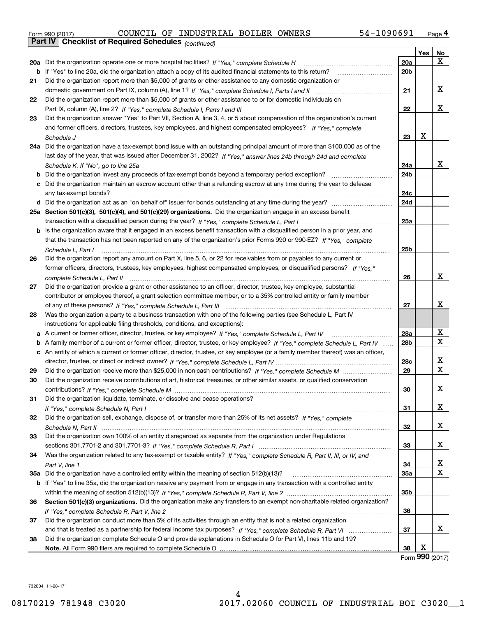| Form 990 (2017) |                                                              |  | COUNCIL OF INDUSTRIAL BOILER OWNERS |  | 54-1090691 | Page 4 |
|-----------------|--------------------------------------------------------------|--|-------------------------------------|--|------------|--------|
|                 | <b>Part IV   Checklist of Required Schedules</b> (continued) |  |                                     |  |            |        |

|    | Pall IV  <br>Criecklist of Required Scriedules (continued)                                                                                                                                                                                                        |           |            |    |
|----|-------------------------------------------------------------------------------------------------------------------------------------------------------------------------------------------------------------------------------------------------------------------|-----------|------------|----|
|    |                                                                                                                                                                                                                                                                   |           | <b>Yes</b> | No |
|    | 20a Did the organization operate one or more hospital facilities? If "Yes," complete Schedule H                                                                                                                                                                   | 20a       |            | х  |
|    | <b>b</b> If "Yes" to line 20a, did the organization attach a copy of its audited financial statements to this return?                                                                                                                                             | 20b       |            |    |
| 21 | Did the organization report more than \$5,000 of grants or other assistance to any domestic organization or                                                                                                                                                       |           |            |    |
|    |                                                                                                                                                                                                                                                                   | 21        |            | x  |
| 22 | Did the organization report more than \$5,000 of grants or other assistance to or for domestic individuals on                                                                                                                                                     |           |            |    |
|    |                                                                                                                                                                                                                                                                   | 22        |            | х  |
| 23 | Did the organization answer "Yes" to Part VII, Section A, line 3, 4, or 5 about compensation of the organization's current                                                                                                                                        |           |            |    |
|    | and former officers, directors, trustees, key employees, and highest compensated employees? If "Yes," complete                                                                                                                                                    |           |            |    |
|    |                                                                                                                                                                                                                                                                   | 23        | х          |    |
|    | 24a Did the organization have a tax-exempt bond issue with an outstanding principal amount of more than \$100,000 as of the                                                                                                                                       |           |            |    |
|    | last day of the year, that was issued after December 31, 2002? If "Yes," answer lines 24b through 24d and complete                                                                                                                                                |           |            |    |
|    | Schedule K. If "No", go to line 25a                                                                                                                                                                                                                               | 24a       |            | х  |
|    | <b>b</b> Did the organization invest any proceeds of tax-exempt bonds beyond a temporary period exception?                                                                                                                                                        | 24b       |            |    |
|    | c Did the organization maintain an escrow account other than a refunding escrow at any time during the year to defease                                                                                                                                            |           |            |    |
|    |                                                                                                                                                                                                                                                                   | 24с       |            |    |
|    |                                                                                                                                                                                                                                                                   | 24d       |            |    |
|    | 25a Section 501(c)(3), 501(c)(4), and 501(c)(29) organizations. Did the organization engage in an excess benefit                                                                                                                                                  |           |            |    |
|    |                                                                                                                                                                                                                                                                   | 25a       |            |    |
|    | b Is the organization aware that it engaged in an excess benefit transaction with a disqualified person in a prior year, and                                                                                                                                      |           |            |    |
|    | that the transaction has not been reported on any of the organization's prior Forms 990 or 990-EZ? If "Yes," complete                                                                                                                                             |           |            |    |
|    | Schedule L. Part I                                                                                                                                                                                                                                                | 25b       |            |    |
| 26 | Did the organization report any amount on Part X, line 5, 6, or 22 for receivables from or payables to any current or                                                                                                                                             |           |            |    |
|    | former officers, directors, trustees, key employees, highest compensated employees, or disqualified persons? If "Yes."                                                                                                                                            |           |            |    |
|    |                                                                                                                                                                                                                                                                   | 26        |            | x  |
| 27 | Did the organization provide a grant or other assistance to an officer, director, trustee, key employee, substantial                                                                                                                                              |           |            |    |
|    | contributor or employee thereof, a grant selection committee member, or to a 35% controlled entity or family member                                                                                                                                               |           |            |    |
|    |                                                                                                                                                                                                                                                                   | 27        |            | x  |
| 28 | Was the organization a party to a business transaction with one of the following parties (see Schedule L, Part IV                                                                                                                                                 |           |            |    |
|    | instructions for applicable filing thresholds, conditions, and exceptions):                                                                                                                                                                                       |           |            |    |
|    | a A current or former officer, director, trustee, or key employee? If "Yes," complete Schedule L, Part IV                                                                                                                                                         | 28a       |            | х  |
|    |                                                                                                                                                                                                                                                                   | 28b       |            | Х  |
|    | b A family member of a current or former officer, director, trustee, or key employee? If "Yes," complete Schedule L, Part IV<br>c An entity of which a current or former officer, director, trustee, or key employee (or a family member thereof) was an officer, |           |            |    |
|    |                                                                                                                                                                                                                                                                   |           |            | x  |
|    |                                                                                                                                                                                                                                                                   | 28c<br>29 |            | X  |
| 29 |                                                                                                                                                                                                                                                                   |           |            |    |
| 30 | Did the organization receive contributions of art, historical treasures, or other similar assets, or qualified conservation                                                                                                                                       |           |            | х  |
|    |                                                                                                                                                                                                                                                                   | 30        |            |    |
| 31 | Did the organization liquidate, terminate, or dissolve and cease operations?                                                                                                                                                                                      |           |            |    |
|    |                                                                                                                                                                                                                                                                   | 31        |            | x  |
| 32 | Did the organization sell, exchange, dispose of, or transfer more than 25% of its net assets? If "Yes," complete                                                                                                                                                  |           |            |    |
|    |                                                                                                                                                                                                                                                                   | 32        |            | x  |
| 33 | Did the organization own 100% of an entity disregarded as separate from the organization under Regulations                                                                                                                                                        |           |            |    |
|    |                                                                                                                                                                                                                                                                   | 33        |            | х  |
| 34 | Was the organization related to any tax-exempt or taxable entity? If "Yes," complete Schedule R, Part II, III, or IV, and                                                                                                                                         |           |            |    |
|    |                                                                                                                                                                                                                                                                   | 34        |            | х  |
|    | 35a Did the organization have a controlled entity within the meaning of section 512(b)(13)?                                                                                                                                                                       | 35a       |            | X  |
|    | b If "Yes" to line 35a, did the organization receive any payment from or engage in any transaction with a controlled entity                                                                                                                                       |           |            |    |
|    |                                                                                                                                                                                                                                                                   | 35b       |            |    |
| 36 | Section 501(c)(3) organizations. Did the organization make any transfers to an exempt non-charitable related organization?                                                                                                                                        |           |            |    |
|    |                                                                                                                                                                                                                                                                   | 36        |            |    |
| 37 | Did the organization conduct more than 5% of its activities through an entity that is not a related organization                                                                                                                                                  |           |            |    |
|    |                                                                                                                                                                                                                                                                   | 37        |            | х  |
| 38 | Did the organization complete Schedule O and provide explanations in Schedule O for Part VI, lines 11b and 19?                                                                                                                                                    |           |            |    |
|    |                                                                                                                                                                                                                                                                   | 38        | х          |    |

Form (2017) **990**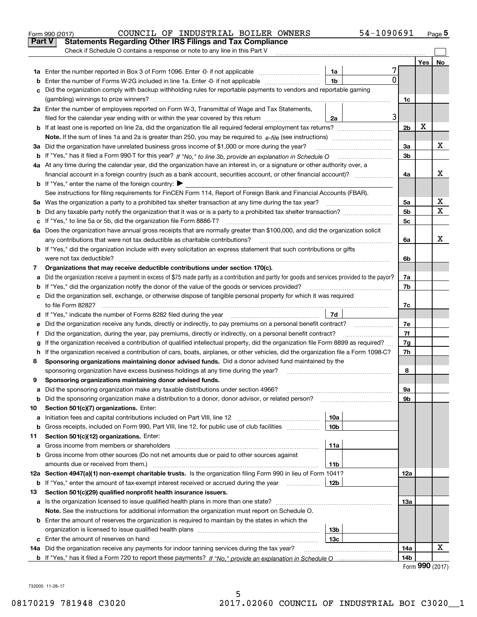|         | COUNCIL OF INDUSTRIAL BOILER OWNERS<br>Form 990 (2017)                                                                                                                                                                         |                 | 54-1090691 |                |     | <u>Page</u> 5 |  |
|---------|--------------------------------------------------------------------------------------------------------------------------------------------------------------------------------------------------------------------------------|-----------------|------------|----------------|-----|---------------|--|
| Part V  | <b>Statements Regarding Other IRS Filings and Tax Compliance</b>                                                                                                                                                               |                 |            |                |     |               |  |
|         | Check if Schedule O contains a response or note to any line in this Part V                                                                                                                                                     |                 |            |                |     |               |  |
|         |                                                                                                                                                                                                                                |                 |            |                | Yes | No            |  |
|         |                                                                                                                                                                                                                                | 1a              | 7          |                |     |               |  |
| b       | Enter the number of Forms W-2G included in line 1a. Enter -0- if not applicable                                                                                                                                                | 1 <sub>b</sub>  | 0          |                |     |               |  |
| c       | Did the organization comply with backup withholding rules for reportable payments to vendors and reportable gaming                                                                                                             |                 |            |                |     |               |  |
|         |                                                                                                                                                                                                                                |                 |            | 1c             |     |               |  |
|         | 2a Enter the number of employees reported on Form W-3, Transmittal of Wage and Tax Statements,                                                                                                                                 |                 |            |                |     |               |  |
|         | filed for the calendar year ending with or within the year covered by this return                                                                                                                                              | 2a              | 3          |                |     |               |  |
|         |                                                                                                                                                                                                                                |                 |            | 2 <sub>b</sub> | х   |               |  |
|         |                                                                                                                                                                                                                                |                 |            |                |     |               |  |
|         | 3a Did the organization have unrelated business gross income of \$1,000 or more during the year?                                                                                                                               |                 |            | За             |     | x             |  |
|         |                                                                                                                                                                                                                                |                 |            | 3b             |     |               |  |
|         | 4a At any time during the calendar year, did the organization have an interest in, or a signature or other authority over, a                                                                                                   |                 |            |                |     |               |  |
|         | financial account in a foreign country (such as a bank account, securities account, or other financial account)?                                                                                                               |                 |            | 4a             |     | x             |  |
|         | <b>b</b> If "Yes," enter the name of the foreign country: $\blacktriangleright$                                                                                                                                                |                 |            |                |     |               |  |
|         | See instructions for filing requirements for FinCEN Form 114, Report of Foreign Bank and Financial Accounts (FBAR).                                                                                                            |                 |            |                |     |               |  |
|         | 5a Was the organization a party to a prohibited tax shelter transaction at any time during the tax year?                                                                                                                       |                 |            | 5a             |     | x             |  |
| b       |                                                                                                                                                                                                                                |                 |            | 5 <sub>b</sub> |     | X             |  |
| c       | If "Yes," to line 5a or 5b, did the organization file Form 8886-T?                                                                                                                                                             |                 |            | 5c             |     |               |  |
|         | 6a Does the organization have annual gross receipts that are normally greater than \$100,000, and did the organization solicit                                                                                                 |                 |            |                |     |               |  |
|         | any contributions that were not tax deductible as charitable contributions?                                                                                                                                                    |                 |            | 6a             |     | X             |  |
|         | <b>b</b> If "Yes," did the organization include with every solicitation an express statement that such contributions or gifts                                                                                                  |                 |            |                |     |               |  |
|         | were not tax deductible?                                                                                                                                                                                                       |                 |            |                |     |               |  |
| 7       | Organizations that may receive deductible contributions under section 170(c).                                                                                                                                                  |                 |            | 7a             |     |               |  |
| а       | Did the organization receive a payment in excess of \$75 made partly as a contribution and partly for goods and services provided to the payor?                                                                                |                 |            |                |     |               |  |
| b       | If "Yes," did the organization notify the donor of the value of the goods or services provided?                                                                                                                                |                 |            | 7b             |     |               |  |
|         | c Did the organization sell, exchange, or otherwise dispose of tangible personal property for which it was required                                                                                                            |                 |            |                |     |               |  |
|         |                                                                                                                                                                                                                                |                 |            | 7c             |     |               |  |
|         | d If "Yes," indicate the number of Forms 8282 filed during the year [11] [11] The System manuscription of Forms 8282 filed during the year [11] [12] The System manuscription of the Wales of the Wales of the Wales of the Wa | 7d              |            |                |     |               |  |
| е       |                                                                                                                                                                                                                                |                 |            | 7e             |     |               |  |
| f       | Did the organization, during the year, pay premiums, directly or indirectly, on a personal benefit contract?                                                                                                                   |                 |            | 7f             |     |               |  |
| g       | If the organization received a contribution of qualified intellectual property, did the organization file Form 8899 as required?                                                                                               |                 |            | 7g             |     |               |  |
| h.      | If the organization received a contribution of cars, boats, airplanes, or other vehicles, did the organization file a Form 1098-C?                                                                                             |                 |            | 7h             |     |               |  |
| 8       | Sponsoring organizations maintaining donor advised funds. Did a donor advised fund maintained by the                                                                                                                           |                 |            |                |     |               |  |
|         | sponsoring organization have excess business holdings at any time during the year?                                                                                                                                             |                 |            | 8              |     |               |  |
|         | Sponsoring organizations maintaining donor advised funds.                                                                                                                                                                      |                 |            |                |     |               |  |
| а       | Did the sponsoring organization make any taxable distributions under section 4966?<br>Did the sponsoring organization make a distribution to a donor, donor advisor, or related person?                                        |                 |            | 9а<br>9b       |     |               |  |
| b       |                                                                                                                                                                                                                                |                 |            |                |     |               |  |
| 10<br>а | Section 501(c)(7) organizations. Enter:<br>Initiation fees and capital contributions included on Part VIII, line 12 <i>manuarrouus</i> manuations of the lates                                                                 | 10a             |            |                |     |               |  |
| b       | Gross receipts, included on Form 990, Part VIII, line 12, for public use of club facilities                                                                                                                                    | 10 <sub>b</sub> |            |                |     |               |  |
| 11      | Section 501(c)(12) organizations. Enter:                                                                                                                                                                                       |                 |            |                |     |               |  |
| a       | Gross income from members or shareholders                                                                                                                                                                                      | 11a             |            |                |     |               |  |
| b       | Gross income from other sources (Do not net amounts due or paid to other sources against                                                                                                                                       |                 |            |                |     |               |  |
|         | amounts due or received from them.)                                                                                                                                                                                            | 11b             |            |                |     |               |  |
|         | 12a Section 4947(a)(1) non-exempt charitable trusts. Is the organization filing Form 990 in lieu of Form 1041?                                                                                                                 |                 |            | 12a            |     |               |  |
|         | <b>b</b> If "Yes," enter the amount of tax-exempt interest received or accrued during the year <i>manument</i>                                                                                                                 | 12b             |            |                |     |               |  |
| 13      | Section 501(c)(29) qualified nonprofit health insurance issuers.                                                                                                                                                               |                 |            |                |     |               |  |
| а       | Is the organization licensed to issue qualified health plans in more than one state?                                                                                                                                           |                 |            | 13а            |     |               |  |
|         | Note. See the instructions for additional information the organization must report on Schedule O.                                                                                                                              |                 |            |                |     |               |  |
|         | <b>b</b> Enter the amount of reserves the organization is required to maintain by the states in which the                                                                                                                      |                 |            |                |     |               |  |
|         |                                                                                                                                                                                                                                | 13 <sub>b</sub> |            |                |     |               |  |
|         |                                                                                                                                                                                                                                | 13c             |            |                |     |               |  |
|         | 14a Did the organization receive any payments for indoor tanning services during the tax year?                                                                                                                                 |                 |            | 14a            |     | х             |  |
|         |                                                                                                                                                                                                                                |                 |            | 14b            |     |               |  |
|         |                                                                                                                                                                                                                                |                 |            |                |     |               |  |

5

Form (2017) **990**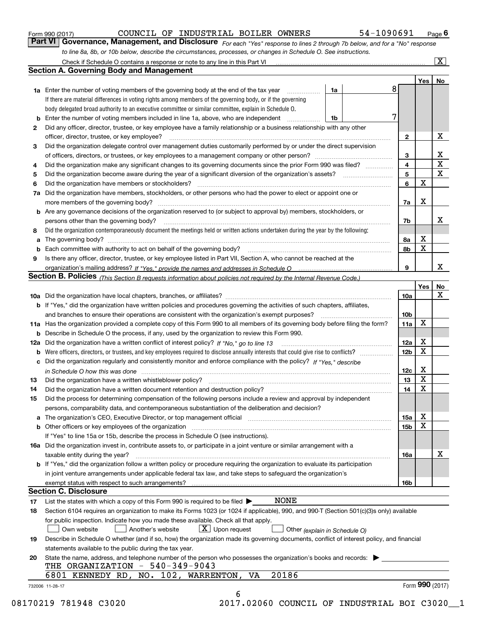|  | Form 990 (2017) |
|--|-----------------|
|  |                 |

## COUNCIL OF INDUSTRIAL BOILER OWNERS 54-1090691

*For each "Yes" response to lines 2 through 7b below, and for a "No" response to line 8a, 8b, or 10b below, describe the circumstances, processes, or changes in Schedule O. See instructions.* Form 990 (2017) Page **6Part VI Governance, Management, and Disclosure** 

|    |                                                                                                                                                                               |    |   |                 | Yes   No        |             |
|----|-------------------------------------------------------------------------------------------------------------------------------------------------------------------------------|----|---|-----------------|-----------------|-------------|
|    | <b>1a</b> Enter the number of voting members of the governing body at the end of the tax year                                                                                 | 1a | 8 |                 |                 |             |
|    | If there are material differences in voting rights among members of the governing body, or if the governing                                                                   |    |   |                 |                 |             |
|    | body delegated broad authority to an executive committee or similar committee, explain in Schedule O.                                                                         |    |   |                 |                 |             |
|    | <b>b</b> Enter the number of voting members included in line 1a, above, who are independent <i>manumum</i>                                                                    | 1b | 7 |                 |                 |             |
| 2  | Did any officer, director, trustee, or key employee have a family relationship or a business relationship with any other                                                      |    |   |                 |                 |             |
|    | officer, director, trustee, or key employee?                                                                                                                                  |    |   | $\mathbf{2}$    |                 | X           |
| 3  | Did the organization delegate control over management duties customarily performed by or under the direct supervision                                                         |    |   |                 |                 |             |
|    |                                                                                                                                                                               |    |   | 3               |                 | X           |
| 4  | Did the organization make any significant changes to its governing documents since the prior Form 990 was filed?                                                              |    |   | $\overline{4}$  |                 | $\mathbf X$ |
| 5  |                                                                                                                                                                               |    |   | 5               |                 | X           |
| 6  |                                                                                                                                                                               |    |   | 6               | $\mathbf X$     |             |
| 7a | Did the organization have members, stockholders, or other persons who had the power to elect or appoint one or                                                                |    |   |                 |                 |             |
|    |                                                                                                                                                                               |    |   | 7a              | Х               |             |
|    | <b>b</b> Are any governance decisions of the organization reserved to (or subject to approval by) members, stockholders, or                                                   |    |   |                 |                 |             |
|    | persons other than the governing body?                                                                                                                                        |    |   | 7b              |                 | x           |
| 8  | Did the organization contemporaneously document the meetings held or written actions undertaken during the year by the following:                                             |    |   |                 |                 |             |
| a  |                                                                                                                                                                               |    |   | 8a              | X               |             |
|    |                                                                                                                                                                               |    |   | 8b              | X               |             |
| 9  | Is there any officer, director, trustee, or key employee listed in Part VII, Section A, who cannot be reached at the                                                          |    |   |                 |                 |             |
|    |                                                                                                                                                                               |    |   | 9               |                 | x           |
|    | Section B. Policies (This Section B requests information about policies not required by the Internal Revenue Code.)                                                           |    |   |                 |                 |             |
|    |                                                                                                                                                                               |    |   |                 | Yes             | No          |
|    |                                                                                                                                                                               |    |   | 10a             |                 | X           |
|    | <b>b</b> If "Yes," did the organization have written policies and procedures governing the activities of such chapters, affiliates,                                           |    |   |                 |                 |             |
|    |                                                                                                                                                                               |    |   | 10 <sub>b</sub> |                 |             |
|    | 11a Has the organization provided a complete copy of this Form 990 to all members of its governing body before filing the form?                                               |    |   | 11a             | X               |             |
|    | <b>b</b> Describe in Schedule O the process, if any, used by the organization to review this Form 990.                                                                        |    |   |                 |                 |             |
|    |                                                                                                                                                                               |    |   | 12a             | X               |             |
| b  |                                                                                                                                                                               |    |   | 12 <sub>b</sub> | X               |             |
|    | c Did the organization regularly and consistently monitor and enforce compliance with the policy? If "Yes." describe                                                          |    |   |                 |                 |             |
|    |                                                                                                                                                                               |    |   | 12c             | X               |             |
|    | in Schedule O how this was done manufactured and continuum control of the Schedule O how this was done manufactured and continuum control of the Schedule O how this was done |    |   | 13              | X               |             |
| 13 |                                                                                                                                                                               |    |   | 14              | X               |             |
| 14 | Did the organization have a written document retention and destruction policy? manufactured and the organization have a written document retention and destruction policy?    |    |   |                 |                 |             |
| 15 | Did the process for determining compensation of the following persons include a review and approval by independent                                                            |    |   |                 |                 |             |
|    | persons, comparability data, and contemporaneous substantiation of the deliberation and decision?                                                                             |    |   |                 | X               |             |
|    |                                                                                                                                                                               |    |   | 15a             | X               |             |
|    |                                                                                                                                                                               |    |   | 15 <sub>b</sub> |                 |             |
|    | If "Yes" to line 15a or 15b, describe the process in Schedule O (see instructions).                                                                                           |    |   |                 |                 |             |
|    | 16a Did the organization invest in, contribute assets to, or participate in a joint venture or similar arrangement with a                                                     |    |   |                 |                 |             |
|    | taxable entity during the year?                                                                                                                                               |    |   | 16a             |                 | X           |
|    | b If "Yes," did the organization follow a written policy or procedure requiring the organization to evaluate its participation                                                |    |   |                 |                 |             |
|    | in joint venture arrangements under applicable federal tax law, and take steps to safequard the organization's                                                                |    |   |                 |                 |             |
|    | exempt status with respect to such arrangements?                                                                                                                              |    |   | 16 <sub>b</sub> |                 |             |
|    | <b>Section C. Disclosure</b>                                                                                                                                                  |    |   |                 |                 |             |
| 17 | <b>NONE</b><br>List the states with which a copy of this Form 990 is required to be filed $\blacktriangleright$                                                               |    |   |                 |                 |             |
| 18 | Section 6104 requires an organization to make its Forms 1023 (or 1024 if applicable), 990, and 990-T (Section 501(c)(3)s only) available                                      |    |   |                 |                 |             |
|    | for public inspection. Indicate how you made these available. Check all that apply.                                                                                           |    |   |                 |                 |             |
|    | $X$ Upon request<br>Another's website<br>Own website<br>Other (explain in Schedule O)                                                                                         |    |   |                 |                 |             |
| 19 | Describe in Schedule O whether (and if so, how) the organization made its governing documents, conflict of interest policy, and financial                                     |    |   |                 |                 |             |
|    | statements available to the public during the tax year.                                                                                                                       |    |   |                 |                 |             |
| 20 | State the name, address, and telephone number of the person who possesses the organization's books and records:                                                               |    |   |                 |                 |             |
|    | THE ORGANIZATION $-540-349-9043$                                                                                                                                              |    |   |                 |                 |             |
|    | 20186<br>6801 KENNEDY RD, NO. 102, WARRENTON, VA                                                                                                                              |    |   |                 | Form 990 (2017) |             |
|    |                                                                                                                                                                               |    |   |                 |                 |             |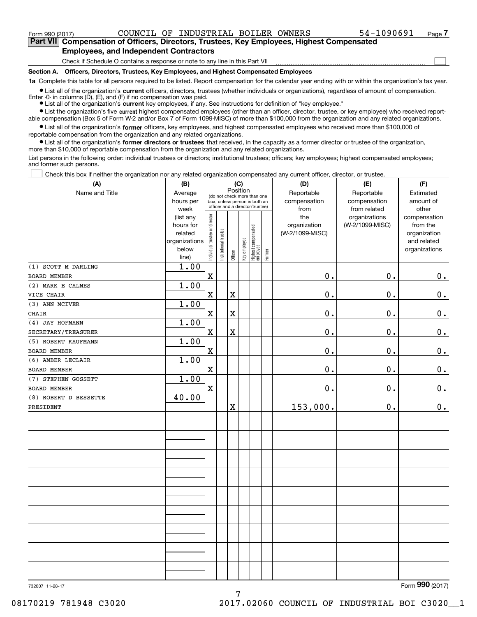$_{\rm Form}$   $_{990}$   $_{(2017)}$   $_{\rm COUNCLL}$  OF INDUSTRIAL BOILER OWNERS  $_{\rm 54-1090691}$   $_{\rm Page}$ 

 $\mathcal{L}^{\text{max}}$ 

**7Part VII Compensation of Officers, Directors, Trustees, Key Employees, Highest Compensated Employees, and Independent Contractors**

Check if Schedule O contains a response or note to any line in this Part VII

**Section A. Officers, Directors, Trustees, Key Employees, and Highest Compensated Employees**

**1a**  Complete this table for all persons required to be listed. Report compensation for the calendar year ending with or within the organization's tax year.

**•** List all of the organization's current officers, directors, trustees (whether individuals or organizations), regardless of amount of compensation. Enter -0- in columns  $(D)$ ,  $(E)$ , and  $(F)$  if no compensation was paid.

● List all of the organization's **current** key employees, if any. See instructions for definition of "key employee."

**•** List the organization's five current highest compensated employees (other than an officer, director, trustee, or key employee) who received reportable compensation (Box 5 of Form W-2 and/or Box 7 of Form 1099-MISC) of more than \$100,000 from the organization and any related organizations.

 $\bullet$  List all of the organization's **former** officers, key employees, and highest compensated employees who received more than \$100,000 of reportable compensation from the organization and any related organizations.

**•** List all of the organization's former directors or trustees that received, in the capacity as a former director or trustee of the organization, more than \$10,000 of reportable compensation from the organization and any related organizations.

List persons in the following order: individual trustees or directors; institutional trustees; officers; key employees; highest compensated employees; and former such persons.

Check this box if neither the organization nor any related organization compensated any current officer, director, or trustee.  $\mathcal{L}^{\text{max}}$ 

| (A)                   | (B)                  | (C)                            |                                                                  |             |              | (D)    | (E)                 | (F)             |                          |
|-----------------------|----------------------|--------------------------------|------------------------------------------------------------------|-------------|--------------|--------|---------------------|-----------------|--------------------------|
| Name and Title        | Average              |                                | (do not check more than one                                      |             | Position     |        | Reportable          | Reportable      | Estimated                |
|                       | hours per            |                                | box, unless person is both an<br>officer and a director/trustee) |             |              |        | compensation        | compensation    | amount of                |
|                       | week                 |                                |                                                                  |             |              |        | from                | from related    | other                    |
|                       | (list any            |                                |                                                                  |             |              |        | the<br>organization | organizations   | compensation             |
|                       | hours for<br>related |                                |                                                                  |             |              |        | (W-2/1099-MISC)     | (W-2/1099-MISC) | from the<br>organization |
|                       | organizations        |                                | Highest compensated<br> employee                                 |             |              |        | and related         |                 |                          |
|                       | below                | Individual trustee or director | Institutional trustee                                            |             | Key employee |        |                     |                 | organizations            |
|                       | line)                |                                |                                                                  | Officer     |              | Former |                     |                 |                          |
| (1) SCOTT M DARLING   | 1.00                 |                                |                                                                  |             |              |        |                     |                 |                          |
| <b>BOARD MEMBER</b>   |                      | $\rm X$                        |                                                                  |             |              |        | 0.                  | $\mathbf 0$ .   | $0_{.}$                  |
| (2) MARK E CALMES     | 1.00                 |                                |                                                                  |             |              |        |                     |                 |                          |
| VICE CHAIR            |                      | $\mathbf x$                    |                                                                  | $\mathbf X$ |              |        | 0.                  | $\mathbf 0$ .   | $\mathbf 0$ .            |
| (3) ANN MCIVER        | 1.00                 |                                |                                                                  |             |              |        |                     |                 |                          |
| <b>CHAIR</b>          |                      | $\mathbf X$                    |                                                                  | $\mathbf x$ |              |        | 0.                  | $\mathbf 0$ .   | $\mathbf 0$ .            |
| (4) JAY HOFMANN       | 1.00                 |                                |                                                                  |             |              |        |                     |                 |                          |
| SECRETARY/TREASURER   |                      | $\overline{\textbf{X}}$        |                                                                  | $\mathbf x$ |              |        | 0.                  | $\mathbf 0$ .   | $\mathbf 0$ .            |
| (5) ROBERT KAUFMANN   | 1.00                 |                                |                                                                  |             |              |        |                     |                 |                          |
| <b>BOARD MEMBER</b>   |                      | $\mathbf x$                    |                                                                  |             |              |        | 0.                  | $\mathbf{0}$ .  | $0_{.}$                  |
| (6) AMBER LECLAIR     | 1.00                 |                                |                                                                  |             |              |        |                     |                 |                          |
| <b>BOARD MEMBER</b>   |                      | $\mathbf X$                    |                                                                  |             |              |        | 0.                  | $\mathbf 0$ .   | $\mathbf 0$ .            |
| (7) STEPHEN GOSSETT   | 1.00                 |                                |                                                                  |             |              |        |                     |                 |                          |
| <b>BOARD MEMBER</b>   |                      | $\mathbf x$                    |                                                                  |             |              |        | 0.                  | $\mathbf 0$ .   | $0_{.}$                  |
| (8) ROBERT D BESSETTE | 40.00                |                                |                                                                  |             |              |        |                     |                 |                          |
| PRESIDENT             |                      |                                |                                                                  | $\mathbf X$ |              |        | 153,000.            | $\mathbf 0$ .   | 0.                       |
|                       |                      |                                |                                                                  |             |              |        |                     |                 |                          |
|                       |                      |                                |                                                                  |             |              |        |                     |                 |                          |
|                       |                      |                                |                                                                  |             |              |        |                     |                 |                          |
|                       |                      |                                |                                                                  |             |              |        |                     |                 |                          |
|                       |                      |                                |                                                                  |             |              |        |                     |                 |                          |
|                       |                      |                                |                                                                  |             |              |        |                     |                 |                          |
|                       |                      |                                |                                                                  |             |              |        |                     |                 |                          |
|                       |                      |                                |                                                                  |             |              |        |                     |                 |                          |
|                       |                      |                                |                                                                  |             |              |        |                     |                 |                          |
|                       |                      |                                |                                                                  |             |              |        |                     |                 |                          |
|                       |                      |                                |                                                                  |             |              |        |                     |                 |                          |
|                       |                      |                                |                                                                  |             |              |        |                     |                 |                          |
|                       |                      |                                |                                                                  |             |              |        |                     |                 |                          |
|                       |                      |                                |                                                                  |             |              |        |                     |                 |                          |
|                       |                      |                                |                                                                  |             |              |        |                     |                 |                          |
|                       |                      |                                |                                                                  |             |              |        |                     |                 |                          |
|                       |                      |                                |                                                                  |             |              |        |                     |                 |                          |
|                       |                      |                                |                                                                  |             |              |        |                     |                 |                          |

7

732007 11-28-17

Form (2017) **990**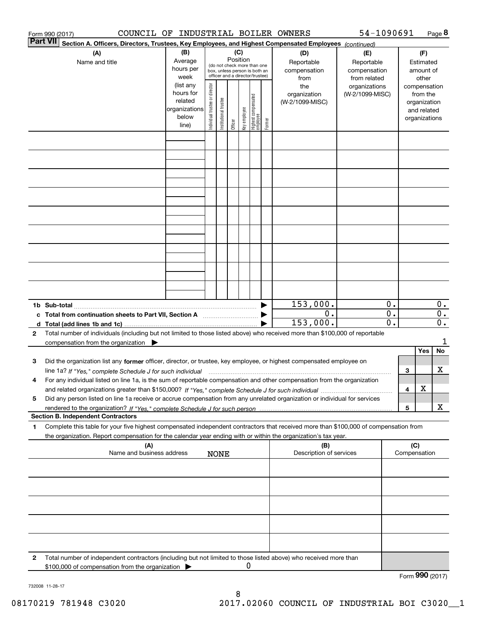|              | COUNCIL OF INDUSTRIAL BOILER OWNERS<br>Form 990 (2017)                                                                                          |                          |                                |                       |          |              |                                         |        |                 | 54-1090691      |                  |                 |               | Page 8           |
|--------------|-------------------------------------------------------------------------------------------------------------------------------------------------|--------------------------|--------------------------------|-----------------------|----------|--------------|-----------------------------------------|--------|-----------------|-----------------|------------------|-----------------|---------------|------------------|
|              | <b>Part VII</b><br>Section A. Officers, Directors, Trustees, Key Employees, and Highest Compensated Employees (continued)                       |                          |                                |                       |          |              |                                         |        |                 |                 |                  |                 |               |                  |
|              | (B)<br>(C)<br>(A)<br>(D)<br>(E)                                                                                                                 |                          |                                |                       |          |              |                                         |        |                 |                 |                  |                 | (F)           |                  |
|              | Name and title                                                                                                                                  | Average                  |                                |                       | Position |              | (do not check more than one             |        | Reportable      | Reportable      |                  |                 | Estimated     |                  |
|              |                                                                                                                                                 | hours per                |                                |                       |          |              | box, unless person is both an           |        | compensation    | compensation    |                  |                 | amount of     |                  |
|              |                                                                                                                                                 | week                     |                                |                       |          |              | officer and a director/trustee)         |        | from            | from related    |                  |                 | other         |                  |
|              |                                                                                                                                                 | (list any                |                                |                       |          |              |                                         |        | the             | organizations   |                  |                 | compensation  |                  |
|              |                                                                                                                                                 | hours for                |                                |                       |          |              |                                         |        | organization    | (W-2/1099-MISC) |                  |                 | from the      |                  |
|              |                                                                                                                                                 | related<br>organizations |                                |                       |          |              |                                         |        | (W-2/1099-MISC) |                 |                  |                 | organization  |                  |
|              |                                                                                                                                                 | below                    |                                |                       |          |              |                                         |        |                 |                 |                  |                 | and related   |                  |
|              |                                                                                                                                                 | line)                    | Individual trustee or director | Institutional trustee | Officer  | Key employee | <br>  Highest compensated<br>  employee | Former |                 |                 |                  |                 | organizations |                  |
|              |                                                                                                                                                 |                          |                                |                       |          |              |                                         |        |                 |                 |                  |                 |               |                  |
|              |                                                                                                                                                 |                          |                                |                       |          |              |                                         |        |                 |                 |                  |                 |               |                  |
|              |                                                                                                                                                 |                          |                                |                       |          |              |                                         |        |                 |                 |                  |                 |               |                  |
|              |                                                                                                                                                 |                          |                                |                       |          |              |                                         |        |                 |                 |                  |                 |               |                  |
|              |                                                                                                                                                 |                          |                                |                       |          |              |                                         |        |                 |                 |                  |                 |               |                  |
|              |                                                                                                                                                 |                          |                                |                       |          |              |                                         |        |                 |                 |                  |                 |               |                  |
|              |                                                                                                                                                 |                          |                                |                       |          |              |                                         |        |                 |                 |                  |                 |               |                  |
|              |                                                                                                                                                 |                          |                                |                       |          |              |                                         |        |                 |                 |                  |                 |               |                  |
|              |                                                                                                                                                 |                          |                                |                       |          |              |                                         |        |                 |                 |                  |                 |               |                  |
|              |                                                                                                                                                 |                          |                                |                       |          |              |                                         |        |                 |                 |                  |                 |               |                  |
|              |                                                                                                                                                 |                          |                                |                       |          |              |                                         |        |                 |                 |                  |                 |               |                  |
|              |                                                                                                                                                 |                          |                                |                       |          |              |                                         |        |                 |                 |                  |                 |               |                  |
|              |                                                                                                                                                 |                          |                                |                       |          |              |                                         |        |                 |                 |                  |                 |               |                  |
|              |                                                                                                                                                 |                          |                                |                       |          |              |                                         |        |                 |                 |                  |                 |               |                  |
|              |                                                                                                                                                 |                          |                                |                       |          |              |                                         |        |                 |                 |                  |                 |               |                  |
|              |                                                                                                                                                 |                          |                                |                       |          |              |                                         |        |                 |                 |                  |                 |               |                  |
|              |                                                                                                                                                 |                          |                                |                       |          |              |                                         |        | 153,000.        |                 | 0.               |                 |               | 0.               |
|              |                                                                                                                                                 |                          |                                |                       |          |              |                                         |        | 0.              |                 | $\overline{0}$ . |                 |               | $\overline{0}$ . |
|              | c Total from continuation sheets to Part VII, Section A <b>manual</b> Testion Section A                                                         |                          |                                |                       |          |              |                                         |        | 153,000.        |                 | $\overline{0}$ . |                 |               | $\overline{0}$ . |
| $\mathbf{2}$ | Total number of individuals (including but not limited to those listed above) who received more than \$100,000 of reportable                    |                          |                                |                       |          |              |                                         |        |                 |                 |                  |                 |               |                  |
|              | compensation from the organization $\blacktriangleright$                                                                                        |                          |                                |                       |          |              |                                         |        |                 |                 |                  |                 |               | 1                |
|              |                                                                                                                                                 |                          |                                |                       |          |              |                                         |        |                 |                 |                  |                 | Yes           | No               |
| 3            | Did the organization list any former officer, director, or trustee, key employee, or highest compensated employee on                            |                          |                                |                       |          |              |                                         |        |                 |                 |                  |                 |               |                  |
|              | line 1a? If "Yes," complete Schedule J for such individual manufactured contained and the 1a? If "Yes," complete Schedule J for such individual |                          |                                |                       |          |              |                                         |        |                 |                 |                  | З               |               | х                |
|              | For any individual listed on line 1a, is the sum of reportable compensation and other compensation from the organization                        |                          |                                |                       |          |              |                                         |        |                 |                 |                  |                 |               |                  |
|              |                                                                                                                                                 |                          |                                |                       |          |              |                                         |        |                 |                 |                  | 4               | х             |                  |
| 5            | Did any person listed on line 1a receive or accrue compensation from any unrelated organization or individual for services                      |                          |                                |                       |          |              |                                         |        |                 |                 |                  |                 |               |                  |
|              |                                                                                                                                                 |                          |                                |                       |          |              |                                         |        |                 |                 |                  | 5               |               | x                |
|              | <b>Section B. Independent Contractors</b>                                                                                                       |                          |                                |                       |          |              |                                         |        |                 |                 |                  |                 |               |                  |
| 1            | Complete this table for your five highest compensated independent contractors that received more than \$100,000 of compensation from            |                          |                                |                       |          |              |                                         |        |                 |                 |                  |                 |               |                  |
|              | the organization. Report compensation for the calendar year ending with or within the organization's tax year.                                  |                          |                                |                       |          |              |                                         |        |                 |                 |                  |                 |               |                  |
|              | (A)                                                                                                                                             |                          |                                |                       |          |              |                                         |        | (B)             |                 |                  | (C)             |               |                  |
|              | Name and business address<br>Description of services<br>Compensation<br><b>NONE</b>                                                             |                          |                                |                       |          |              |                                         |        |                 |                 |                  |                 |               |                  |
|              |                                                                                                                                                 |                          |                                |                       |          |              |                                         |        |                 |                 |                  |                 |               |                  |
|              |                                                                                                                                                 |                          |                                |                       |          |              |                                         |        |                 |                 |                  |                 |               |                  |
|              |                                                                                                                                                 |                          |                                |                       |          |              |                                         |        |                 |                 |                  |                 |               |                  |
|              |                                                                                                                                                 |                          |                                |                       |          |              |                                         |        |                 |                 |                  |                 |               |                  |
|              |                                                                                                                                                 |                          |                                |                       |          |              |                                         |        |                 |                 |                  |                 |               |                  |
|              |                                                                                                                                                 |                          |                                |                       |          |              |                                         |        |                 |                 |                  |                 |               |                  |
|              |                                                                                                                                                 |                          |                                |                       |          |              |                                         |        |                 |                 |                  |                 |               |                  |
|              |                                                                                                                                                 |                          |                                |                       |          |              |                                         |        |                 |                 |                  |                 |               |                  |
| 2            | Total number of independent contractors (including but not limited to those listed above) who received more than                                |                          |                                |                       |          |              |                                         |        |                 |                 |                  |                 |               |                  |
|              | \$100,000 of compensation from the organization                                                                                                 |                          |                                |                       |          | 0            |                                         |        |                 |                 |                  |                 |               |                  |
|              |                                                                                                                                                 |                          |                                |                       |          |              |                                         |        |                 |                 |                  | Form 990 (2017) |               |                  |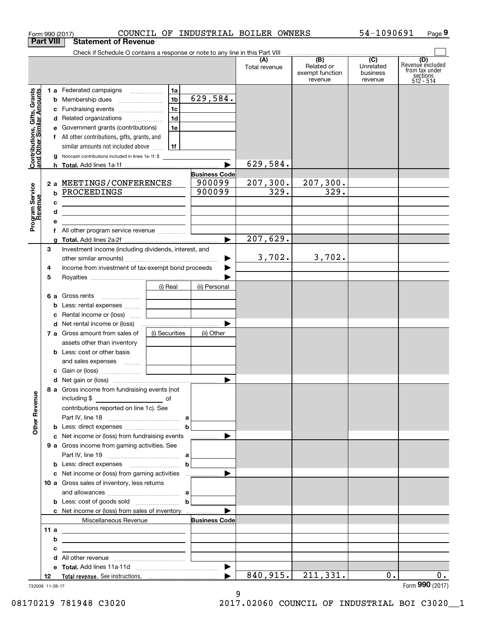|                                                           |                  | COUNCIL OF INDUSTRIAL BOILER OWNERS<br>Form 990 (2017)                                                                |                      |                      |                                                 | 54-1090691                                         | Page 9                                                             |
|-----------------------------------------------------------|------------------|-----------------------------------------------------------------------------------------------------------------------|----------------------|----------------------|-------------------------------------------------|----------------------------------------------------|--------------------------------------------------------------------|
|                                                           | <b>Part VIII</b> | <b>Statement of Revenue</b>                                                                                           |                      |                      |                                                 |                                                    |                                                                    |
|                                                           |                  | Check if Schedule O contains a response or note to any line in this Part VIII                                         |                      |                      |                                                 |                                                    |                                                                    |
|                                                           |                  |                                                                                                                       |                      | (A)<br>Total revenue | (B)<br>Related or<br>exempt function<br>revenue | $\overline{C}$<br>Unrelated<br>business<br>revenue | (D)<br>Revenuè excluded<br>from tax under<br>sections<br>512 - 514 |
|                                                           |                  | 1a  <br>1 a Federated campaigns                                                                                       |                      |                      |                                                 |                                                    |                                                                    |
| Contributions, Gifts, Grants<br>and Other Similar Amounts |                  |                                                                                                                       | 629, 584.            |                      |                                                 |                                                    |                                                                    |
|                                                           |                  | 1c<br>c Fundraising events                                                                                            |                      |                      |                                                 |                                                    |                                                                    |
|                                                           |                  | 1d <br>d Related organizations                                                                                        |                      |                      |                                                 |                                                    |                                                                    |
|                                                           |                  | 1e<br>e Government grants (contributions)                                                                             |                      |                      |                                                 |                                                    |                                                                    |
|                                                           |                  | f All other contributions, gifts, grants, and                                                                         |                      |                      |                                                 |                                                    |                                                                    |
|                                                           |                  | similar amounts not included above $\frac{1}{1!}$ 1f                                                                  |                      |                      |                                                 |                                                    |                                                                    |
|                                                           |                  | <b>g</b> Noncash contributions included in lines 1a-1f: \$                                                            |                      | 629,584.             |                                                 |                                                    |                                                                    |
|                                                           |                  |                                                                                                                       | <b>Business Code</b> |                      |                                                 |                                                    |                                                                    |
|                                                           |                  | 2 a MEETINGS/CONFERENCES                                                                                              | 900099               | 207,300.             | 207, 300.                                       |                                                    |                                                                    |
|                                                           |                  | <b>b PROCEEDINGS</b>                                                                                                  | 900099               | 329.                 | $\overline{329}$ .                              |                                                    |                                                                    |
|                                                           | c                | <u> 1999 - Johann Barbara, martin amerikan ba</u>                                                                     |                      |                      |                                                 |                                                    |                                                                    |
|                                                           | d                | <u> 1989 - Johann Stein, mars an deutscher Stein († 1958)</u>                                                         |                      |                      |                                                 |                                                    |                                                                    |
| Program Service<br>Revenue                                | е                |                                                                                                                       |                      |                      |                                                 |                                                    |                                                                    |
|                                                           |                  |                                                                                                                       |                      |                      |                                                 |                                                    |                                                                    |
|                                                           |                  |                                                                                                                       |                      | 207,629.             |                                                 |                                                    |                                                                    |
|                                                           | З                | Investment income (including dividends, interest, and                                                                 |                      |                      |                                                 |                                                    |                                                                    |
|                                                           |                  |                                                                                                                       | ▶                    | 3,702.               | 3,702.                                          |                                                    |                                                                    |
|                                                           | 4                | Income from investment of tax-exempt bond proceeds                                                                    |                      |                      |                                                 |                                                    |                                                                    |
|                                                           | 5                |                                                                                                                       |                      |                      |                                                 |                                                    |                                                                    |
|                                                           |                  | (i) Real                                                                                                              | (ii) Personal        |                      |                                                 |                                                    |                                                                    |
|                                                           |                  | 6 a Gross rents                                                                                                       |                      |                      |                                                 |                                                    |                                                                    |
|                                                           |                  | <b>b</b> Less: rental expenses<br>c Rental income or (loss)                                                           |                      |                      |                                                 |                                                    |                                                                    |
|                                                           |                  | <b>d</b> Net rental income or (loss)                                                                                  |                      |                      |                                                 |                                                    |                                                                    |
|                                                           |                  | (i) Securities<br>7 a Gross amount from sales of                                                                      | (ii) Other           |                      |                                                 |                                                    |                                                                    |
|                                                           |                  | assets other than inventory                                                                                           |                      |                      |                                                 |                                                    |                                                                    |
|                                                           |                  | <b>b</b> Less: cost or other basis                                                                                    |                      |                      |                                                 |                                                    |                                                                    |
|                                                           |                  | and sales expenses                                                                                                    |                      |                      |                                                 |                                                    |                                                                    |
|                                                           |                  |                                                                                                                       |                      |                      |                                                 |                                                    |                                                                    |
|                                                           |                  |                                                                                                                       |                      |                      |                                                 |                                                    |                                                                    |
| <b>Other Revenue</b>                                      |                  | 8 a Gross income from fundraising events (not<br>including \$                                                         |                      |                      |                                                 |                                                    |                                                                    |
|                                                           |                  | contributions reported on line 1c). See                                                                               |                      |                      |                                                 |                                                    |                                                                    |
|                                                           |                  |                                                                                                                       |                      |                      |                                                 |                                                    |                                                                    |
|                                                           |                  |                                                                                                                       |                      |                      |                                                 |                                                    |                                                                    |
|                                                           |                  | c Net income or (loss) from fundraising events                                                                        |                      |                      |                                                 |                                                    |                                                                    |
|                                                           |                  | <b>9 a</b> Gross income from gaming activities. See                                                                   |                      |                      |                                                 |                                                    |                                                                    |
|                                                           |                  |                                                                                                                       |                      |                      |                                                 |                                                    |                                                                    |
|                                                           |                  | c Net income or (loss) from gaming activities                                                                         |                      |                      |                                                 |                                                    |                                                                    |
|                                                           |                  | 10 a Gross sales of inventory, less returns                                                                           |                      |                      |                                                 |                                                    |                                                                    |
|                                                           |                  | and allowances $\ldots$ , $\ldots$ , $\ldots$ , $\ldots$ , $\ldots$ , $\ldots$ , $\ldots$                             |                      |                      |                                                 |                                                    |                                                                    |
|                                                           |                  |                                                                                                                       |                      |                      |                                                 |                                                    |                                                                    |
|                                                           |                  | c Net income or (loss) from sales of inventory                                                                        |                      |                      |                                                 |                                                    |                                                                    |
|                                                           |                  | Miscellaneous Revenue                                                                                                 | <b>Business Code</b> |                      |                                                 |                                                    |                                                                    |
|                                                           | 11 a             | <u> 1980 - Andrea Andrew Maria (h. 1980).</u>                                                                         |                      |                      |                                                 |                                                    |                                                                    |
|                                                           | b                |                                                                                                                       |                      |                      |                                                 |                                                    |                                                                    |
|                                                           | с                | <u> 1980 - Jan Sterling von Berling von Berling von Berling von Berling von Berling von Berling von Berling von B</u> |                      |                      |                                                 |                                                    |                                                                    |
|                                                           |                  | d                                                                                                                     |                      |                      |                                                 |                                                    |                                                                    |
|                                                           |                  |                                                                                                                       |                      |                      |                                                 |                                                    |                                                                    |
|                                                           | 12               |                                                                                                                       |                      | 840,915.             | 211,331.                                        | 0.                                                 | $0$ .                                                              |
| 732009 11-28-17                                           |                  |                                                                                                                       |                      |                      |                                                 |                                                    | Form 990 (2017)                                                    |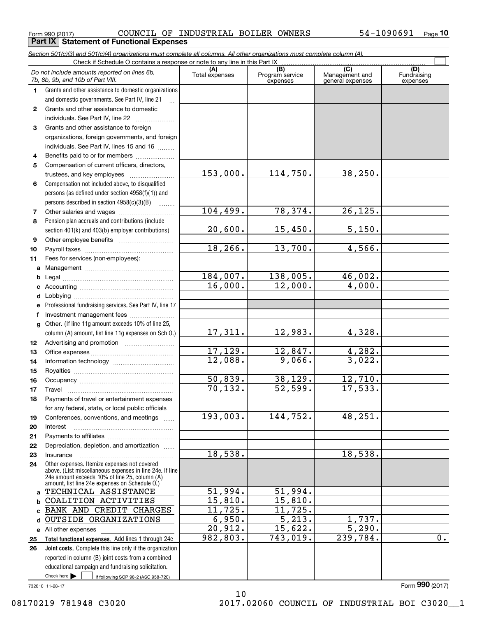$_{\rm Form}$   $_{990}$  (2017)  $_{\rm PQe}$  COUNCIL OF INDUSTRIAL BOILER OWNERS  $_{\rm 54-1090691}$   $_{\rm Page}$ **Part IX | Statement of Functional Expenses** 

|                 | Section 501(c)(3) and 501(c)(4) organizations must complete all columns. All other organizations must complete column (A).                                                                                  |                |                             |                                    |                         |
|-----------------|-------------------------------------------------------------------------------------------------------------------------------------------------------------------------------------------------------------|----------------|-----------------------------|------------------------------------|-------------------------|
|                 | Check if Schedule O contains a response or note to any line in this Part IX.                                                                                                                                | (A)            | (B)                         | $\overline{C}$                     | (D)                     |
|                 | Do not include amounts reported on lines 6b,<br>7b, 8b, 9b, and 10b of Part VIII.                                                                                                                           | Total expenses | Program service<br>expenses | Management and<br>general expenses | Fundraising<br>expenses |
| 1.              | Grants and other assistance to domestic organizations                                                                                                                                                       |                |                             |                                    |                         |
|                 | and domestic governments. See Part IV, line 21                                                                                                                                                              |                |                             |                                    |                         |
| $\mathbf{2}$    | Grants and other assistance to domestic                                                                                                                                                                     |                |                             |                                    |                         |
|                 | individuals. See Part IV, line 22                                                                                                                                                                           |                |                             |                                    |                         |
| 3               | Grants and other assistance to foreign                                                                                                                                                                      |                |                             |                                    |                         |
|                 | organizations, foreign governments, and foreign                                                                                                                                                             |                |                             |                                    |                         |
|                 | individuals. See Part IV, lines 15 and 16                                                                                                                                                                   |                |                             |                                    |                         |
| 4               | Benefits paid to or for members                                                                                                                                                                             |                |                             |                                    |                         |
| 5               | Compensation of current officers, directors,                                                                                                                                                                |                |                             |                                    |                         |
|                 | trustees, and key employees                                                                                                                                                                                 | 153,000.       | 114,750.                    | 38, 250.                           |                         |
| 6               | Compensation not included above, to disqualified                                                                                                                                                            |                |                             |                                    |                         |
|                 | persons (as defined under section 4958(f)(1)) and                                                                                                                                                           |                |                             |                                    |                         |
|                 | persons described in section 4958(c)(3)(B)                                                                                                                                                                  | 104,499.       | 78, 374.                    | 26, 125.                           |                         |
| 7               | Other salaries and wages                                                                                                                                                                                    |                |                             |                                    |                         |
| 8               | Pension plan accruals and contributions (include                                                                                                                                                            | 20,600.        | 15,450.                     | 5,150.                             |                         |
|                 | section 401(k) and 403(b) employer contributions)                                                                                                                                                           |                |                             |                                    |                         |
| 9               |                                                                                                                                                                                                             | 18, 266.       | 13,700.                     | 4,566.                             |                         |
| 10              |                                                                                                                                                                                                             |                |                             |                                    |                         |
| 11              | Fees for services (non-employees):                                                                                                                                                                          |                |                             |                                    |                         |
| a               |                                                                                                                                                                                                             | 184,007.       | 138,005.                    | 46,002.                            |                         |
| b               |                                                                                                                                                                                                             | 16,000.        | 12,000.                     | 4,000.                             |                         |
| c<br>d          |                                                                                                                                                                                                             |                |                             |                                    |                         |
| е               | Professional fundraising services. See Part IV, line 17                                                                                                                                                     |                |                             |                                    |                         |
| f               | Investment management fees                                                                                                                                                                                  |                |                             |                                    |                         |
| g               | Other. (If line 11g amount exceeds 10% of line 25,                                                                                                                                                          |                |                             |                                    |                         |
|                 | column (A) amount, list line 11g expenses on Sch O.)                                                                                                                                                        | 17,311.        | 12,983.                     | 4,328.                             |                         |
| 12 <sub>2</sub> |                                                                                                                                                                                                             |                |                             |                                    |                         |
| 13              |                                                                                                                                                                                                             | 17,129.        | 12,847.                     | 4,282.                             |                         |
| 14              |                                                                                                                                                                                                             | 12,088.        | 9,066.                      | 3,022.                             |                         |
| 15              |                                                                                                                                                                                                             |                |                             |                                    |                         |
| 16              |                                                                                                                                                                                                             | 50,839.        | 38, 129.                    | 12,710.                            |                         |
| 17              |                                                                                                                                                                                                             | 70, 132.       | 52,599.                     | 17,533.                            |                         |
| 18              | Payments of travel or entertainment expenses                                                                                                                                                                |                |                             |                                    |                         |
|                 | for any federal, state, or local public officials                                                                                                                                                           |                |                             |                                    |                         |
| 19              | Conferences, conventions, and meetings                                                                                                                                                                      | 193,003.       | 144,752.                    | 48,251.                            |                         |
| 20              | Interest                                                                                                                                                                                                    |                |                             |                                    |                         |
| 21              |                                                                                                                                                                                                             |                |                             |                                    |                         |
| 22              | Depreciation, depletion, and amortization                                                                                                                                                                   |                |                             |                                    |                         |
| 23              | Insurance                                                                                                                                                                                                   | 18,538.        |                             | 18,538.                            |                         |
| 24              | Other expenses. Itemize expenses not covered<br>above. (List miscellaneous expenses in line 24e. If line<br>24e amount exceeds 10% of line 25, column (A)<br>amount, list line 24e expenses on Schedule O.) |                |                             |                                    |                         |
| a               | TECHNICAL ASSISTANCE                                                                                                                                                                                        | 51,994.        | 51,994.                     |                                    |                         |
| b               | COALITION ACTIVITIES                                                                                                                                                                                        | 15,810.        | 15,810.                     |                                    |                         |
| c               | BANK AND CREDIT CHARGES                                                                                                                                                                                     | 11,725.        | 11,725.                     |                                    |                         |
| d               | OUTSIDE ORGANIZATIONS                                                                                                                                                                                       | 6,950.         | 5,213.                      | 1,737.                             |                         |
|                 | e All other expenses                                                                                                                                                                                        | 20,912.        | 15,622.                     | $\overline{5,290}$ .               |                         |
| 25              | Total functional expenses. Add lines 1 through 24e                                                                                                                                                          | 982,803.       | 743,019.                    | 239,784.                           | 0.                      |
| 26              | Joint costs. Complete this line only if the organization                                                                                                                                                    |                |                             |                                    |                         |
|                 | reported in column (B) joint costs from a combined                                                                                                                                                          |                |                             |                                    |                         |
|                 | educational campaign and fundraising solicitation.                                                                                                                                                          |                |                             |                                    |                         |
|                 | Check here $\blacktriangleright$<br>if following SOP 98-2 (ASC 958-720)                                                                                                                                     |                |                             |                                    |                         |

10

732010 11-28-17

Form (2017) **990**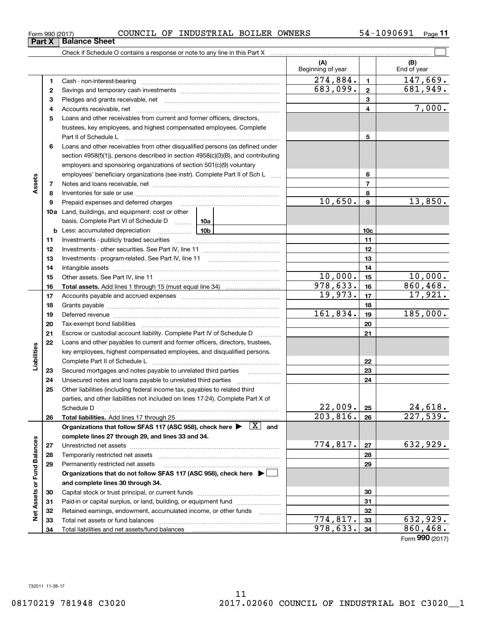**3** Pledges and grants receivable, net  $\ldots$  **multimes contained and grants receivable**, net **multimes contained and grants receivable**, net **multimes contained and grants receivable 12345678910c1112131415161718192021**basis. Complete Part VI of Schedule D will aller **Total assets.**  Add lines 1 through 15 (must equal line 34) Cash - non-interest-bearing ~~~~~~~~~~~~~~~~~~~~~~~~~ Savings and temporary cash investments ~~~~~~~~~~~~~~~~~~Accounts receivable, net ~~~~~~~~~~~~~~~~~~~~~~~~~~ Notes and loans receivable, net ~~~~~~~~~~~~~~~~~~~~~~~ Inventories for sale or use ~~~~~~~~~~~~~~~~~~~~~~~~~~ Investments - publicly traded securities ~~~~~~~~~~~~~~~~~~~ Investments - other securities. See Part IV, line 11 ~~~~~~~~~~~~~~Intangible assets …………………………………………………………………………………… Accounts payable and accrued expenses ~~~~~~~~~~~~~~~~~~Grants payable ~~~~~~~~~~~~~~~~~~~~~~~~~~~~~~~ Tax-exempt bond liabilities ……………………………………………………………  $274,884.$  | 147,669. 683,099. 2 681,949.

#### $_{\rm Form}$   $_{990}$  (2017)  $_{\rm PQe}$  COUNCIL OF INDUSTRIAL BOILER OWNERS  $_{\rm 54-1090691}$   $_{\rm Page}$ **Part X** Balance Sheet

Check if Schedule O contains a response or note to any line in this Part X

**5**Loans and other receivables from current and former officers, directors, **6**Loans and other receivables from other disqualified persons (as defined under **78910a**Land, buildings, and equipment: cost or other **1112131415161718192021222324252627282930313233342223242526b** Less: accumulated depreciation \_\_\_\_\_\_\_\_\_\_\_\_\_\_\_ Lub **Total liabilities.**  Add lines 17 through 25 Organizations that follow SFAS 117 (ASC 958), check here  $\blacktriangleright$   $\boxed{\text{X}}$  and **complete lines 27 through 29, and lines 33 and 34. 272829Organizations that do not follow SFAS 117 (ASC 958), check here** | **and complete lines 30 through 34. 3031323334**trustees, key employees, and highest compensated employees. Complete Part II of Schedule L ~~~~~~~~~~~~~~~~~~~~~~~~~~~~ section 4958(f)(1)), persons described in section 4958(c)(3)(B), and contributing employers and sponsoring organizations of section 501(c)(9) voluntary employees' beneficiary organizations (see instr). Complete Part II of Sch L ...... Prepaid expenses and deferred charges Investments - program-related. See Part IV, line 11 Other assets. See Part IV, line 11 ~~~~~~~~~~~~~~~~~~~~~~ Deferred revenue et al. **Deferred** revenue et al. **Deferred** revenue et al. **Deferred** revenue et al. **Deferred** revenue et al. **Deferred** revenue et al. **Deferred** revenue et al. **Deferred** revenue et al. **Deferred** reven Escrow or custodial account liability. Complete Part IV of Schedule D Loans and other payables to current and former officers, directors, trustees, key employees, highest compensated employees, and disqualified persons. Complete Part II of Schedule L <sub>…………………………………………………………</sub> Secured mortgages and notes payable to unrelated third parties Unsecured notes and loans payable to unrelated third parties ~~~~~~~~~~~~~~~~~~~~ Other liabilities (including federal income tax, payables to related third parties, and other liabilities not included on lines 17-24). Complete Part X of Schedule D ~~~~~~~~~~~~~~~~~~~~~~~~~~~~~~~~ Unrestricted net assets ~~~~~~~~~~~~~~~~~~~~~~~~~~~ Temporarily restricted net assets ~~~~~~~~~~~~~~~~~~~~~~ Permanently restricted net assets …………………………………………………… Capital stock or trust principal, or current funds ~~~~~~~~~~~~~~~ Paid-in or capital surplus, or land, building, or equipment fund will concurred. Retained earnings, endowment, accumulated income, or other funds www.com Total net assets or fund balances ~~~~~~~~~~~~~~~~~~~~~~ Total liabilities and net assets/fund balances Form (2017) **990** $10,650.$  9  $13,850.$  $10,000$ .  $15$  10,000.  $978,633.$  16 860,468. 19,973. 17 17,921. 161,834. 19 185,000.  $22,009$ .  $24,618$ .  $203,816. |26| 227,539.$  $774,817. |z_7|$  632,929.  $774,817.$  33 632,929.  $978,633.$   $34$  860,468.

 $\mathcal{L}^{\text{max}}$ 

7,000.

**(A) (B)**

Beginning of year | | End of year

732011 11-28-17

**12**

**4**

**Assets**

**Liabilities**

Liabilities

**Net Assets or Fund Balances**

**Net Assets or Fund Balances**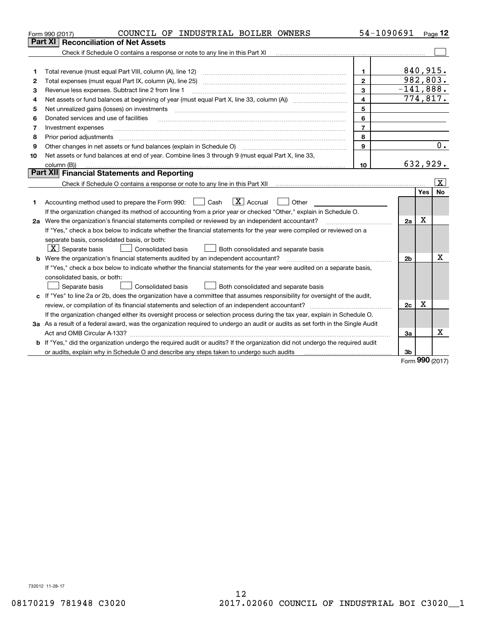| Part XI<br>Check if Schedule O contains a response or note to any line in this Part XI<br>840,915.<br>Total revenue (must equal Part VIII, column (A), line 12)<br>1.<br>1<br>982, 803.<br>$\mathbf{2}$<br>Total expenses (must equal Part IX, column (A), line 25)<br>2<br>$-141,888.$<br>$\mathbf{3}$<br>Revenue less expenses. Subtract line 2 from line 1<br>з<br>774,817.<br>$\overline{4}$<br>4<br>5<br>Net unrealized gains (losses) on investments<br>5<br>6<br>Donated services and use of facilities<br>6<br>$\overline{7}$<br>Investment expenses<br>7<br>8<br>8<br>Prior period adjustments<br>0.<br>9<br>Other changes in net assets or fund balances (explain in Schedule O)<br>9<br>Net assets or fund balances at end of year. Combine lines 3 through 9 (must equal Part X, line 33,<br>10<br>632,929.<br>10<br>column (B))<br>Part XII Financial Statements and Reporting<br>$\vert$ X $\vert$<br>Check if Schedule O contains a response or note to any line in this Part XII <i>manumano contained in the Schedule O</i><br>No<br>Yes<br>$\boxed{\mathbf{X}}$ Accrual<br>Accounting method used to prepare the Form 990: <u>I</u> Cash<br>Other<br>1.<br>If the organization changed its method of accounting from a prior year or checked "Other," explain in Schedule O.<br>X<br>2a<br>2a Were the organization's financial statements compiled or reviewed by an independent accountant?<br>If "Yes," check a box below to indicate whether the financial statements for the year were compiled or reviewed on a<br>separate basis, consolidated basis, or both:<br>$\lfloor x \rfloor$ Separate basis<br><b>Consolidated basis</b><br>Both consolidated and separate basis<br>х<br><b>b</b> Were the organization's financial statements audited by an independent accountant?<br>2 <sub>b</sub><br>If "Yes," check a box below to indicate whether the financial statements for the year were audited on a separate basis,<br>consolidated basis, or both:<br>Consolidated basis<br>Separate basis<br>Both consolidated and separate basis<br>c If "Yes" to line 2a or 2b, does the organization have a committee that assumes responsibility for oversight of the audit,<br>X<br>2c<br>If the organization changed either its oversight process or selection process during the tax year, explain in Schedule O. | COUNCIL OF INDUSTRIAL BOILER OWNERS<br>Form 990 (2017) | 54-1090691 |  | Page 12 |
|--------------------------------------------------------------------------------------------------------------------------------------------------------------------------------------------------------------------------------------------------------------------------------------------------------------------------------------------------------------------------------------------------------------------------------------------------------------------------------------------------------------------------------------------------------------------------------------------------------------------------------------------------------------------------------------------------------------------------------------------------------------------------------------------------------------------------------------------------------------------------------------------------------------------------------------------------------------------------------------------------------------------------------------------------------------------------------------------------------------------------------------------------------------------------------------------------------------------------------------------------------------------------------------------------------------------------------------------------------------------------------------------------------------------------------------------------------------------------------------------------------------------------------------------------------------------------------------------------------------------------------------------------------------------------------------------------------------------------------------------------------------------------------------------------------------------------------------------------------------------------------------------------------------------------------------------------------------------------------------------------------------------------------------------------------------------------------------------------------------------------------------------------------------------------------------------------------------------------------------------------------------------------------------------------------------------------------------------|--------------------------------------------------------|------------|--|---------|
|                                                                                                                                                                                                                                                                                                                                                                                                                                                                                                                                                                                                                                                                                                                                                                                                                                                                                                                                                                                                                                                                                                                                                                                                                                                                                                                                                                                                                                                                                                                                                                                                                                                                                                                                                                                                                                                                                                                                                                                                                                                                                                                                                                                                                                                                                                                                            | <b>Reconciliation of Net Assets</b>                    |            |  |         |
|                                                                                                                                                                                                                                                                                                                                                                                                                                                                                                                                                                                                                                                                                                                                                                                                                                                                                                                                                                                                                                                                                                                                                                                                                                                                                                                                                                                                                                                                                                                                                                                                                                                                                                                                                                                                                                                                                                                                                                                                                                                                                                                                                                                                                                                                                                                                            |                                                        |            |  |         |
|                                                                                                                                                                                                                                                                                                                                                                                                                                                                                                                                                                                                                                                                                                                                                                                                                                                                                                                                                                                                                                                                                                                                                                                                                                                                                                                                                                                                                                                                                                                                                                                                                                                                                                                                                                                                                                                                                                                                                                                                                                                                                                                                                                                                                                                                                                                                            |                                                        |            |  |         |
|                                                                                                                                                                                                                                                                                                                                                                                                                                                                                                                                                                                                                                                                                                                                                                                                                                                                                                                                                                                                                                                                                                                                                                                                                                                                                                                                                                                                                                                                                                                                                                                                                                                                                                                                                                                                                                                                                                                                                                                                                                                                                                                                                                                                                                                                                                                                            |                                                        |            |  |         |
|                                                                                                                                                                                                                                                                                                                                                                                                                                                                                                                                                                                                                                                                                                                                                                                                                                                                                                                                                                                                                                                                                                                                                                                                                                                                                                                                                                                                                                                                                                                                                                                                                                                                                                                                                                                                                                                                                                                                                                                                                                                                                                                                                                                                                                                                                                                                            |                                                        |            |  |         |
|                                                                                                                                                                                                                                                                                                                                                                                                                                                                                                                                                                                                                                                                                                                                                                                                                                                                                                                                                                                                                                                                                                                                                                                                                                                                                                                                                                                                                                                                                                                                                                                                                                                                                                                                                                                                                                                                                                                                                                                                                                                                                                                                                                                                                                                                                                                                            |                                                        |            |  |         |
|                                                                                                                                                                                                                                                                                                                                                                                                                                                                                                                                                                                                                                                                                                                                                                                                                                                                                                                                                                                                                                                                                                                                                                                                                                                                                                                                                                                                                                                                                                                                                                                                                                                                                                                                                                                                                                                                                                                                                                                                                                                                                                                                                                                                                                                                                                                                            |                                                        |            |  |         |
|                                                                                                                                                                                                                                                                                                                                                                                                                                                                                                                                                                                                                                                                                                                                                                                                                                                                                                                                                                                                                                                                                                                                                                                                                                                                                                                                                                                                                                                                                                                                                                                                                                                                                                                                                                                                                                                                                                                                                                                                                                                                                                                                                                                                                                                                                                                                            |                                                        |            |  |         |
|                                                                                                                                                                                                                                                                                                                                                                                                                                                                                                                                                                                                                                                                                                                                                                                                                                                                                                                                                                                                                                                                                                                                                                                                                                                                                                                                                                                                                                                                                                                                                                                                                                                                                                                                                                                                                                                                                                                                                                                                                                                                                                                                                                                                                                                                                                                                            |                                                        |            |  |         |
|                                                                                                                                                                                                                                                                                                                                                                                                                                                                                                                                                                                                                                                                                                                                                                                                                                                                                                                                                                                                                                                                                                                                                                                                                                                                                                                                                                                                                                                                                                                                                                                                                                                                                                                                                                                                                                                                                                                                                                                                                                                                                                                                                                                                                                                                                                                                            |                                                        |            |  |         |
|                                                                                                                                                                                                                                                                                                                                                                                                                                                                                                                                                                                                                                                                                                                                                                                                                                                                                                                                                                                                                                                                                                                                                                                                                                                                                                                                                                                                                                                                                                                                                                                                                                                                                                                                                                                                                                                                                                                                                                                                                                                                                                                                                                                                                                                                                                                                            |                                                        |            |  |         |
|                                                                                                                                                                                                                                                                                                                                                                                                                                                                                                                                                                                                                                                                                                                                                                                                                                                                                                                                                                                                                                                                                                                                                                                                                                                                                                                                                                                                                                                                                                                                                                                                                                                                                                                                                                                                                                                                                                                                                                                                                                                                                                                                                                                                                                                                                                                                            |                                                        |            |  |         |
|                                                                                                                                                                                                                                                                                                                                                                                                                                                                                                                                                                                                                                                                                                                                                                                                                                                                                                                                                                                                                                                                                                                                                                                                                                                                                                                                                                                                                                                                                                                                                                                                                                                                                                                                                                                                                                                                                                                                                                                                                                                                                                                                                                                                                                                                                                                                            |                                                        |            |  |         |
|                                                                                                                                                                                                                                                                                                                                                                                                                                                                                                                                                                                                                                                                                                                                                                                                                                                                                                                                                                                                                                                                                                                                                                                                                                                                                                                                                                                                                                                                                                                                                                                                                                                                                                                                                                                                                                                                                                                                                                                                                                                                                                                                                                                                                                                                                                                                            |                                                        |            |  |         |
|                                                                                                                                                                                                                                                                                                                                                                                                                                                                                                                                                                                                                                                                                                                                                                                                                                                                                                                                                                                                                                                                                                                                                                                                                                                                                                                                                                                                                                                                                                                                                                                                                                                                                                                                                                                                                                                                                                                                                                                                                                                                                                                                                                                                                                                                                                                                            |                                                        |            |  |         |
|                                                                                                                                                                                                                                                                                                                                                                                                                                                                                                                                                                                                                                                                                                                                                                                                                                                                                                                                                                                                                                                                                                                                                                                                                                                                                                                                                                                                                                                                                                                                                                                                                                                                                                                                                                                                                                                                                                                                                                                                                                                                                                                                                                                                                                                                                                                                            |                                                        |            |  |         |
|                                                                                                                                                                                                                                                                                                                                                                                                                                                                                                                                                                                                                                                                                                                                                                                                                                                                                                                                                                                                                                                                                                                                                                                                                                                                                                                                                                                                                                                                                                                                                                                                                                                                                                                                                                                                                                                                                                                                                                                                                                                                                                                                                                                                                                                                                                                                            |                                                        |            |  |         |
|                                                                                                                                                                                                                                                                                                                                                                                                                                                                                                                                                                                                                                                                                                                                                                                                                                                                                                                                                                                                                                                                                                                                                                                                                                                                                                                                                                                                                                                                                                                                                                                                                                                                                                                                                                                                                                                                                                                                                                                                                                                                                                                                                                                                                                                                                                                                            |                                                        |            |  |         |
|                                                                                                                                                                                                                                                                                                                                                                                                                                                                                                                                                                                                                                                                                                                                                                                                                                                                                                                                                                                                                                                                                                                                                                                                                                                                                                                                                                                                                                                                                                                                                                                                                                                                                                                                                                                                                                                                                                                                                                                                                                                                                                                                                                                                                                                                                                                                            |                                                        |            |  |         |
|                                                                                                                                                                                                                                                                                                                                                                                                                                                                                                                                                                                                                                                                                                                                                                                                                                                                                                                                                                                                                                                                                                                                                                                                                                                                                                                                                                                                                                                                                                                                                                                                                                                                                                                                                                                                                                                                                                                                                                                                                                                                                                                                                                                                                                                                                                                                            |                                                        |            |  |         |
|                                                                                                                                                                                                                                                                                                                                                                                                                                                                                                                                                                                                                                                                                                                                                                                                                                                                                                                                                                                                                                                                                                                                                                                                                                                                                                                                                                                                                                                                                                                                                                                                                                                                                                                                                                                                                                                                                                                                                                                                                                                                                                                                                                                                                                                                                                                                            |                                                        |            |  |         |
|                                                                                                                                                                                                                                                                                                                                                                                                                                                                                                                                                                                                                                                                                                                                                                                                                                                                                                                                                                                                                                                                                                                                                                                                                                                                                                                                                                                                                                                                                                                                                                                                                                                                                                                                                                                                                                                                                                                                                                                                                                                                                                                                                                                                                                                                                                                                            |                                                        |            |  |         |
|                                                                                                                                                                                                                                                                                                                                                                                                                                                                                                                                                                                                                                                                                                                                                                                                                                                                                                                                                                                                                                                                                                                                                                                                                                                                                                                                                                                                                                                                                                                                                                                                                                                                                                                                                                                                                                                                                                                                                                                                                                                                                                                                                                                                                                                                                                                                            |                                                        |            |  |         |
|                                                                                                                                                                                                                                                                                                                                                                                                                                                                                                                                                                                                                                                                                                                                                                                                                                                                                                                                                                                                                                                                                                                                                                                                                                                                                                                                                                                                                                                                                                                                                                                                                                                                                                                                                                                                                                                                                                                                                                                                                                                                                                                                                                                                                                                                                                                                            |                                                        |            |  |         |
|                                                                                                                                                                                                                                                                                                                                                                                                                                                                                                                                                                                                                                                                                                                                                                                                                                                                                                                                                                                                                                                                                                                                                                                                                                                                                                                                                                                                                                                                                                                                                                                                                                                                                                                                                                                                                                                                                                                                                                                                                                                                                                                                                                                                                                                                                                                                            |                                                        |            |  |         |
|                                                                                                                                                                                                                                                                                                                                                                                                                                                                                                                                                                                                                                                                                                                                                                                                                                                                                                                                                                                                                                                                                                                                                                                                                                                                                                                                                                                                                                                                                                                                                                                                                                                                                                                                                                                                                                                                                                                                                                                                                                                                                                                                                                                                                                                                                                                                            |                                                        |            |  |         |
|                                                                                                                                                                                                                                                                                                                                                                                                                                                                                                                                                                                                                                                                                                                                                                                                                                                                                                                                                                                                                                                                                                                                                                                                                                                                                                                                                                                                                                                                                                                                                                                                                                                                                                                                                                                                                                                                                                                                                                                                                                                                                                                                                                                                                                                                                                                                            |                                                        |            |  |         |
|                                                                                                                                                                                                                                                                                                                                                                                                                                                                                                                                                                                                                                                                                                                                                                                                                                                                                                                                                                                                                                                                                                                                                                                                                                                                                                                                                                                                                                                                                                                                                                                                                                                                                                                                                                                                                                                                                                                                                                                                                                                                                                                                                                                                                                                                                                                                            |                                                        |            |  |         |
|                                                                                                                                                                                                                                                                                                                                                                                                                                                                                                                                                                                                                                                                                                                                                                                                                                                                                                                                                                                                                                                                                                                                                                                                                                                                                                                                                                                                                                                                                                                                                                                                                                                                                                                                                                                                                                                                                                                                                                                                                                                                                                                                                                                                                                                                                                                                            |                                                        |            |  |         |
|                                                                                                                                                                                                                                                                                                                                                                                                                                                                                                                                                                                                                                                                                                                                                                                                                                                                                                                                                                                                                                                                                                                                                                                                                                                                                                                                                                                                                                                                                                                                                                                                                                                                                                                                                                                                                                                                                                                                                                                                                                                                                                                                                                                                                                                                                                                                            |                                                        |            |  |         |
| 3a As a result of a federal award, was the organization required to undergo an audit or audits as set forth in the Single Audit                                                                                                                                                                                                                                                                                                                                                                                                                                                                                                                                                                                                                                                                                                                                                                                                                                                                                                                                                                                                                                                                                                                                                                                                                                                                                                                                                                                                                                                                                                                                                                                                                                                                                                                                                                                                                                                                                                                                                                                                                                                                                                                                                                                                            |                                                        |            |  |         |
| x<br>За                                                                                                                                                                                                                                                                                                                                                                                                                                                                                                                                                                                                                                                                                                                                                                                                                                                                                                                                                                                                                                                                                                                                                                                                                                                                                                                                                                                                                                                                                                                                                                                                                                                                                                                                                                                                                                                                                                                                                                                                                                                                                                                                                                                                                                                                                                                                    |                                                        |            |  |         |
| <b>b</b> If "Yes," did the organization undergo the required audit or audits? If the organization did not undergo the required audit                                                                                                                                                                                                                                                                                                                                                                                                                                                                                                                                                                                                                                                                                                                                                                                                                                                                                                                                                                                                                                                                                                                                                                                                                                                                                                                                                                                                                                                                                                                                                                                                                                                                                                                                                                                                                                                                                                                                                                                                                                                                                                                                                                                                       |                                                        |            |  |         |
| 3b<br>$\Omega$                                                                                                                                                                                                                                                                                                                                                                                                                                                                                                                                                                                                                                                                                                                                                                                                                                                                                                                                                                                                                                                                                                                                                                                                                                                                                                                                                                                                                                                                                                                                                                                                                                                                                                                                                                                                                                                                                                                                                                                                                                                                                                                                                                                                                                                                                                                             |                                                        |            |  |         |

Form (2017) **990**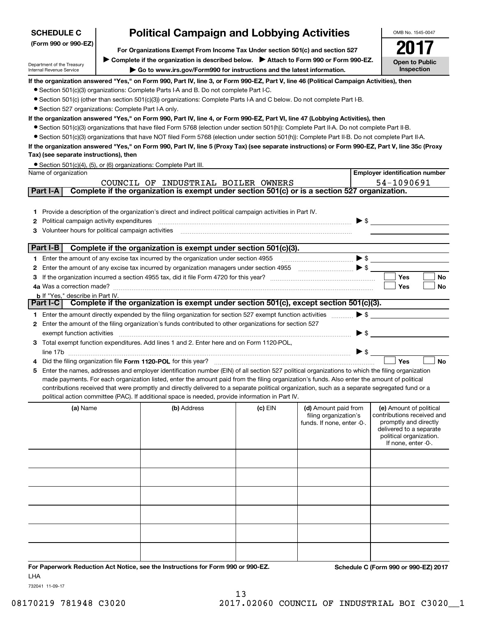| <b>SCHEDULE C</b>                                      |                                                                               | <b>Political Campaign and Lobbying Activities</b>                                                                                                 |           |                                                                                                                                                                                                                                                                                                                                                                             | OMB No. 1545-0047                                   |  |  |  |  |
|--------------------------------------------------------|-------------------------------------------------------------------------------|---------------------------------------------------------------------------------------------------------------------------------------------------|-----------|-----------------------------------------------------------------------------------------------------------------------------------------------------------------------------------------------------------------------------------------------------------------------------------------------------------------------------------------------------------------------------|-----------------------------------------------------|--|--|--|--|
| (Form 990 or 990-EZ)                                   | For Organizations Exempt From Income Tax Under section 501(c) and section 527 |                                                                                                                                                   |           |                                                                                                                                                                                                                                                                                                                                                                             |                                                     |  |  |  |  |
|                                                        |                                                                               | ► Complete if the organization is described below. ► Attach to Form 990 or Form 990-EZ.                                                           |           |                                                                                                                                                                                                                                                                                                                                                                             |                                                     |  |  |  |  |
| Department of the Treasury<br>Internal Revenue Service |                                                                               | Go to www.irs.gov/Form990 for instructions and the latest information.                                                                            |           |                                                                                                                                                                                                                                                                                                                                                                             | <b>Open to Public</b><br>Inspection                 |  |  |  |  |
|                                                        |                                                                               | If the organization answered "Yes," on Form 990, Part IV, line 3, or Form 990-EZ, Part V, line 46 (Political Campaign Activities), then           |           |                                                                                                                                                                                                                                                                                                                                                                             |                                                     |  |  |  |  |
|                                                        |                                                                               | • Section 501(c)(3) organizations: Complete Parts I-A and B. Do not complete Part I-C.                                                            |           |                                                                                                                                                                                                                                                                                                                                                                             |                                                     |  |  |  |  |
|                                                        |                                                                               | • Section 501(c) (other than section 501(c)(3)) organizations: Complete Parts I-A and C below. Do not complete Part I-B.                          |           |                                                                                                                                                                                                                                                                                                                                                                             |                                                     |  |  |  |  |
| • Section 527 organizations: Complete Part I-A only.   |                                                                               |                                                                                                                                                   |           |                                                                                                                                                                                                                                                                                                                                                                             |                                                     |  |  |  |  |
|                                                        |                                                                               | If the organization answered "Yes," on Form 990, Part IV, line 4, or Form 990-EZ, Part VI, line 47 (Lobbying Activities), then                    |           |                                                                                                                                                                                                                                                                                                                                                                             |                                                     |  |  |  |  |
|                                                        |                                                                               | • Section 501(c)(3) organizations that have filed Form 5768 (election under section 501(h)): Complete Part II-A. Do not complete Part II-B.       |           |                                                                                                                                                                                                                                                                                                                                                                             |                                                     |  |  |  |  |
|                                                        |                                                                               | • Section 501(c)(3) organizations that have NOT filed Form 5768 (election under section 501(h)): Complete Part II-B. Do not complete Part II-A.   |           |                                                                                                                                                                                                                                                                                                                                                                             |                                                     |  |  |  |  |
|                                                        |                                                                               | If the organization answered "Yes," on Form 990, Part IV, line 5 (Proxy Tax) (see separate instructions) or Form 990-EZ, Part V, line 35c (Proxy  |           |                                                                                                                                                                                                                                                                                                                                                                             |                                                     |  |  |  |  |
| Tax) (see separate instructions), then                 |                                                                               |                                                                                                                                                   |           |                                                                                                                                                                                                                                                                                                                                                                             |                                                     |  |  |  |  |
| Name of organization                                   |                                                                               | • Section 501(c)(4), (5), or (6) organizations: Complete Part III.                                                                                |           |                                                                                                                                                                                                                                                                                                                                                                             | <b>Employer identification number</b>               |  |  |  |  |
|                                                        |                                                                               | COUNCIL OF INDUSTRIAL BOILER OWNERS                                                                                                               |           |                                                                                                                                                                                                                                                                                                                                                                             | 54-1090691                                          |  |  |  |  |
| Part I-A                                               |                                                                               | Complete if the organization is exempt under section 501(c) or is a section 527 organization.                                                     |           |                                                                                                                                                                                                                                                                                                                                                                             |                                                     |  |  |  |  |
|                                                        |                                                                               |                                                                                                                                                   |           |                                                                                                                                                                                                                                                                                                                                                                             |                                                     |  |  |  |  |
|                                                        |                                                                               | 1 Provide a description of the organization's direct and indirect political campaign activities in Part IV.                                       |           |                                                                                                                                                                                                                                                                                                                                                                             |                                                     |  |  |  |  |
| <b>2</b> Political campaign activity expenditures      |                                                                               |                                                                                                                                                   |           |                                                                                                                                                                                                                                                                                                                                                                             | $\blacktriangleright$ \$                            |  |  |  |  |
| 3 Volunteer hours for political campaign activities    |                                                                               |                                                                                                                                                   |           |                                                                                                                                                                                                                                                                                                                                                                             |                                                     |  |  |  |  |
| Part I-B                                               |                                                                               | Complete if the organization is exempt under section 501(c)(3).                                                                                   |           |                                                                                                                                                                                                                                                                                                                                                                             |                                                     |  |  |  |  |
|                                                        |                                                                               | 1 Enter the amount of any excise tax incurred by the organization under section 4955                                                              |           | $\begin{picture}(20,10) \put(0,0){\vector(1,0){10}} \put(15,0){\vector(1,0){10}} \put(15,0){\vector(1,0){10}} \put(15,0){\vector(1,0){10}} \put(15,0){\vector(1,0){10}} \put(15,0){\vector(1,0){10}} \put(15,0){\vector(1,0){10}} \put(15,0){\vector(1,0){10}} \put(15,0){\vector(1,0){10}} \put(15,0){\vector(1,0){10}} \put(15,0){\vector(1,0){10}} \put(15,0){\vector(1$ |                                                     |  |  |  |  |
|                                                        |                                                                               | 2 Enter the amount of any excise tax incurred by organization managers under section 4955                                                         |           | $\begin{picture}(20,10) \put(0,0){\vector(1,0){100}} \put(15,0){\vector(1,0){100}} \put(15,0){\vector(1,0){100}} \put(15,0){\vector(1,0){100}} \put(15,0){\vector(1,0){100}} \put(15,0){\vector(1,0){100}} \put(15,0){\vector(1,0){100}} \put(15,0){\vector(1,0){100}} \put(15,0){\vector(1,0){100}} \put(15,0){\vector(1,0){100}} \put(15,0){\vector(1,0){100}} \$         |                                                     |  |  |  |  |
|                                                        |                                                                               |                                                                                                                                                   |           |                                                                                                                                                                                                                                                                                                                                                                             | Yes<br>No                                           |  |  |  |  |
| 4a Was a correction made?                              |                                                                               |                                                                                                                                                   |           |                                                                                                                                                                                                                                                                                                                                                                             | Yes<br>No                                           |  |  |  |  |
| <b>b</b> If "Yes," describe in Part IV.                |                                                                               |                                                                                                                                                   |           |                                                                                                                                                                                                                                                                                                                                                                             |                                                     |  |  |  |  |
| Part I-C                                               |                                                                               | Complete if the organization is exempt under section $501(c)$ , except section $501(c)(3)$ .                                                      |           |                                                                                                                                                                                                                                                                                                                                                                             |                                                     |  |  |  |  |
|                                                        |                                                                               | 1 Enter the amount directly expended by the filing organization for section 527 exempt function activities                                        |           |                                                                                                                                                                                                                                                                                                                                                                             | $\blacktriangleright$ \$                            |  |  |  |  |
|                                                        |                                                                               | 2 Enter the amount of the filing organization's funds contributed to other organizations for section 527                                          |           |                                                                                                                                                                                                                                                                                                                                                                             |                                                     |  |  |  |  |
| exempt function activities                             |                                                                               |                                                                                                                                                   |           | $\blacktriangleright$ \$                                                                                                                                                                                                                                                                                                                                                    |                                                     |  |  |  |  |
|                                                        |                                                                               | 3 Total exempt function expenditures. Add lines 1 and 2. Enter here and on Form 1120-POL,                                                         |           | $\triangleright$ \$                                                                                                                                                                                                                                                                                                                                                         |                                                     |  |  |  |  |
|                                                        |                                                                               |                                                                                                                                                   |           |                                                                                                                                                                                                                                                                                                                                                                             | <b>No</b><br>Yes                                    |  |  |  |  |
|                                                        |                                                                               | 5 Enter the names, addresses and employer identification number (EIN) of all section 527 political organizations to which the filing organization |           |                                                                                                                                                                                                                                                                                                                                                                             |                                                     |  |  |  |  |
|                                                        |                                                                               | made payments. For each organization listed, enter the amount paid from the filing organization's funds. Also enter the amount of political       |           |                                                                                                                                                                                                                                                                                                                                                                             |                                                     |  |  |  |  |
|                                                        |                                                                               | contributions received that were promptly and directly delivered to a separate political organization, such as a separate segregated fund or a    |           |                                                                                                                                                                                                                                                                                                                                                                             |                                                     |  |  |  |  |
|                                                        |                                                                               | political action committee (PAC). If additional space is needed, provide information in Part IV.                                                  |           |                                                                                                                                                                                                                                                                                                                                                                             |                                                     |  |  |  |  |
| (a) Name                                               |                                                                               | (b) Address                                                                                                                                       | $(c)$ EIN | (d) Amount paid from                                                                                                                                                                                                                                                                                                                                                        | (e) Amount of political                             |  |  |  |  |
|                                                        |                                                                               |                                                                                                                                                   |           | filing organization's<br>funds. If none, enter -0-.                                                                                                                                                                                                                                                                                                                         | contributions received and<br>promptly and directly |  |  |  |  |
|                                                        |                                                                               |                                                                                                                                                   |           |                                                                                                                                                                                                                                                                                                                                                                             | delivered to a separate                             |  |  |  |  |
|                                                        |                                                                               |                                                                                                                                                   |           |                                                                                                                                                                                                                                                                                                                                                                             | political organization.<br>If none, enter -0-.      |  |  |  |  |
|                                                        |                                                                               |                                                                                                                                                   |           |                                                                                                                                                                                                                                                                                                                                                                             |                                                     |  |  |  |  |
|                                                        |                                                                               |                                                                                                                                                   |           |                                                                                                                                                                                                                                                                                                                                                                             |                                                     |  |  |  |  |
|                                                        |                                                                               |                                                                                                                                                   |           |                                                                                                                                                                                                                                                                                                                                                                             |                                                     |  |  |  |  |
|                                                        |                                                                               |                                                                                                                                                   |           |                                                                                                                                                                                                                                                                                                                                                                             |                                                     |  |  |  |  |
|                                                        |                                                                               |                                                                                                                                                   |           |                                                                                                                                                                                                                                                                                                                                                                             |                                                     |  |  |  |  |
|                                                        |                                                                               |                                                                                                                                                   |           |                                                                                                                                                                                                                                                                                                                                                                             |                                                     |  |  |  |  |
|                                                        |                                                                               |                                                                                                                                                   |           |                                                                                                                                                                                                                                                                                                                                                                             |                                                     |  |  |  |  |
|                                                        |                                                                               |                                                                                                                                                   |           |                                                                                                                                                                                                                                                                                                                                                                             |                                                     |  |  |  |  |
|                                                        |                                                                               |                                                                                                                                                   |           |                                                                                                                                                                                                                                                                                                                                                                             |                                                     |  |  |  |  |
|                                                        |                                                                               |                                                                                                                                                   |           |                                                                                                                                                                                                                                                                                                                                                                             |                                                     |  |  |  |  |

**For Paperwork Reduction Act Notice, see the Instructions for Form 990 or 990-EZ. Schedule C (Form 990 or 990-EZ) 2017** LHA

732041 11-09-17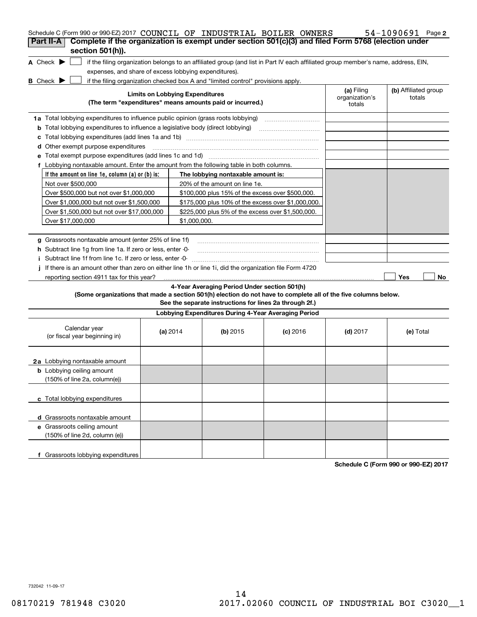| Schedule C (Form 990 or 990-EZ) 2017 COUNCIL OF INDUSTRIAL BOILER OWNERS                                                 |                                        |                                                           |                                                                                                                                   |                                        | 54-1090691 Page 2              |
|--------------------------------------------------------------------------------------------------------------------------|----------------------------------------|-----------------------------------------------------------|-----------------------------------------------------------------------------------------------------------------------------------|----------------------------------------|--------------------------------|
| Complete if the organization is exempt under section 501(c)(3) and filed Form 5768 (election under<br>Part II-A          |                                        |                                                           |                                                                                                                                   |                                        |                                |
| section 501(h)).                                                                                                         |                                        |                                                           |                                                                                                                                   |                                        |                                |
| A Check $\blacktriangleright$                                                                                            |                                        |                                                           | if the filing organization belongs to an affiliated group (and list in Part IV each affiliated group member's name, address, EIN, |                                        |                                |
| expenses, and share of excess lobbying expenditures).                                                                    |                                        |                                                           |                                                                                                                                   |                                        |                                |
| <b>B</b> Check $\blacktriangleright$<br>if the filing organization checked box A and "limited control" provisions apply. |                                        |                                                           |                                                                                                                                   |                                        |                                |
|                                                                                                                          | <b>Limits on Lobbying Expenditures</b> | (The term "expenditures" means amounts paid or incurred.) |                                                                                                                                   | (a) Filing<br>organization's<br>totals | (b) Affiliated group<br>totals |
| 1a Total lobbying expenditures to influence public opinion (grass roots lobbying)                                        |                                        |                                                           |                                                                                                                                   |                                        |                                |
| Total lobbying expenditures to influence a legislative body (direct lobbying)<br>b                                       |                                        |                                                           |                                                                                                                                   |                                        |                                |
| с                                                                                                                        |                                        |                                                           |                                                                                                                                   |                                        |                                |
| Other exempt purpose expenditures<br>d                                                                                   |                                        |                                                           |                                                                                                                                   |                                        |                                |
|                                                                                                                          |                                        |                                                           |                                                                                                                                   |                                        |                                |
| f Lobbying nontaxable amount. Enter the amount from the following table in both columns.                                 |                                        |                                                           |                                                                                                                                   |                                        |                                |
| If the amount on line 1e, column (a) or (b) is:                                                                          |                                        | The lobbying nontaxable amount is:                        |                                                                                                                                   |                                        |                                |
| Not over \$500,000                                                                                                       |                                        | 20% of the amount on line 1e.                             |                                                                                                                                   |                                        |                                |
| Over \$500,000 but not over \$1,000,000                                                                                  |                                        | \$100,000 plus 15% of the excess over \$500,000.          |                                                                                                                                   |                                        |                                |
| Over \$1,000,000 but not over \$1,500,000                                                                                |                                        | \$175,000 plus 10% of the excess over \$1,000,000.        |                                                                                                                                   |                                        |                                |
| Over \$1,500,000 but not over \$17,000,000                                                                               |                                        | \$225,000 plus 5% of the excess over \$1,500,000.         |                                                                                                                                   |                                        |                                |
| Over \$17,000,000                                                                                                        | \$1,000,000.                           |                                                           |                                                                                                                                   |                                        |                                |
|                                                                                                                          |                                        |                                                           |                                                                                                                                   |                                        |                                |
| g Grassroots nontaxable amount (enter 25% of line 1f)                                                                    |                                        |                                                           |                                                                                                                                   |                                        |                                |
| <b>h</b> Subtract line 1g from line 1a. If zero or less, enter 0-                                                        |                                        |                                                           |                                                                                                                                   |                                        |                                |
| i Subtract line 1f from line 1c. If zero or less, enter 0                                                                |                                        |                                                           |                                                                                                                                   |                                        |                                |
| If there is an amount other than zero on either line 1h or line 1i, did the organization file Form 4720                  |                                        |                                                           |                                                                                                                                   |                                        |                                |
| reporting section 4911 tax for this year?                                                                                |                                        |                                                           |                                                                                                                                   |                                        | Yes<br>No                      |
|                                                                                                                          |                                        | 4-Year Averaging Period Under section 501(h)              |                                                                                                                                   |                                        |                                |
| (Some organizations that made a section 501(h) election do not have to complete all of the five columns below.           |                                        | See the separate instructions for lines 2a through 2f.)   |                                                                                                                                   |                                        |                                |
|                                                                                                                          |                                        | Lobbying Expenditures During 4-Year Averaging Period      |                                                                                                                                   |                                        |                                |
| Calendar year<br>(or fiscal year beginning in)                                                                           | (a) 2014                               | $(b)$ 2015                                                | $(c)$ 2016                                                                                                                        | $(d)$ 2017                             | (e) Total                      |
| 2a Lobbying nontaxable amount                                                                                            |                                        |                                                           |                                                                                                                                   |                                        |                                |
| <b>b</b> Lobbying ceiling amount<br>(150% of line 2a, column(e))                                                         |                                        |                                                           |                                                                                                                                   |                                        |                                |
| c Total lobbying expenditures                                                                                            |                                        |                                                           |                                                                                                                                   |                                        |                                |
| d Grassroots nontaxable amount                                                                                           |                                        |                                                           |                                                                                                                                   |                                        |                                |
| e Grassroots ceiling amount                                                                                              |                                        |                                                           |                                                                                                                                   |                                        |                                |
| (150% of line 2d, column (e))                                                                                            |                                        |                                                           |                                                                                                                                   |                                        |                                |
| f Grassroots lobbying expenditures                                                                                       |                                        |                                                           |                                                                                                                                   |                                        |                                |

**Schedule C (Form 990 or 990-EZ) 2017**

732042 11-09-17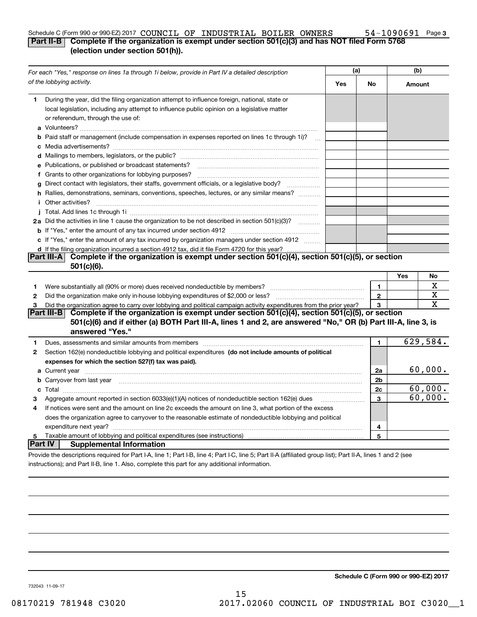#### **3** Schedule C (Form 990 or 990-EZ) 2017  $\verb|COUNCILOF INDUSTRIAL BOLLER OWNERS 54-1090691$  Page **Part II-B Complete if the organization is exempt under section 501(c)(3) and has NOT filed Form 5768 (election under section 501(h)).**

|                                                                                                | For each "Yes," response on lines 1a through 1i below, provide in Part IV a detailed description                                                                                                                                     | (a) |              | (b)    |          |
|------------------------------------------------------------------------------------------------|--------------------------------------------------------------------------------------------------------------------------------------------------------------------------------------------------------------------------------------|-----|--------------|--------|----------|
|                                                                                                | of the lobbying activity.                                                                                                                                                                                                            | Yes | No           | Amount |          |
| 1                                                                                              | During the year, did the filing organization attempt to influence foreign, national, state or<br>local legislation, including any attempt to influence public opinion on a legislative matter<br>or referendum, through the use of:  |     |              |        |          |
|                                                                                                | <b>b</b> Paid staff or management (include compensation in expenses reported on lines 1c through 1i)?<br>$\sim$ 100 $\sim$                                                                                                           |     |              |        |          |
|                                                                                                |                                                                                                                                                                                                                                      |     |              |        |          |
|                                                                                                | e Publications, or published or broadcast statements?                                                                                                                                                                                |     |              |        |          |
|                                                                                                |                                                                                                                                                                                                                                      |     |              |        |          |
| g                                                                                              | Direct contact with legislators, their staffs, government officials, or a legislative body?                                                                                                                                          |     |              |        |          |
|                                                                                                | h Rallies, demonstrations, seminars, conventions, speeches, lectures, or any similar means?<br><i>i</i> Other activities?                                                                                                            |     |              |        |          |
|                                                                                                |                                                                                                                                                                                                                                      |     |              |        |          |
|                                                                                                | 2a Did the activities in line 1 cause the organization to be not described in section 501(c)(3)?                                                                                                                                     |     |              |        |          |
|                                                                                                |                                                                                                                                                                                                                                      |     |              |        |          |
|                                                                                                | c If "Yes," enter the amount of any tax incurred by organization managers under section 4912                                                                                                                                         |     |              |        |          |
| d If the filing organization incurred a section 4912 tax, did it file Form 4720 for this year? |                                                                                                                                                                                                                                      |     |              |        |          |
|                                                                                                | Complete if the organization is exempt under section 501(c)(4), section 501(c)(5), or section<br>Part III-A<br>$501(c)(6)$ .                                                                                                         |     |              |        |          |
|                                                                                                |                                                                                                                                                                                                                                      |     |              | Yes    | No       |
| 1                                                                                              |                                                                                                                                                                                                                                      |     | 1            |        | х        |
| 2                                                                                              |                                                                                                                                                                                                                                      |     | $\mathbf{2}$ |        | х        |
| 3                                                                                              | Did the organization agree to carry over lobbying and political campaign activity expenditures from the prior year?                                                                                                                  |     | 3            |        | х        |
|                                                                                                | Complete if the organization is exempt under section 501(c)(4), section 501(c)(5), or section<br><b>Part III-B</b>                                                                                                                   |     |              |        |          |
|                                                                                                | 501(c)(6) and if either (a) BOTH Part III-A, lines 1 and 2, are answered "No," OR (b) Part III-A, line 3, is<br>answered "Yes."                                                                                                      |     |              |        |          |
| 1                                                                                              | Dues, assessments and similar amounts from members [111] www.communicallyness.communicallyness.communicallyness.communicallyness.communicallyness.communicallyness.communicallyness.communicallyness.communicallyness.communic       |     | 1            |        | 629,584. |
| 2                                                                                              | Section 162(e) nondeductible lobbying and political expenditures (do not include amounts of political                                                                                                                                |     |              |        |          |
|                                                                                                | expenses for which the section 527(f) tax was paid).                                                                                                                                                                                 |     |              |        |          |
|                                                                                                | a Current year <b>matures and the contract of the contract of the contract of the contract of the contract of the contract of the contract of the contract of the contract of the contract of the contract of the contract of th</b> |     | 2a           |        | 60,000.  |
|                                                                                                | b Carryover from last year manufactured and contract the contract of the contract of the contract of the contract of the contract of the contract of the contract of the contract of the contract of the contract of the contr       |     | 2b           |        |          |
|                                                                                                |                                                                                                                                                                                                                                      |     | 2c           |        | 60,000.  |
| з                                                                                              | Aggregate amount reported in section 6033(e)(1)(A) notices of nondeductible section 162(e) dues                                                                                                                                      |     | 3            |        | 60,000.  |
| 4                                                                                              | If notices were sent and the amount on line 2c exceeds the amount on line 3, what portion of the excess                                                                                                                              |     |              |        |          |
|                                                                                                | does the organization agree to carryover to the reasonable estimate of nondeductible lobbying and political                                                                                                                          |     |              |        |          |
|                                                                                                |                                                                                                                                                                                                                                      |     | 4            |        |          |
| 5                                                                                              | Taxable amount of lobbying and political expenditures (see instructions)                                                                                                                                                             |     | 5            |        |          |
| Part IV                                                                                        | <b>Supplemental Information</b>                                                                                                                                                                                                      |     |              |        |          |
|                                                                                                | Provide the descriptions required for Part I-A, line 1; Part I-B, line 4; Part I-C, line 5; Part II-A (affiliated group list); Part II-A, lines 1 and 2 (see                                                                         |     |              |        |          |
|                                                                                                | instructions); and Part II-B, line 1, Also, complete this part for any additional information.                                                                                                                                       |     |              |        |          |

**Schedule C (Form 990 or 990-EZ) 2017**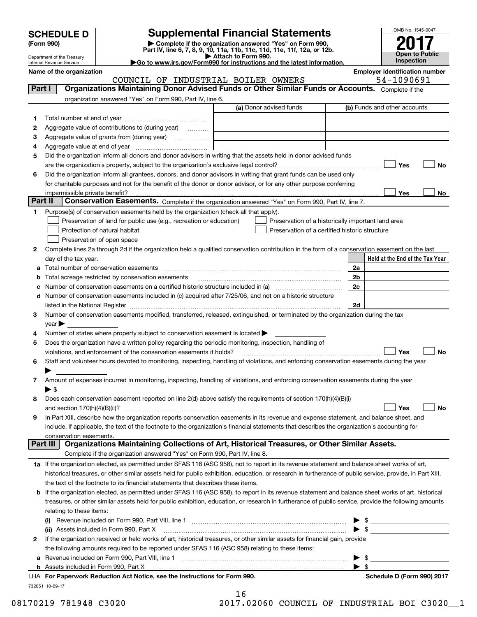# **SCHEDULE D Supplemental Financial Statements**

(Form 990)<br>
Pepartment of the Treasury<br>
Department of the Treasury<br>
Department of the Treasury<br>
Department of the Treasury<br> **Co to www.irs.gov/Form990 for instructions and the latest information.**<br> **Co to www.irs.gov/Form9** 

| OMB No. 1545-0047                   |
|-------------------------------------|
| 0                                   |
| <b>Open to Public</b><br>Inspection |

Department of the Treasury Internal Revenue Service

**Name of the organization Employer identification number**

COUNCIL OF INDUSTRIAL BOILER OWNERS 54-1090691

| Part I  | Organizations Maintaining Donor Advised Funds or Other Similar Funds or Accounts. Complete if the                                                          |                         |                                                    |
|---------|------------------------------------------------------------------------------------------------------------------------------------------------------------|-------------------------|----------------------------------------------------|
|         | organization answered "Yes" on Form 990, Part IV, line 6.                                                                                                  |                         |                                                    |
|         |                                                                                                                                                            | (a) Donor advised funds | (b) Funds and other accounts                       |
| 1       |                                                                                                                                                            |                         |                                                    |
| 2       | Aggregate value of contributions to (during year)                                                                                                          |                         |                                                    |
| з       | Aggregate value of grants from (during year)                                                                                                               |                         |                                                    |
| 4       |                                                                                                                                                            |                         |                                                    |
| 5       | Did the organization inform all donors and donor advisors in writing that the assets held in donor advised funds                                           |                         |                                                    |
|         |                                                                                                                                                            |                         | Yes<br>No                                          |
| 6       | Did the organization inform all grantees, donors, and donor advisors in writing that grant funds can be used only                                          |                         |                                                    |
|         | for charitable purposes and not for the benefit of the donor or donor advisor, or for any other purpose conferring                                         |                         |                                                    |
|         | impermissible private benefit?                                                                                                                             |                         | Yes<br>No                                          |
| Part II | Conservation Easements. Complete if the organization answered "Yes" on Form 990, Part IV, line 7.                                                          |                         |                                                    |
| 1.      | Purpose(s) of conservation easements held by the organization (check all that apply).                                                                      |                         |                                                    |
|         | Preservation of land for public use (e.g., recreation or education)                                                                                        |                         | Preservation of a historically important land area |
|         | Protection of natural habitat                                                                                                                              |                         | Preservation of a certified historic structure     |
|         | Preservation of open space                                                                                                                                 |                         |                                                    |
| 2       | Complete lines 2a through 2d if the organization held a qualified conservation contribution in the form of a conservation easement on the last             |                         | Held at the End of the Tax Year                    |
|         | day of the tax year.                                                                                                                                       |                         | 2a                                                 |
|         | Total acreage restricted by conservation easements                                                                                                         |                         | 2b                                                 |
|         |                                                                                                                                                            |                         | 2c                                                 |
|         | d Number of conservation easements included in (c) acquired after 7/25/06, and not on a historic structure                                                 |                         |                                                    |
|         | listed in the National Register [111] March 1999 (120) 400 MHz (130) 400 MHz (130) 400 MHz (130) 400 MHz (130                                              |                         | 2d                                                 |
| 3       | Number of conservation easements modified, transferred, released, extinguished, or terminated by the organization during the tax                           |                         |                                                    |
|         | $year \triangleright$                                                                                                                                      |                         |                                                    |
| 4       | Number of states where property subject to conservation easement is located >                                                                              |                         |                                                    |
| 5       | Does the organization have a written policy regarding the periodic monitoring, inspection, handling of                                                     |                         |                                                    |
|         | violations, and enforcement of the conservation easements it holds?                                                                                        |                         | Yes<br>No                                          |
| 6       | Staff and volunteer hours devoted to monitoring, inspecting, handling of violations, and enforcing conservation easements during the year                  |                         |                                                    |
|         |                                                                                                                                                            |                         |                                                    |
| 7       | Amount of expenses incurred in monitoring, inspecting, handling of violations, and enforcing conservation easements during the year                        |                         |                                                    |
|         | ▶ \$                                                                                                                                                       |                         |                                                    |
| 8       | Does each conservation easement reported on line 2(d) above satisfy the requirements of section 170(h)(4)(B)(i)                                            |                         |                                                    |
|         |                                                                                                                                                            |                         | Yes<br>No                                          |
| 9       | In Part XIII, describe how the organization reports conservation easements in its revenue and expense statement, and balance sheet, and                    |                         |                                                    |
|         | include, if applicable, the text of the footnote to the organization's financial statements that describes the organization's accounting for               |                         |                                                    |
|         | conservation easements.<br>Organizations Maintaining Collections of Art, Historical Treasures, or Other Similar Assets.<br>Part III                        |                         |                                                    |
|         | Complete if the organization answered "Yes" on Form 990, Part IV, line 8.                                                                                  |                         |                                                    |
|         | 1a If the organization elected, as permitted under SFAS 116 (ASC 958), not to report in its revenue statement and balance sheet works of art,              |                         |                                                    |
|         | historical treasures, or other similar assets held for public exhibition, education, or research in furtherance of public service, provide, in Part XIII,  |                         |                                                    |
|         | the text of the footnote to its financial statements that describes these items.                                                                           |                         |                                                    |
|         | <b>b</b> If the organization elected, as permitted under SFAS 116 (ASC 958), to report in its revenue statement and balance sheet works of art, historical |                         |                                                    |
|         | treasures, or other similar assets held for public exhibition, education, or research in furtherance of public service, provide the following amounts      |                         |                                                    |
|         | relating to these items:                                                                                                                                   |                         |                                                    |
|         |                                                                                                                                                            |                         | $\blacktriangleright$ \$                           |
|         | (ii) Assets included in Form 990, Part X                                                                                                                   |                         |                                                    |
| 2       | If the organization received or held works of art, historical treasures, or other similar assets for financial gain, provide                               |                         |                                                    |
|         | the following amounts required to be reported under SFAS 116 (ASC 958) relating to these items:                                                            |                         |                                                    |
|         |                                                                                                                                                            |                         | $\blacktriangleright$ \$                           |
|         |                                                                                                                                                            |                         | $\blacktriangleright$ \$                           |
|         | LHA For Paperwork Reduction Act Notice, see the Instructions for Form 990.                                                                                 |                         | Schedule D (Form 990) 2017                         |
|         | 732051 10-09-17                                                                                                                                            |                         |                                                    |

|   | b<br>T |                      |   |   |  |
|---|--------|----------------------|---|---|--|
| a | -      | $\sim$ $\sim$ $\sim$ | ∽ | ⌒ |  |

08170219 781948 C3020 2017.02060 COUNCIL OF INDUSTRIAL BOI C3020\_\_1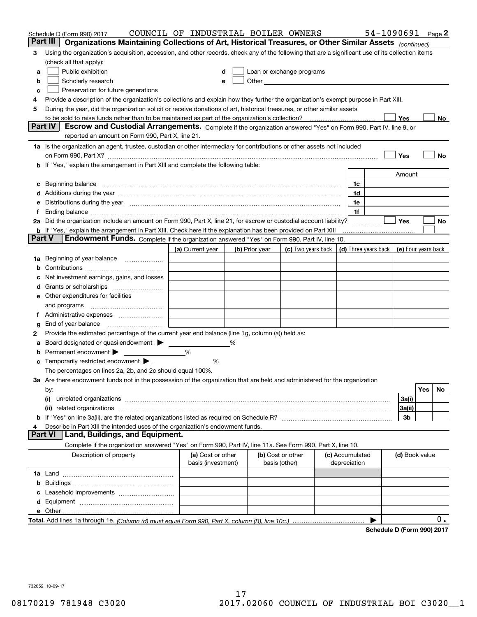|        | Schedule D (Form 990) 2017                                                                                                                                                                                                     | COUNCIL OF INDUSTRIAL BOILER OWNERS     |   |                                    |                                                      |  |                                 | 54-1090691 Page 2                 |                     |     |    |
|--------|--------------------------------------------------------------------------------------------------------------------------------------------------------------------------------------------------------------------------------|-----------------------------------------|---|------------------------------------|------------------------------------------------------|--|---------------------------------|-----------------------------------|---------------------|-----|----|
|        | Part III<br>Organizations Maintaining Collections of Art, Historical Treasures, or Other Similar Assets (continued)                                                                                                            |                                         |   |                                    |                                                      |  |                                 |                                   |                     |     |    |
| 3      | Using the organization's acquisition, accession, and other records, check any of the following that are a significant use of its collection items                                                                              |                                         |   |                                    |                                                      |  |                                 |                                   |                     |     |    |
|        | (check all that apply):                                                                                                                                                                                                        |                                         |   |                                    |                                                      |  |                                 |                                   |                     |     |    |
| a      | Public exhibition                                                                                                                                                                                                              |                                         |   |                                    | Loan or exchange programs                            |  |                                 |                                   |                     |     |    |
| b      | Scholarly research                                                                                                                                                                                                             | e                                       |   |                                    | Other <b>Committee Committee Committee Committee</b> |  |                                 |                                   |                     |     |    |
| с      | Preservation for future generations                                                                                                                                                                                            |                                         |   |                                    |                                                      |  |                                 |                                   |                     |     |    |
| 4      | Provide a description of the organization's collections and explain how they further the organization's exempt purpose in Part XIII.                                                                                           |                                         |   |                                    |                                                      |  |                                 |                                   |                     |     |    |
| 5      | During the year, did the organization solicit or receive donations of art, historical treasures, or other similar assets                                                                                                       |                                         |   |                                    |                                                      |  |                                 |                                   |                     |     |    |
|        | to be sold to raise funds rather than to be maintained as part of the organization's collection?                                                                                                                               |                                         |   |                                    |                                                      |  |                                 |                                   | Yes                 |     | No |
|        | <b>Part IV</b><br>Escrow and Custodial Arrangements. Complete if the organization answered "Yes" on Form 990, Part IV, line 9, or                                                                                              |                                         |   |                                    |                                                      |  |                                 |                                   |                     |     |    |
|        | reported an amount on Form 990, Part X, line 21.                                                                                                                                                                               |                                         |   |                                    |                                                      |  |                                 |                                   |                     |     |    |
|        | 1a Is the organization an agent, trustee, custodian or other intermediary for contributions or other assets not included                                                                                                       |                                         |   |                                    |                                                      |  |                                 |                                   |                     |     |    |
|        | on Form 990, Part X? [11] matter contracts and contracts and contracts are contracted and contracts are contracted and contract and contract of the contract of the contract of the contract of the contract of the contract o |                                         |   |                                    |                                                      |  |                                 |                                   | Yes                 |     | No |
|        | b If "Yes," explain the arrangement in Part XIII and complete the following table:                                                                                                                                             |                                         |   |                                    |                                                      |  |                                 |                                   |                     |     |    |
|        |                                                                                                                                                                                                                                |                                         |   |                                    |                                                      |  |                                 |                                   | Amount              |     |    |
| c      | Beginning balance material content contracts and content and content and content and content and content and content and content and content and content and content and content and content and content and content and conte |                                         |   |                                    |                                                      |  | 1c                              |                                   |                     |     |    |
|        | Additions during the year manufactured and an annual contract of the year manufactured and a set of the year manufactured and a set of the year manufactured and a set of the year manufactured and a set of the set of the se |                                         |   |                                    |                                                      |  | 1d                              |                                   |                     |     |    |
|        | Distributions during the year manufactured and continuum and continuum and continuum and continuum and continuum                                                                                                               |                                         |   |                                    |                                                      |  | 1e<br>1f                        |                                   |                     |     |    |
| Ť.     | 2a Did the organization include an amount on Form 990, Part X, line 21, for escrow or custodial account liability?                                                                                                             |                                         |   |                                    |                                                      |  |                                 |                                   | Yes                 |     | No |
|        | <b>b</b> If "Yes," explain the arrangement in Part XIII. Check here if the explanation has been provided on Part XIII                                                                                                          |                                         |   |                                    |                                                      |  |                                 |                                   |                     |     |    |
| Part V | Endowment Funds. Complete if the organization answered "Yes" on Form 990, Part IV, line 10.                                                                                                                                    |                                         |   |                                    |                                                      |  |                                 |                                   |                     |     |    |
|        |                                                                                                                                                                                                                                | (a) Current year                        |   | (b) Prior year                     | (c) Two years back                                   |  |                                 | (d) Three years back              | (e) Four years back |     |    |
| 1a     | Beginning of year balance                                                                                                                                                                                                      |                                         |   |                                    |                                                      |  |                                 |                                   |                     |     |    |
|        |                                                                                                                                                                                                                                |                                         |   |                                    |                                                      |  |                                 |                                   |                     |     |    |
|        | Net investment earnings, gains, and losses                                                                                                                                                                                     |                                         |   |                                    |                                                      |  |                                 |                                   |                     |     |    |
| d      |                                                                                                                                                                                                                                |                                         |   |                                    |                                                      |  |                                 |                                   |                     |     |    |
|        | e Other expenditures for facilities                                                                                                                                                                                            |                                         |   |                                    |                                                      |  |                                 |                                   |                     |     |    |
|        | and programs                                                                                                                                                                                                                   |                                         |   |                                    |                                                      |  |                                 |                                   |                     |     |    |
|        |                                                                                                                                                                                                                                |                                         |   |                                    |                                                      |  |                                 |                                   |                     |     |    |
| g      | End of year balance                                                                                                                                                                                                            |                                         |   |                                    |                                                      |  |                                 |                                   |                     |     |    |
| 2      | Provide the estimated percentage of the current year end balance (line 1g, column (a)) held as:                                                                                                                                |                                         |   |                                    |                                                      |  |                                 |                                   |                     |     |    |
| а      | Board designated or quasi-endowment                                                                                                                                                                                            |                                         | % |                                    |                                                      |  |                                 |                                   |                     |     |    |
|        | Permanent endowment $\blacktriangleright$                                                                                                                                                                                      | %                                       |   |                                    |                                                      |  |                                 |                                   |                     |     |    |
|        | Temporarily restricted endowment $\blacktriangleright$                                                                                                                                                                         | %                                       |   |                                    |                                                      |  |                                 |                                   |                     |     |    |
|        | The percentages on lines 2a, 2b, and 2c should equal 100%.                                                                                                                                                                     |                                         |   |                                    |                                                      |  |                                 |                                   |                     |     |    |
|        | 3a Are there endowment funds not in the possession of the organization that are held and administered for the organization                                                                                                     |                                         |   |                                    |                                                      |  |                                 |                                   |                     |     |    |
|        | by:                                                                                                                                                                                                                            |                                         |   |                                    |                                                      |  |                                 |                                   |                     | Yes | No |
|        | (i)                                                                                                                                                                                                                            |                                         |   |                                    |                                                      |  |                                 |                                   | 3a(i)               |     |    |
|        |                                                                                                                                                                                                                                |                                         |   |                                    |                                                      |  |                                 |                                   | 3a(ii)              |     |    |
|        |                                                                                                                                                                                                                                |                                         |   |                                    |                                                      |  |                                 |                                   | 3b                  |     |    |
|        | Describe in Part XIII the intended uses of the organization's endowment funds.                                                                                                                                                 |                                         |   |                                    |                                                      |  |                                 |                                   |                     |     |    |
|        | Land, Buildings, and Equipment.<br>Part VI                                                                                                                                                                                     |                                         |   |                                    |                                                      |  |                                 |                                   |                     |     |    |
|        | Complete if the organization answered "Yes" on Form 990, Part IV, line 11a. See Form 990, Part X, line 10.                                                                                                                     |                                         |   |                                    |                                                      |  |                                 |                                   |                     |     |    |
|        | Description of property                                                                                                                                                                                                        | (a) Cost or other<br>basis (investment) |   | (b) Cost or other<br>basis (other) |                                                      |  | (c) Accumulated<br>depreciation |                                   | (d) Book value      |     |    |
|        |                                                                                                                                                                                                                                |                                         |   |                                    |                                                      |  |                                 |                                   |                     |     |    |
| b      |                                                                                                                                                                                                                                |                                         |   |                                    |                                                      |  |                                 |                                   |                     |     |    |
|        |                                                                                                                                                                                                                                |                                         |   |                                    |                                                      |  |                                 |                                   |                     |     |    |
|        |                                                                                                                                                                                                                                |                                         |   |                                    |                                                      |  |                                 |                                   |                     |     |    |
|        |                                                                                                                                                                                                                                |                                         |   |                                    |                                                      |  |                                 |                                   |                     |     |    |
|        |                                                                                                                                                                                                                                |                                         |   |                                    |                                                      |  |                                 | <b>Cohodule D (Form 000) 0047</b> |                     |     | 0. |

**Schedule D (Form 990) 2017**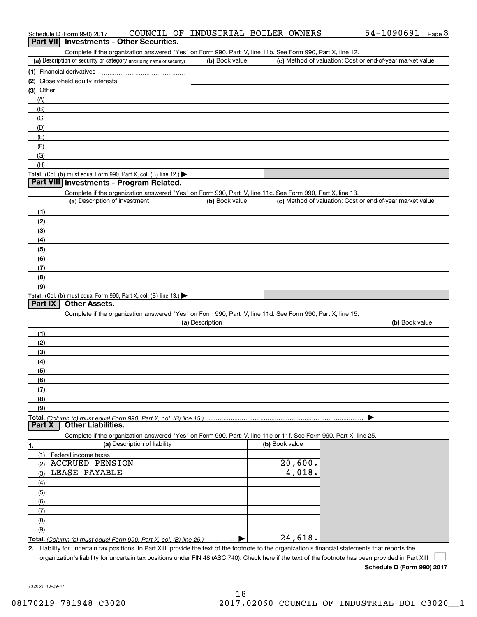| Complete if the organization answered "Yes" on Form 990, Part IV, line 11b. See Form 990, Part X, line 12.<br>(a) Description of security or category (including name of security) | (b) Book value  | (c) Method of valuation: Cost or end-of-year market value |                |
|------------------------------------------------------------------------------------------------------------------------------------------------------------------------------------|-----------------|-----------------------------------------------------------|----------------|
|                                                                                                                                                                                    |                 |                                                           |                |
| (1) Financial derivatives                                                                                                                                                          |                 |                                                           |                |
| (2) Closely-held equity interests                                                                                                                                                  |                 |                                                           |                |
| (3) Other                                                                                                                                                                          |                 |                                                           |                |
| (A)                                                                                                                                                                                |                 |                                                           |                |
| (B)                                                                                                                                                                                |                 |                                                           |                |
| (C)                                                                                                                                                                                |                 |                                                           |                |
| (D)                                                                                                                                                                                |                 |                                                           |                |
| (E)                                                                                                                                                                                |                 |                                                           |                |
| (F)                                                                                                                                                                                |                 |                                                           |                |
| (G)                                                                                                                                                                                |                 |                                                           |                |
| (H)                                                                                                                                                                                |                 |                                                           |                |
| Total. (Col. (b) must equal Form 990, Part X, col. (B) line 12.)<br>Part VIII Investments - Program Related.                                                                       |                 |                                                           |                |
|                                                                                                                                                                                    |                 |                                                           |                |
| Complete if the organization answered "Yes" on Form 990, Part IV, line 11c. See Form 990, Part X, line 13.<br>(a) Description of investment                                        | (b) Book value  | (c) Method of valuation: Cost or end-of-year market value |                |
|                                                                                                                                                                                    |                 |                                                           |                |
| (1)                                                                                                                                                                                |                 |                                                           |                |
| (2)                                                                                                                                                                                |                 |                                                           |                |
| (3)                                                                                                                                                                                |                 |                                                           |                |
| (4)                                                                                                                                                                                |                 |                                                           |                |
| (5)                                                                                                                                                                                |                 |                                                           |                |
| (6)                                                                                                                                                                                |                 |                                                           |                |
| (7)                                                                                                                                                                                |                 |                                                           |                |
| (8)                                                                                                                                                                                |                 |                                                           |                |
| (9)                                                                                                                                                                                |                 |                                                           |                |
| Total. (Col. (b) must equal Form 990, Part X, col. (B) line 13.)<br><b>Other Assets.</b><br>Part IX                                                                                |                 |                                                           |                |
| Complete if the organization answered "Yes" on Form 990, Part IV, line 11d. See Form 990, Part X, line 15.                                                                         |                 |                                                           |                |
|                                                                                                                                                                                    | (a) Description |                                                           | (b) Book value |
| (1)                                                                                                                                                                                |                 |                                                           |                |
| (2)                                                                                                                                                                                |                 |                                                           |                |
| (3)                                                                                                                                                                                |                 |                                                           |                |
| (4)                                                                                                                                                                                |                 |                                                           |                |
| (5)                                                                                                                                                                                |                 |                                                           |                |
|                                                                                                                                                                                    |                 |                                                           |                |
| (6)<br>(7)                                                                                                                                                                         |                 |                                                           |                |
|                                                                                                                                                                                    |                 |                                                           |                |
| (8)<br>(9)                                                                                                                                                                         |                 |                                                           |                |
|                                                                                                                                                                                    |                 |                                                           |                |
|                                                                                                                                                                                    |                 |                                                           |                |
|                                                                                                                                                                                    |                 |                                                           |                |
| <b>Other Liabilities.</b>                                                                                                                                                          |                 |                                                           |                |
| Complete if the organization answered "Yes" on Form 990, Part IV, line 11e or 11f. See Form 990, Part X, line 25.                                                                  |                 |                                                           |                |
| (a) Description of liability                                                                                                                                                       |                 | (b) Book value                                            |                |
| (1)<br>Federal income taxes                                                                                                                                                        |                 |                                                           |                |
| <b>ACCRUED PENSION</b><br>(2)                                                                                                                                                      |                 | 20,600.                                                   |                |
| LEASE PAYABLE<br>(3)                                                                                                                                                               |                 | 4,018.                                                    |                |
| (4)                                                                                                                                                                                |                 |                                                           |                |
| (5)                                                                                                                                                                                |                 |                                                           |                |
| (6)                                                                                                                                                                                |                 |                                                           |                |
| (7)                                                                                                                                                                                |                 |                                                           |                |
| <b>Part X</b><br>1.<br>(8)                                                                                                                                                         |                 |                                                           |                |
| (9)<br>Total. (Column (b) must equal Form 990, Part X, col. (B) line 25.)                                                                                                          |                 | 24,618.                                                   |                |

732053 10-09-17

| (d) Description of security or category (including name of security)       | <b>(D)</b> DOON Value | (c) Metrica of valuation. Cost of end-or-year market value |
|----------------------------------------------------------------------------|-----------------------|------------------------------------------------------------|
| (1) Financial derivatives                                                  |                       |                                                            |
| (2) Closely-held equity interests                                          |                       |                                                            |
| $(3)$ Other                                                                |                       |                                                            |
| (A)                                                                        |                       |                                                            |
| (B)                                                                        |                       |                                                            |
| (C)                                                                        |                       |                                                            |
| (D)                                                                        |                       |                                                            |
| (E)                                                                        |                       |                                                            |
| (F)                                                                        |                       |                                                            |
| $\overline{G}$                                                             |                       |                                                            |
| (H)                                                                        |                       |                                                            |
| <b>Total.</b> (Col. (b) must equal Form 990, Part X, col. (B) line $12$ .) |                       |                                                            |

organization's liability for uncertain tax positions under FIN 48 (ASC 740). Check here if the text of the footnote has been provided in Part XIII

**Schedule D (Form 990) 2017**

 $\mathcal{L}^{\text{max}}$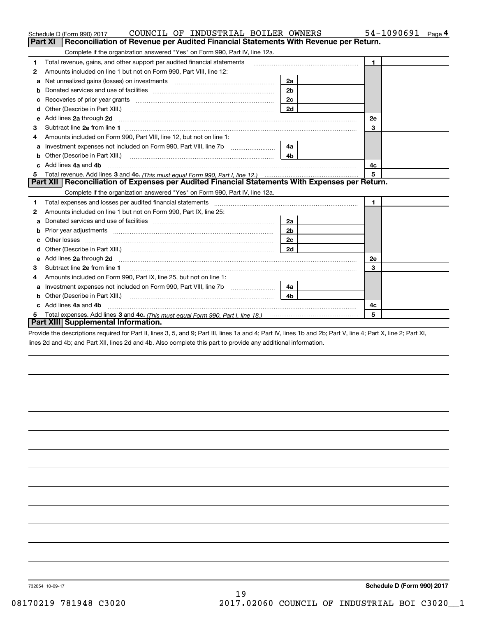|    | COUNCIL OF INDUSTRIAL BOILER OWNERS<br>Schedule D (Form 990) 2017                                                                                                                                                                   |                           | 54-1090691<br>Page 4 |  |  |  |  |  |
|----|-------------------------------------------------------------------------------------------------------------------------------------------------------------------------------------------------------------------------------------|---------------------------|----------------------|--|--|--|--|--|
|    | Reconciliation of Revenue per Audited Financial Statements With Revenue per Return.<br>Part XI                                                                                                                                      |                           |                      |  |  |  |  |  |
|    | Complete if the organization answered "Yes" on Form 990, Part IV, line 12a.                                                                                                                                                         |                           |                      |  |  |  |  |  |
| 1  | Total revenue, gains, and other support per audited financial statements                                                                                                                                                            |                           | $\blacksquare$       |  |  |  |  |  |
| 2  | Amounts included on line 1 but not on Form 990, Part VIII, line 12:                                                                                                                                                                 |                           |                      |  |  |  |  |  |
| a  | Net unrealized gains (losses) on investments [11] matter contracts and the unrealized gains (losses) on investments                                                                                                                 |                           |                      |  |  |  |  |  |
| b  |                                                                                                                                                                                                                                     | 2 <sub>b</sub>            |                      |  |  |  |  |  |
|    |                                                                                                                                                                                                                                     | 2c                        |                      |  |  |  |  |  |
| d  |                                                                                                                                                                                                                                     | 2d                        |                      |  |  |  |  |  |
| е  | Add lines 2a through 2d                                                                                                                                                                                                             |                           | 2e                   |  |  |  |  |  |
| З  |                                                                                                                                                                                                                                     |                           | 3                    |  |  |  |  |  |
| 4  | Amounts included on Form 990, Part VIII, line 12, but not on line 1:                                                                                                                                                                |                           |                      |  |  |  |  |  |
| a  |                                                                                                                                                                                                                                     | 4a                        |                      |  |  |  |  |  |
|    |                                                                                                                                                                                                                                     |                           |                      |  |  |  |  |  |
| c. | Add lines 4a and 4b                                                                                                                                                                                                                 | 4c                        |                      |  |  |  |  |  |
|    |                                                                                                                                                                                                                                     | 5                         |                      |  |  |  |  |  |
|    | Part XII   Reconciliation of Expenses per Audited Financial Statements With Expenses per Return.                                                                                                                                    |                           |                      |  |  |  |  |  |
|    | Complete if the organization answered "Yes" on Form 990, Part IV, line 12a.                                                                                                                                                         |                           |                      |  |  |  |  |  |
| 1  | Total expenses and losses per audited financial statements [11] [12] manuscription control expenses and losses per audited financial statements [12] [12] manuscription of the statements [12] manuscription of the statements      |                           | 1.                   |  |  |  |  |  |
| 2  | Amounts included on line 1 but not on Form 990, Part IX, line 25:                                                                                                                                                                   |                           |                      |  |  |  |  |  |
| а  |                                                                                                                                                                                                                                     | 2a                        |                      |  |  |  |  |  |
| b  |                                                                                                                                                                                                                                     | 2 <sub>b</sub>            |                      |  |  |  |  |  |
| с  |                                                                                                                                                                                                                                     | 2c                        |                      |  |  |  |  |  |
| d  |                                                                                                                                                                                                                                     | 2d                        |                      |  |  |  |  |  |
| е  | Add lines 2a through 2d <b>contained a contained a contained a contained a</b> contained a contained a contained a contained a contained a contained a contained a contained a contained a contained a contained a contained a cont |                           | <b>2e</b>            |  |  |  |  |  |
| 3  |                                                                                                                                                                                                                                     |                           | 3                    |  |  |  |  |  |
| 4  | Amounts included on Form 990, Part IX, line 25, but not on line 1:                                                                                                                                                                  |                           |                      |  |  |  |  |  |
| a  |                                                                                                                                                                                                                                     | 4a                        |                      |  |  |  |  |  |
| b  | Other (Describe in Part XIII.)                                                                                                                                                                                                      | 4 <sub>b</sub>            |                      |  |  |  |  |  |
|    |                                                                                                                                                                                                                                     | Add lines 4a and 4b<br>4c |                      |  |  |  |  |  |
|    | 5                                                                                                                                                                                                                                   |                           |                      |  |  |  |  |  |
|    | Part XIII Supplemental Information.                                                                                                                                                                                                 |                           |                      |  |  |  |  |  |

Provide the descriptions required for Part II, lines 3, 5, and 9; Part III, lines 1a and 4; Part IV, lines 1b and 2b; Part V, line 4; Part X, line 2; Part XI, lines 2d and 4b; and Part XII, lines 2d and 4b. Also complete this part to provide any additional information.

732054 10-09-17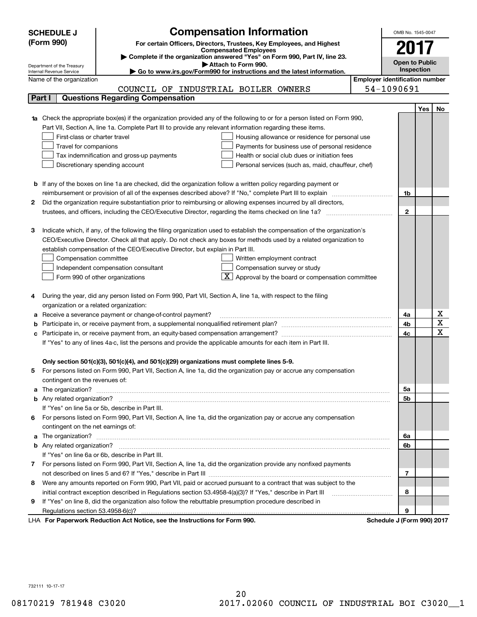|   | <b>SCHEDULE J</b>                                      |                                                                                          | <b>Compensation Information</b>                                                                                                  |                                       | OMB No. 1545-0047     |            |                         |
|---|--------------------------------------------------------|------------------------------------------------------------------------------------------|----------------------------------------------------------------------------------------------------------------------------------|---------------------------------------|-----------------------|------------|-------------------------|
|   | (Form 990)                                             |                                                                                          | For certain Officers, Directors, Trustees, Key Employees, and Highest                                                            |                                       |                       |            |                         |
|   |                                                        |                                                                                          | <b>Compensated Employees</b>                                                                                                     |                                       | 2017                  |            |                         |
|   |                                                        |                                                                                          | Complete if the organization answered "Yes" on Form 990, Part IV, line 23.                                                       |                                       | <b>Open to Public</b> |            |                         |
|   | Department of the Treasury<br>Internal Revenue Service |                                                                                          | Attach to Form 990.<br>Go to www.irs.gov/Form990 for instructions and the latest information.                                    |                                       | Inspection            |            |                         |
|   | Name of the organization                               |                                                                                          |                                                                                                                                  | <b>Employer identification number</b> |                       |            |                         |
|   |                                                        |                                                                                          | COUNCIL OF INDUSTRIAL BOILER OWNERS                                                                                              | 54-1090691                            |                       |            |                         |
|   | Part I                                                 | <b>Questions Regarding Compensation</b>                                                  |                                                                                                                                  |                                       |                       |            |                         |
|   |                                                        |                                                                                          |                                                                                                                                  |                                       |                       | <b>Yes</b> | No                      |
|   |                                                        |                                                                                          | <b>1a</b> Check the appropriate box(es) if the organization provided any of the following to or for a person listed on Form 990, |                                       |                       |            |                         |
|   |                                                        |                                                                                          | Part VII, Section A, line 1a. Complete Part III to provide any relevant information regarding these items.                       |                                       |                       |            |                         |
|   | First-class or charter travel                          |                                                                                          | Housing allowance or residence for personal use                                                                                  |                                       |                       |            |                         |
|   | Travel for companions                                  |                                                                                          | Payments for business use of personal residence                                                                                  |                                       |                       |            |                         |
|   |                                                        | Tax indemnification and gross-up payments                                                | Health or social club dues or initiation fees                                                                                    |                                       |                       |            |                         |
|   |                                                        | Discretionary spending account                                                           | Personal services (such as, maid, chauffeur, chef)                                                                               |                                       |                       |            |                         |
|   |                                                        |                                                                                          |                                                                                                                                  |                                       |                       |            |                         |
|   |                                                        |                                                                                          | <b>b</b> If any of the boxes on line 1a are checked, did the organization follow a written policy regarding payment or           |                                       |                       |            |                         |
|   |                                                        |                                                                                          | reimbursement or provision of all of the expenses described above? If "No," complete Part III to explain                         |                                       | 1b                    |            |                         |
| 2 |                                                        |                                                                                          | Did the organization require substantiation prior to reimbursing or allowing expenses incurred by all directors,                 |                                       |                       |            |                         |
|   |                                                        |                                                                                          |                                                                                                                                  |                                       | $\mathbf{2}$          |            |                         |
|   |                                                        |                                                                                          |                                                                                                                                  |                                       |                       |            |                         |
| з |                                                        |                                                                                          | Indicate which, if any, of the following the filing organization used to establish the compensation of the organization's        |                                       |                       |            |                         |
|   |                                                        |                                                                                          | CEO/Executive Director. Check all that apply. Do not check any boxes for methods used by a related organization to               |                                       |                       |            |                         |
|   |                                                        | establish compensation of the CEO/Executive Director, but explain in Part III.           |                                                                                                                                  |                                       |                       |            |                         |
|   | Compensation committee                                 |                                                                                          | Written employment contract                                                                                                      |                                       |                       |            |                         |
|   |                                                        | Independent compensation consultant                                                      | Compensation survey or study                                                                                                     |                                       |                       |            |                         |
|   |                                                        | Form 990 of other organizations                                                          | $\boxed{\textbf{X}}$ Approval by the board or compensation committee                                                             |                                       |                       |            |                         |
|   |                                                        |                                                                                          |                                                                                                                                  |                                       |                       |            |                         |
|   |                                                        |                                                                                          | During the year, did any person listed on Form 990, Part VII, Section A, line 1a, with respect to the filing                     |                                       |                       |            |                         |
|   | organization or a related organization:                |                                                                                          |                                                                                                                                  |                                       |                       |            |                         |
| а |                                                        | Receive a severance payment or change-of-control payment?                                |                                                                                                                                  |                                       | 4a                    |            | х                       |
| b |                                                        |                                                                                          |                                                                                                                                  |                                       | 4b                    |            | $\overline{\mathbf{x}}$ |
| с |                                                        |                                                                                          |                                                                                                                                  |                                       | 4c                    |            | $\overline{\mathbf{x}}$ |
|   |                                                        |                                                                                          | If "Yes" to any of lines 4a-c, list the persons and provide the applicable amounts for each item in Part III.                    |                                       |                       |            |                         |
|   |                                                        |                                                                                          |                                                                                                                                  |                                       |                       |            |                         |
|   |                                                        | Only section 501(c)(3), 501(c)(4), and 501(c)(29) organizations must complete lines 5-9. |                                                                                                                                  |                                       |                       |            |                         |
|   |                                                        |                                                                                          | For persons listed on Form 990, Part VII, Section A, line 1a, did the organization pay or accrue any compensation                |                                       |                       |            |                         |
|   | contingent on the revenues of:                         |                                                                                          |                                                                                                                                  |                                       |                       |            |                         |
| a |                                                        |                                                                                          |                                                                                                                                  |                                       | 5a                    |            |                         |
|   |                                                        |                                                                                          |                                                                                                                                  |                                       | 5b                    |            |                         |
|   |                                                        | If "Yes" on line 5a or 5b, describe in Part III.                                         |                                                                                                                                  |                                       |                       |            |                         |
| 6 |                                                        |                                                                                          | For persons listed on Form 990, Part VII, Section A, line 1a, did the organization pay or accrue any compensation                |                                       |                       |            |                         |
|   | contingent on the net earnings of:                     |                                                                                          |                                                                                                                                  |                                       |                       |            |                         |
| a |                                                        |                                                                                          |                                                                                                                                  |                                       | 6a                    |            |                         |
|   |                                                        |                                                                                          |                                                                                                                                  |                                       | 6b                    |            |                         |
|   |                                                        | If "Yes" on line 6a or 6b, describe in Part III.                                         |                                                                                                                                  |                                       |                       |            |                         |
|   |                                                        |                                                                                          | 7 For persons listed on Form 990, Part VII, Section A, line 1a, did the organization provide any nonfixed payments               |                                       |                       |            |                         |
|   |                                                        |                                                                                          |                                                                                                                                  |                                       | 7                     |            |                         |
| 8 |                                                        |                                                                                          | Were any amounts reported on Form 990, Part VII, paid or accrued pursuant to a contract that was subject to the                  |                                       |                       |            |                         |
|   |                                                        |                                                                                          | initial contract exception described in Regulations section 53.4958-4(a)(3)? If "Yes," describe in Part III                      |                                       | 8                     |            |                         |
| 9 |                                                        |                                                                                          | If "Yes" on line 8, did the organization also follow the rebuttable presumption procedure described in                           |                                       |                       |            |                         |
|   |                                                        | duction Ast Nation, and the Instructions for Form 000                                    |                                                                                                                                  |                                       | 9                     |            |                         |

LHA For Paperwork Reduction Act Notice, see the Instructions for Form 990. Schedule J (Form 990) 2017

732111 10-17-17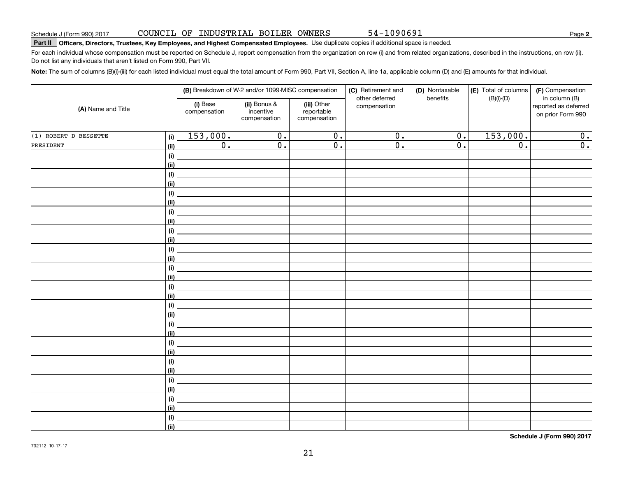**2**

# **Part II Officers, Directors, Trustees, Key Employees, and Highest Compensated Employees.**  Schedule J (Form 990) 2017 Page Use duplicate copies if additional space is needed.

For each individual whose compensation must be reported on Schedule J, report compensation from the organization on row (i) and from related organizations, described in the instructions, on row (ii). Do not list any individuals that aren't listed on Form 990, Part VII.

54-1090691

**Note:**  The sum of columns (B)(i)-(iii) for each listed individual must equal the total amount of Form 990, Part VII, Section A, line 1a, applicable column (D) and (E) amounts for that individual.

| (A) Name and Title    |             | (B) Breakdown of W-2 and/or 1099-MISC compensation |                                           |                                           | (C) Retirement and<br>other deferred | (D) Nontaxable<br>benefits | (E) Total of columns<br>$(B)(i)-(D)$ | (F) Compensation<br>in column (B)         |
|-----------------------|-------------|----------------------------------------------------|-------------------------------------------|-------------------------------------------|--------------------------------------|----------------------------|--------------------------------------|-------------------------------------------|
|                       |             | (i) Base<br>compensation                           | (ii) Bonus &<br>incentive<br>compensation | (iii) Other<br>reportable<br>compensation | compensation                         |                            |                                      | reported as deferred<br>on prior Form 990 |
| (1) ROBERT D BESSETTE | (i)         | 153,000.                                           | $\overline{0}$ .                          | $\overline{0}$ .                          | $\overline{0}$ .                     | $\overline{0}$ .           | 153,000.                             | 0.                                        |
| PRESIDENT             | (ii)        | $\overline{0}$ .                                   | $\overline{0}$ .                          | $\overline{0}$ .                          | $\overline{0}$ .                     | $\overline{0}$ .           | $\overline{0}$ .                     | $\overline{0}$ .                          |
|                       | (i)         |                                                    |                                           |                                           |                                      |                            |                                      |                                           |
|                       | (ii)        |                                                    |                                           |                                           |                                      |                            |                                      |                                           |
|                       | (i)         |                                                    |                                           |                                           |                                      |                            |                                      |                                           |
|                       | (ii)        |                                                    |                                           |                                           |                                      |                            |                                      |                                           |
|                       | (i)         |                                                    |                                           |                                           |                                      |                            |                                      |                                           |
|                       | (ii)        |                                                    |                                           |                                           |                                      |                            |                                      |                                           |
|                       | (i)         |                                                    |                                           |                                           |                                      |                            |                                      |                                           |
|                       | (ii)        |                                                    |                                           |                                           |                                      |                            |                                      |                                           |
|                       | (i)         |                                                    |                                           |                                           |                                      |                            |                                      |                                           |
|                       | (ii)        |                                                    |                                           |                                           |                                      |                            |                                      |                                           |
|                       | (i)         |                                                    |                                           |                                           |                                      |                            |                                      |                                           |
|                       | (ii)        |                                                    |                                           |                                           |                                      |                            |                                      |                                           |
|                       | $(\sf{i})$  |                                                    |                                           |                                           |                                      |                            |                                      |                                           |
|                       | (ii)        |                                                    |                                           |                                           |                                      |                            |                                      |                                           |
|                       | (i)<br>(ii) |                                                    |                                           |                                           |                                      |                            |                                      |                                           |
|                       | (i)         |                                                    |                                           |                                           |                                      |                            |                                      |                                           |
|                       | (ii)        |                                                    |                                           |                                           |                                      |                            |                                      |                                           |
|                       | (i)         |                                                    |                                           |                                           |                                      |                            |                                      |                                           |
|                       | (ii)        |                                                    |                                           |                                           |                                      |                            |                                      |                                           |
|                       | (i)         |                                                    |                                           |                                           |                                      |                            |                                      |                                           |
|                       | (ii)        |                                                    |                                           |                                           |                                      |                            |                                      |                                           |
|                       | (i)         |                                                    |                                           |                                           |                                      |                            |                                      |                                           |
|                       | (ii)        |                                                    |                                           |                                           |                                      |                            |                                      |                                           |
|                       | (i)         |                                                    |                                           |                                           |                                      |                            |                                      |                                           |
|                       | (ii)        |                                                    |                                           |                                           |                                      |                            |                                      |                                           |
|                       | (i)         |                                                    |                                           |                                           |                                      |                            |                                      |                                           |
|                       | (ii)        |                                                    |                                           |                                           |                                      |                            |                                      |                                           |
|                       | (i)         |                                                    |                                           |                                           |                                      |                            |                                      |                                           |
|                       | (ii)        |                                                    |                                           |                                           |                                      |                            |                                      |                                           |

**Schedule J (Form 990) 2017**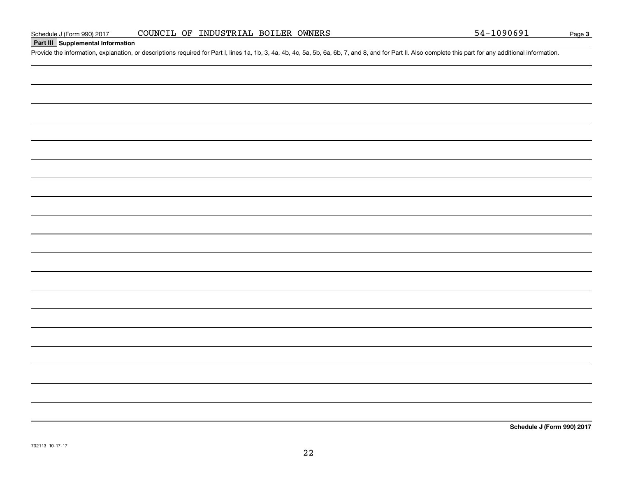# **Part III Supplemental Information**

Schedule J (Form 990) 2017 COUNCIL OF INDUSTRIAL BOILER OWNERS<br>Part III Supplemental Information<br>Provide the information, explanation, or descriptions required for Part I, lines 1a, 1b, 3, 4a, 4b, 4c, 5a, 5b, 6a, 6b, 7, an

**Schedule J (Form 990) 2017**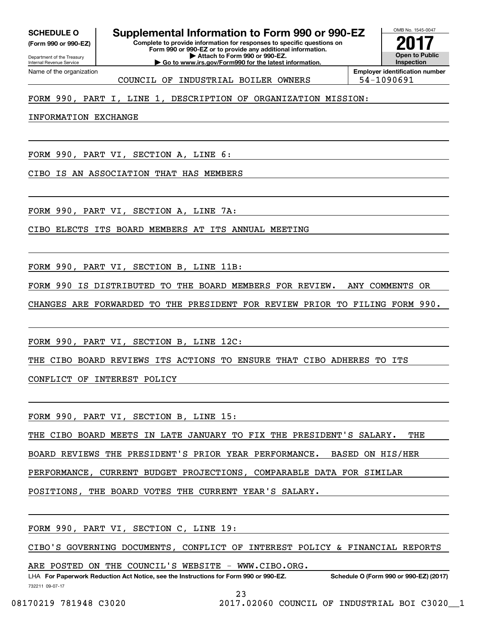**(Form 990 or 990-EZ)**

Department of the Treasury Internal Revenue Service Name of the organization

# **Complete to provide information for responses to specific questions on SCHEDULE O Supplemental Information to Form 990 or 990-EZ**

**Form 990 or 990-EZ or to provide any additional information. | Attach to Form 990 or 990-EZ. | Go to www.irs.gov/Form990 for the latest information.**



COUNCIL OF INDUSTRIAL BOILER OWNERS 54-1090691

# FORM 990, PART I, LINE 1, DESCRIPTION OF ORGANIZATION MISSION:

INFORMATION EXCHANGE

FORM 990, PART VI, SECTION A, LINE 6:

CIBO IS AN ASSOCIATION THAT HAS MEMBERS

FORM 990, PART VI, SECTION A, LINE 7A:

CIBO ELECTS ITS BOARD MEMBERS AT ITS ANNUAL MEETING

FORM 990, PART VI, SECTION B, LINE 11B:

FORM 990 IS DISTRIBUTED TO THE BOARD MEMBERS FOR REVIEW. ANY COMMENTS OR

CHANGES ARE FORWARDED TO THE PRESIDENT FOR REVIEW PRIOR TO FILING FORM 990.

FORM 990, PART VI, SECTION B, LINE 12C:

THE CIBO BOARD REVIEWS ITS ACTIONS TO ENSURE THAT CIBO ADHERES TO ITS

CONFLICT OF INTEREST POLICY

FORM 990, PART VI, SECTION B, LINE 15:

THE CIBO BOARD MEETS IN LATE JANUARY TO FIX THE PRESIDENT'S SALARY. THE

BOARD REVIEWS THE PRESIDENT'S PRIOR YEAR PERFORMANCE. BASED ON HIS/HER

PERFORMANCE, CURRENT BUDGET PROJECTIONS, COMPARABLE DATA FOR SIMILAR

POSITIONS, THE BOARD VOTES THE CURRENT YEAR'S SALARY.

FORM 990, PART VI, SECTION C, LINE 19:

CIBO'S GOVERNING DOCUMENTS, CONFLICT OF INTEREST POLICY & FINANCIAL REPORTS

ARE POSTED ON THE COUNCIL'S WEBSITE - WWW.CIBO.ORG.

732211 09-07-17 LHA For Paperwork Reduction Act Notice, see the Instructions for Form 990 or 990-EZ. Schedule O (Form 990 or 990-EZ) (2017)

23